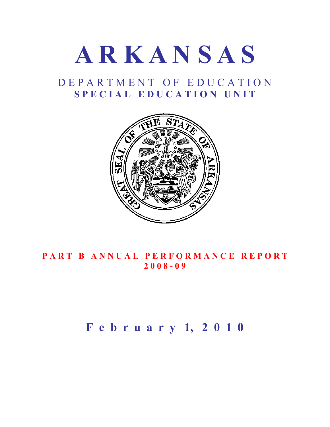# **A R K A N S A S**

# D E P A R T M E N T O F E D U C A T I O N S P E C I A L E D U C A T I O N U N I T



# **PART B ANNUAL PERFORMANCE REPORT 2 0 0 8 - 0 9**

# **F e b r u a r y 1, 2 0 1 0**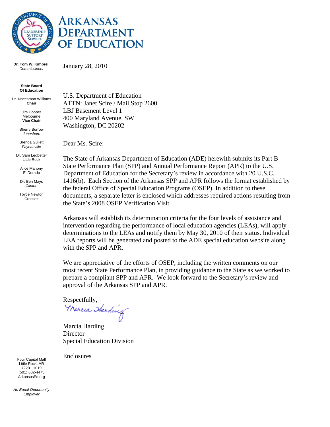



**Dr. Tom W. Kimbrell**  *Commissioner*

January 28, 2010

**State Board Of Education** 

Dr. Naccaman Williams **Chair**

> Jim Cooper Melbourne **Vice Chair**

Sherry Burrow *Jonesboro*

Brenda Gullett *Fayetteville*

Dr. Sam Ledbetter Little Rock

> Alice Mahony El Dorado

Dr. Ben Mays *Clinton*

Toyce Newton **Crossett** 

U.S. Department of Education ATTN: Janet Scire / Mail Stop 2600 LBJ Basement Level 1 400 Maryland Avenue, SW Washington, DC 20202

Dear Ms. Scire:

The State of Arkansas Department of Education (ADE) herewith submits its Part B State Performance Plan (SPP) and Annual Performance Report (APR) to the U.S. Department of Education for the Secretary's review in accordance with 20 U.S.C. 1416(b). Each Section of the Arkansas SPP and APR follows the format established by the federal Office of Special Education Programs (OSEP). In addition to these documents, a separate letter is enclosed which addresses required actions resulting from the State's 2008 OSEP Verification Visit.

Arkansas will establish its determination criteria for the four levels of assistance and intervention regarding the performance of local education agencies (LEAs), will apply determinations to the LEAs and notify them by May 30, 2010 of their status. Individual LEA reports will be generated and posted to the ADE special education website along with the SPP and APR.

We are appreciative of the efforts of OSEP, including the written comments on our most recent State Performance Plan, in providing guidance to the State as we worked to prepare a compliant SPP and APR. We look forward to the Secretary's review and approval of the Arkansas SPP and APR.

Enclosures

Respectfully,<br>Wereia Starding

Marcia Harding **Director** Special Education Division

Four Capitol Mall Little Rock, AR 72201-1019 (501) 682-4475 ArkansasEd.org

*An Equal Opportunity Employer*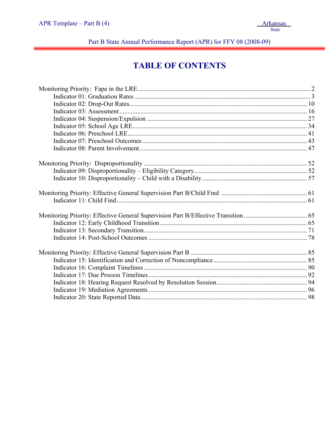Part B State Annual Performance Report (APR) for FFY 08 (2008-09)

# **TABLE OF CONTENTS**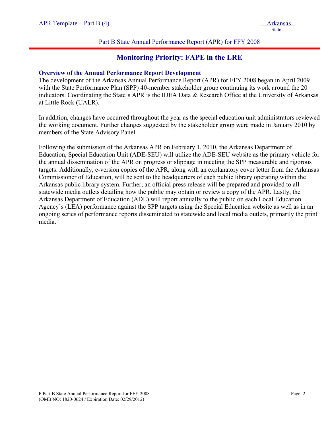#### Part B State Annual Performance Report (APR) for FFY 2008

## **Monitoring Priority: FAPE in the LRE**

#### **Overview of the Annual Performance Report Development**

The development of the Arkansas Annual Performance Report (APR) for FFY 2008 began in April 2009 with the State Performance Plan (SPP) 40-member stakeholder group continuing its work around the 20 indicators. Coordinating the State's APR is the IDEA Data & Research Office at the University of Arkansas at Little Rock (UALR).

In addition, changes have occurred throughout the year as the special education unit administrators reviewed the working document. Further changes suggested by the stakeholder group were made in January 2010 by members of the State Advisory Panel.

Following the submission of the Arkansas APR on February 1, 2010, the Arkansas Department of Education, Special Education Unit (ADE-SEU) will utilize the ADE-SEU website as the primary vehicle for the annual dissemination of the APR on progress or slippage in meeting the SPP measurable and rigorous targets. Additionally, e-version copies of the APR, along with an explanatory cover letter from the Arkansas Commissioner of Education, will be sent to the headquarters of each public library operating within the Arkansas public library system. Further, an official press release will be prepared and provided to all statewide media outlets detailing how the public may obtain or review a copy of the APR. Lastly, the Arkansas Department of Education (ADE) will report annually to the public on each Local Education Agency's (LEA) performance against the SPP targets using the Special Education website as well as in an ongoing series of performance reports disseminated to statewide and local media outlets, primarily the print media.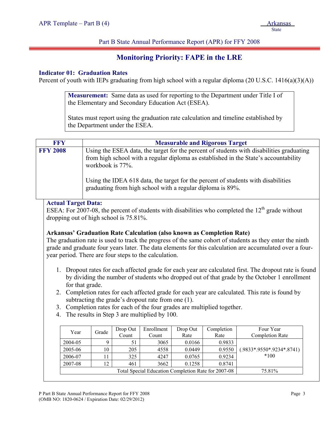#### Part B State Annual Performance Report (APR) for FFY 2008

# **Monitoring Priority: FAPE in the LRE**

#### **Indicator 01: Graduation Rates**

Percent of youth with IEPs graduating from high school with a regular diploma (20 U.S.C. 1416(a)(3)(A))

**Measurement:** Same data as used for reporting to the Department under Title I of the Elementary and Secondary Education Act (ESEA).

States must report using the graduation rate calculation and timeline established by the Department under the ESEA.

|                                                               | <b>FFY</b><br><b>Measurable and Rigorous Target</b> |                                                                                                                                                                                                      |                                            |                                                       |        |                                                                              |                                                                                                          |  |  |  |
|---------------------------------------------------------------|-----------------------------------------------------|------------------------------------------------------------------------------------------------------------------------------------------------------------------------------------------------------|--------------------------------------------|-------------------------------------------------------|--------|------------------------------------------------------------------------------|----------------------------------------------------------------------------------------------------------|--|--|--|
| <b>FFY 2008</b>                                               |                                                     | Using the ESEA data, the target for the percent of students with disabilities graduating<br>from high school with a regular diploma as established in the State's accountability<br>workbook is 77%. |                                            |                                                       |        |                                                                              |                                                                                                          |  |  |  |
|                                                               |                                                     |                                                                                                                                                                                                      |                                            |                                                       |        | graduating from high school with a regular diploma is 89%.                   | Using the IDEA 618 data, the target for the percent of students with disabilities                        |  |  |  |
|                                                               | <b>Actual Target Data:</b>                          |                                                                                                                                                                                                      |                                            |                                                       |        |                                                                              |                                                                                                          |  |  |  |
|                                                               |                                                     |                                                                                                                                                                                                      |                                            |                                                       |        |                                                                              | ESEA: For 2007-08, the percent of students with disabilities who completed the $12th$ grade without      |  |  |  |
|                                                               |                                                     |                                                                                                                                                                                                      | dropping out of high school is $75.81\%$ . |                                                       |        |                                                                              |                                                                                                          |  |  |  |
|                                                               |                                                     |                                                                                                                                                                                                      |                                            |                                                       |        |                                                                              |                                                                                                          |  |  |  |
|                                                               |                                                     |                                                                                                                                                                                                      |                                            |                                                       |        | <b>Arkansas' Graduation Rate Calculation (also known as Completion Rate)</b> |                                                                                                          |  |  |  |
|                                                               |                                                     |                                                                                                                                                                                                      |                                            |                                                       |        |                                                                              | The graduation rate is used to track the progress of the same cohort of students as they enter the ninth |  |  |  |
|                                                               |                                                     |                                                                                                                                                                                                      |                                            |                                                       |        |                                                                              | grade and graduate four years later. The data elements for this calculation are accumulated over a four- |  |  |  |
|                                                               |                                                     |                                                                                                                                                                                                      |                                            | year period. There are four steps to the calculation. |        |                                                                              |                                                                                                          |  |  |  |
|                                                               |                                                     |                                                                                                                                                                                                      |                                            |                                                       |        |                                                                              |                                                                                                          |  |  |  |
|                                                               |                                                     |                                                                                                                                                                                                      |                                            |                                                       |        |                                                                              | 1. Dropout rates for each affected grade for each year are calculated first. The dropout rate is found   |  |  |  |
|                                                               |                                                     |                                                                                                                                                                                                      |                                            |                                                       |        |                                                                              | by dividing the number of students who dropped out of that grade by the October 1 enrollment             |  |  |  |
| 2.                                                            | for that grade.                                     |                                                                                                                                                                                                      |                                            |                                                       |        |                                                                              | Completion rates for each affected grade for each year are calculated. This rate is found by             |  |  |  |
|                                                               |                                                     |                                                                                                                                                                                                      |                                            | subtracting the grade's dropout rate from one (1).    |        |                                                                              |                                                                                                          |  |  |  |
| 3.                                                            |                                                     |                                                                                                                                                                                                      |                                            |                                                       |        | Completion rates for each of the four grades are multiplied together.        |                                                                                                          |  |  |  |
| 4.                                                            |                                                     |                                                                                                                                                                                                      |                                            | The results in Step 3 are multiplied by 100.          |        |                                                                              |                                                                                                          |  |  |  |
|                                                               |                                                     |                                                                                                                                                                                                      |                                            |                                                       |        |                                                                              |                                                                                                          |  |  |  |
| Four Year<br>Enrollment<br>Drop Out<br>Completion<br>Drop Out |                                                     |                                                                                                                                                                                                      |                                            |                                                       |        |                                                                              |                                                                                                          |  |  |  |
|                                                               | Year                                                | Grade                                                                                                                                                                                                | Count                                      | Count                                                 | Rate   | Rate                                                                         | <b>Completion Rate</b>                                                                                   |  |  |  |
|                                                               | 2004-05                                             | 9                                                                                                                                                                                                    | 51                                         | 3065                                                  | 0.0166 | 0.9833                                                                       |                                                                                                          |  |  |  |
|                                                               | 2005-06                                             | 10                                                                                                                                                                                                   | 205                                        | 4558                                                  | 0.0449 | 0.9550                                                                       | $(.9833*.9550*.9234*.8741)$                                                                              |  |  |  |
|                                                               | 2006-07                                             | 11                                                                                                                                                                                                   | 325                                        | 4247                                                  | 0.0765 | 0.9234                                                                       | $*100$                                                                                                   |  |  |  |
|                                                               | 2007-08                                             | 12                                                                                                                                                                                                   | 461                                        | 3662                                                  | 0.1258 | 0.8741                                                                       |                                                                                                          |  |  |  |

Total Special Education Completion Rate for 2007-08 75.81%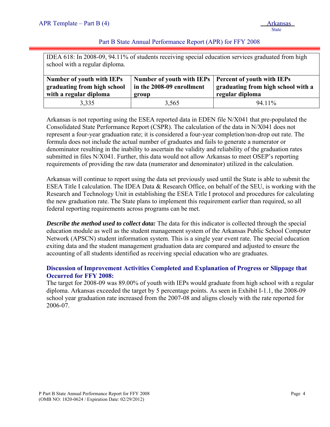#### Part B State Annual Performance Report (APR) for FFY 2008

IDEA 618: In 2008-09, 94.11% of students receiving special education services graduated from high school with a regular diploma.

| <b>Number of youth with IEPs</b><br>graduating from high school<br>with a regular diploma | Number of youth with IEPs   Percent of youth with IEPs<br>in the 2008-09 enrollment<br>group | graduating from high school with a<br>regular diploma |
|-------------------------------------------------------------------------------------------|----------------------------------------------------------------------------------------------|-------------------------------------------------------|
| 3,335                                                                                     | 3.565                                                                                        | 94.11%                                                |

Arkansas is not reporting using the ESEA reported data in EDEN file N/X041 that pre-populated the Consolidated State Performance Report (CSPR). The calculation of the data in N/X041 does not represent a four-year graduation rate; it is considered a four-year completion/non-drop out rate. The formula does not include the actual number of graduates and fails to generate a numerator or denominator resulting in the inability to ascertain the validity and reliability of the graduation rates submitted in files N/X041. Further, this data would not allow Arkansas to meet OSEP's reporting requirements of providing the raw data (numerator and denominator) utilized in the calculation.

Arkansas will continue to report using the data set previously used until the State is able to submit the ESEA Title I calculation. The IDEA Data & Research Office, on behalf of the SEU, is working with the Research and Technology Unit in establishing the ESEA Title I protocol and procedures for calculating the new graduation rate. The State plans to implement this requirement earlier than required, so all federal reporting requirements across programs can be met.

*Describe the method used to collect data:* The data for this indicator is collected through the special education module as well as the student management system of the Arkansas Public School Computer Network (APSCN) student information system. This is a single year event rate. The special education exiting data and the student management graduation data are compared and adjusted to ensure the accounting of all students identified as receiving special education who are graduates.

#### **Discussion of Improvement Activities Completed and Explanation of Progress or Slippage that Occurred for FFY 2008:**

The target for 2008-09 was 89.00% of youth with IEPs would graduate from high school with a regular diploma. Arkansas exceeded the target by 5 percentage points. As seen in Exhibit I-1.1, the 2008-09 school year graduation rate increased from the 2007-08 and aligns closely with the rate reported for 2006-07.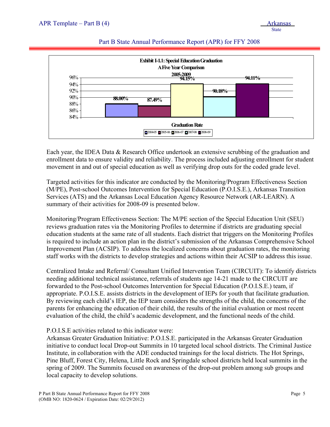

#### Part B State Annual Performance Report (APR) for FFY 2008

Each year, the IDEA Data & Research Office undertook an extensive scrubbing of the graduation and enrollment data to ensure validity and reliability. The process included adjusting enrollment for student movement in and out of special education as well as verifying drop outs for the coded grade level.

Targeted activities for this indicator are conducted by the Monitoring/Program Effectiveness Section (M/PE), Post-school Outcomes Intervention for Special Education (P.O.I.S.E.), Arkansas Transition Services (ATS) and the Arkansas Local Education Agency Resource Network (AR-LEARN). A summary of their activities for 2008-09 is presented below.

Monitoring/Program Effectiveness Section: The M/PE section of the Special Education Unit (SEU) reviews graduation rates via the Monitoring Profiles to determine if districts are graduating special education students at the same rate of all students. Each district that triggers on the Monitoring Profiles is required to include an action plan in the district's submission of the Arkansas Comprehensive School Improvement Plan (ACSIP). To address the localized concerns about graduation rates, the monitoring staff works with the districts to develop strategies and actions within their ACSIP to address this issue.

Centralized Intake and Referral/ Consultant Unified Intervention Team (CIRCUIT): To identify districts needing additional technical assistance, referrals of students age 14-21 made to the CIRCUIT are forwarded to the Post-school Outcomes Intervention for Special Education (P.O.I.S.E.) team, if appropriate. P.O.I.S.E. assists districts in the development of IEPs for youth that facilitate graduation. By reviewing each child's IEP, the IEP team considers the strengths of the child, the concerns of the parents for enhancing the education of their child, the results of the initial evaluation or most recent evaluation of the child, the child's academic development, and the functional needs of the child.

#### P.O.I.S.E activities related to this indicator were:

Arkansas Greater Graduation Initiative: P.O.I.S.E. participated in the Arkansas Greater Graduation initiative to conduct local Drop-out Summits in 10 targeted local school districts. The Criminal Justice Institute, in collaboration with the ADE conducted trainings for the local districts. The Hot Springs, Pine Bluff, Forest City, Helena, Little Rock and Springdale school districts held local summits in the spring of 2009. The Summits focused on awareness of the drop-out problem among sub groups and local capacity to develop solutions.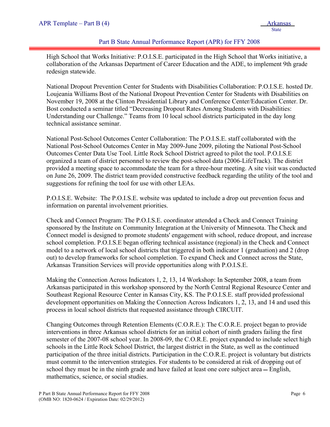#### Part B State Annual Performance Report (APR) for FFY 2008

High School that Works Initiative: P.O.I.S.E. participated in the High School that Works initiative, a collaboration of the Arkansas Department of Career Education and the ADE, to implement 9th grade redesign statewide.

National Dropout Prevention Center for Students with Disabilities Collaboration: P.O.I.S.E. hosted Dr. Loujeania Williams Bost of the National Dropout Prevention Center for Students with Disabilities on November 19, 2008 at the Clinton Presidential Library and Conference Center/Education Center. Dr. Bost conducted a seminar titled "Decreasing Dropout Rates Among Students with Disabilities: Understanding our Challenge." Teams from 10 local school districts participated in the day long technical assistance seminar.

National Post-School Outcomes Center Collaboration: The P.O.I.S.E. staff collaborated with the National Post-School Outcomes Center in May 2009-June 2009, piloting the National Post-School Outcomes Center Data Use Tool. Little Rock School District agreed to pilot the tool. P.O.I.S.E organized a team of district personnel to review the post-school data (2006-LifeTrack). The district provided a meeting space to accommodate the team for a three-hour meeting. A site visit was conducted on June 26, 2009. The district team provided constructive feedback regarding the utility of the tool and suggestions for refining the tool for use with other LEAs.

P.O.I.S.E. Website: The P.O.I.S.E. website was updated to include a drop out prevention focus and information on parental involvement priorities.

Check and Connect Program: The P.O.I.S.E. coordinator attended a Check and Connect Training sponsored by the Institute on Community Integration at the University of Minnesota. The Check and Connect model is designed to promote students' engagement with school, reduce dropout, and increase school completion. P.O.I.S.E began offering technical assistance (regional) in the Check and Connect model to a network of local school districts that triggered in both indicator 1 (graduation) and 2 (drop out) to develop frameworks for school completion. To expand Check and Connect across the State, Arkansas Transition Services will provide opportunities along with P.O.I.S.E.

Making the Connection Across Indicators 1, 2, 13, 14 Workshop: In September 2008, a team from Arkansas participated in this workshop sponsored by the North Central Regional Resource Center and Southeast Regional Resource Center in Kansas City, KS. The P.O.I.S.E. staff provided professional development opportunities on Making the Connection Across Indicators 1, 2, 13, and 14 and used this process in local school districts that requested assistance through CIRCUIT.

Changing Outcomes through Retention Elements (C.O.R.E.): The C.O.R.E. project began to provide interventions in three Arkansas school districts for an initial cohort of ninth graders failing the first semester of the 2007-08 school year. In 2008-09, the C.O.R.E. project expanded to include select high schools in the Little Rock School District, the largest district in the State, as well as the continued participation of the three initial districts. Participation in the C.O.R.E. project is voluntary but districts must commit to the intervention strategies. For students to be considered at risk of dropping out of school they must be in the ninth grade and have failed at least one core subject area – English, mathematics, science, or social studies.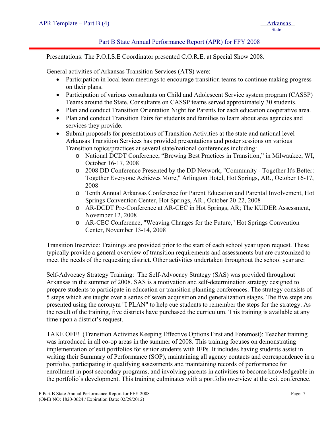#### Part B State Annual Performance Report (APR) for FFY 2008

Presentations: The P.O.I.S.E Coordinator presented C.O.R.E. at Special Show 2008.

General activities of Arkansas Transition Services (ATS) were:

- Participation in local team meetings to encourage transition teams to continue making progress on their plans.
- Participation of various consultants on Child and Adolescent Service system program (CASSP) Teams around the State. Consultants on CASSP teams served approximately 30 students.
- Plan and conduct Transition Orientation Night for Parents for each education cooperative area.
- Plan and conduct Transition Fairs for students and families to learn about area agencies and services they provide.
- Submit proposals for presentations of Transition Activities at the state and national level— Arkansas Transition Services has provided presentations and poster sessions on various Transition topics/practices at several state/national conferences including:
	- o National DCDT Conference, "Brewing Best Practices in Transition," in Milwaukee, WI, October 16-17, 2008
	- o 2008 DD Conference Presented by the DD Network, "Community Together It's Better: Together Everyone Achieves More," Arlington Hotel, Hot Springs, AR., October 16-17, 2008
	- o Tenth Annual Arkansas Conference for Parent Education and Parental Involvement, Hot Springs Convention Center, Hot Springs, AR., October 20-22, 2008
	- o AR-DCDT Pre-Conference at AR-CEC in Hot Springs, AR; The KUDER Assessment, November 12, 2008
	- o AR-CEC Conference, "Weaving Changes for the Future," Hot Springs Convention Center, November 13-14, 2008

Transition Inservice: Trainings are provided prior to the start of each school year upon request. These typically provide a general overview of transition requirements and assessments but are customized to meet the needs of the requesting district. Other activities undertaken throughout the school year are:

Self-Advocacy Strategy Training: The Self-Advocacy Strategy (SAS) was provided throughout Arkansas in the summer of 2008. SAS is a motivation and self-determination strategy designed to prepare students to participate in education or transition planning conferences. The strategy consists of 5 steps which are taught over a series of seven acquisition and generalization stages. The five steps are presented using the acronym "I PLAN" to help cue students to remember the steps for the strategy. As the result of the training, five districts have purchased the curriculum. This training is available at any time upon a district's request.

TAKE OFF! (Transition Activities Keeping Effective Options First and Foremost): Teacher training was introduced in all co-op areas in the summer of 2008. This training focuses on demonstrating implementation of exit portfolios for senior students with IEPs. It includes having students assist in writing their Summary of Performance (SOP), maintaining all agency contacts and correspondence in a portfolio, participating in qualifying assessments and maintaining records of performance for enrollment in post secondary programs, and involving parents in activities to become knowledgeable in the portfolio's development. This training culminates with a portfolio overview at the exit conference.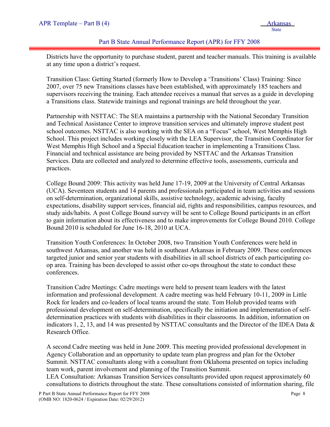#### Part B State Annual Performance Report (APR) for FFY 2008

Districts have the opportunity to purchase student, parent and teacher manuals. This training is available at any time upon a district's request.

Transition Class: Getting Started (formerly How to Develop a 'Transitions' Class) Training: Since 2007, over 75 new Transitions classes have been established, with approximately 185 teachers and supervisors receiving the training. Each attendee receives a manual that serves as a guide in developing a Transitions class. Statewide trainings and regional trainings are held throughout the year.

Partnership with NSTTAC: The SEA maintains a partnership with the National Secondary Transition and Technical Assistance Center to improve transition services and ultimately improve student post school outcomes. NSTTAC is also working with the SEA on a "Focus" school, West Memphis High School. This project includes working closely with the LEA Supervisor, the Transition Coordinator for West Memphis High School and a Special Education teacher in implementing a Transitions Class. Financial and technical assistance are being provided by NSTTAC and the Arkansas Transition Services. Data are collected and analyzed to determine effective tools, assessments, curricula and practices.

College Bound 2009: This activity was held June 17-19, 2009 at the University of Central Arkansas (UCA). Seventeen students and 14 parents and professionals participated in team activities and sessions on self-determination, organizational skills, assistive technology, academic advising, faculty expectations, disability support services, financial aid, rights and responsibilities, campus resources, and study aids/habits. A post College Bound survey will be sent to College Bound participants in an effort to gain information about its effectiveness and to make improvements for College Bound 2010. College Bound 2010 is scheduled for June 16-18, 2010 at UCA.

Transition Youth Conferences: In October 2008, two Transition Youth Conferences were held in southwest Arkansas, and another was held in southeast Arkansas in February 2009. These conferences targeted junior and senior year students with disabilities in all school districts of each participating coop area. Training has been developed to assist other co-ops throughout the state to conduct these conferences.

Transition Cadre Meetings: Cadre meetings were held to present team leaders with the latest information and professional development. A cadre meeting was held February 10-11, 2009 in Little Rock for leaders and co-leaders of local teams around the state. Tom Holub provided teams with professional development on self-determination, specifically the initiation and implementation of selfdetermination practices with students with disabilities in their classrooms. In addition, information on indicators 1, 2, 13, and 14 was presented by NSTTAC consultants and the Director of the IDEA Data & Research Office.

A second Cadre meeting was held in June 2009. This meeting provided professional development in Agency Collaboration and an opportunity to update team plan progress and plan for the October Summit. NSTTAC consultants along with a consultant from Oklahoma presented on topics including team work, parent involvement and planning of the Transition Summit.

LEA Consultation: Arkansas Transition Services consultants provided upon request approximately 60 consultations to districts throughout the state. These consultations consisted of information sharing, file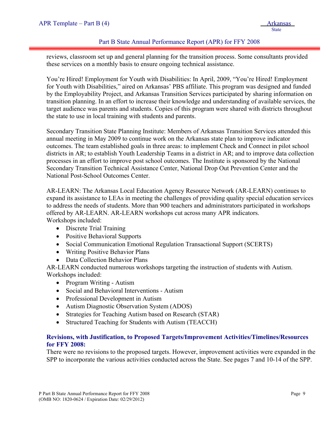#### Part B State Annual Performance Report (APR) for FFY 2008

reviews, classroom set up and general planning for the transition process. Some consultants provided these services on a monthly basis to ensure ongoing technical assistance.

You're Hired! Employment for Youth with Disabilities: In April, 2009, "You're Hired! Employment for Youth with Disabilities," aired on Arkansas' PBS affiliate. This program was designed and funded by the Employability Project, and Arkansas Transition Services participated by sharing information on transition planning. In an effort to increase their knowledge and understanding of available services, the target audience was parents and students. Copies of this program were shared with districts throughout the state to use in local training with students and parents.

Secondary Transition State Planning Institute: Members of Arkansas Transition Services attended this annual meeting in May 2009 to continue work on the Arkansas state plan to improve indicator outcomes. The team established goals in three areas: to implement Check and Connect in pilot school districts in AR; to establish Youth Leadership Teams in a district in AR; and to improve data collection processes in an effort to improve post school outcomes. The Institute is sponsored by the National Secondary Transition Technical Assistance Center, National Drop Out Prevention Center and the National Post-School Outcomes Center.

AR-LEARN: The Arkansas Local Education Agency Resource Network (AR-LEARN) continues to expand its assistance to LEAs in meeting the challenges of providing quality special education services to address the needs of students. More than 900 teachers and administrators participated in workshops offered by AR-LEARN. AR-LEARN workshops cut across many APR indicators. Workshops included:

- Discrete Trial Training
- Positive Behavioral Supports
- Social Communication Emotional Regulation Transactional Support (SCERTS)
- Writing Positive Behavior Plans
- Data Collection Behavior Plans

AR-LEARN conducted numerous workshops targeting the instruction of students with Autism. Workshops included:

- Program Writing Autism
- Social and Behavioral Interventions Autism
- Professional Development in Autism
- Autism Diagnostic Observation System (ADOS)
- Strategies for Teaching Autism based on Research (STAR)
- Structured Teaching for Students with Autism (TEACCH)

#### **Revisions, with Justification, to Proposed Targets/Improvement Activities/Timelines/Resources for FFY 2008:**

There were no revisions to the proposed targets. However, improvement activities were expanded in the SPP to incorporate the various activities conducted across the State. See pages 7 and 10-14 of the SPP.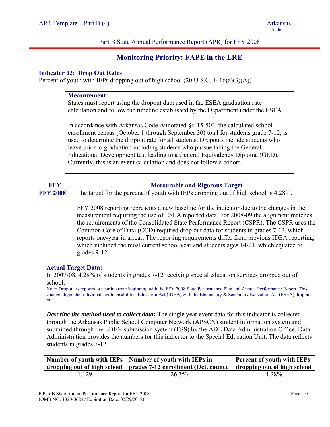Part B State Annual Performance Report (APR) for FFY 2008

# **Monitoring Priority: FAPE in the LRE**

#### **Indicator 02: Drop Out Rates**

Percent of youth with IEPs dropping out of high school  $(20 \text{ U.S.C. } 1416(a)(3)(A))$ 

#### **Measurement:**

States must report using the dropout data used in the ESEA graduation rate calculation and follow the timeline established by the Department under the ESEA.

In accordance with Arkansas Code Annotated §6-15-503, the calculated school enrollment census (October 1 through September 30) total for students grade 7-12, is used to determine the dropout rate for all students. Dropouts include students who leave prior to graduation including students who pursue taking the General Educational Development test leading to a General Equivalency Diploma (GED). Currently, this is an event calculation and does not follow a cohort.

| <b>FFY</b>      | <b>Measurable and Rigorous Target</b>                                                                                                                                                                                                                                                                                                                                                                                                                                                                                                                                        |
|-----------------|------------------------------------------------------------------------------------------------------------------------------------------------------------------------------------------------------------------------------------------------------------------------------------------------------------------------------------------------------------------------------------------------------------------------------------------------------------------------------------------------------------------------------------------------------------------------------|
| <b>FFY 2008</b> | The target for the percent of youth with IEPs dropping out of high school is 4.28%.                                                                                                                                                                                                                                                                                                                                                                                                                                                                                          |
|                 | FFY 2008 reporting represents a new baseline for the indicator due to the changes in the<br>measurement requiring the use of ESEA reported data. For 2008-09 the alignment matches<br>the requirements of the Consolidated State Performance Report (CSPR). The CSPR uses the<br>Common Core of Data (CCD) required drop out data for students in grades 7-12, which<br>reports one-year in arrear. The reporting requirements differ from previous IDEA reporting,<br>which included the most current school year and students ages 14-21, which equated to<br>grades 9-12. |
| school.         | <b>Actual Target Data:</b><br>In 2007-08, 4.28% of students in grades 7-12 receiving special education services dropped out of                                                                                                                                                                                                                                                                                                                                                                                                                                               |

Note: Dropout is reported a year in arrear beginning with the FFY 2008 State Performance Plan and Annual Performance Report. This change aligns the Individuals with Disabilities Education Act (IDEA) with the Elementary & Secondary Education Act (ESEA) dropout rate.

*Describe the method used to collect data:* The single year event data for this indicator is collected through the Arkansas Public School Computer Network (APSCN) student information system and submitted through the EDEN submission system (ESS) by the ADE Data Administration Office. Data Administration provides the numbers for this indicator to the Special Education Unit. The data reflects students in grades 7-12.

|       | Number of youth with IEPs   Number of youth with IEPs in<br>  dropping out of high school   grades 7-12 enrollment (Oct. count).   dropping out of high school | <b>Percent of youth with IEPs</b> |
|-------|----------------------------------------------------------------------------------------------------------------------------------------------------------------|-----------------------------------|
| 1.129 | 26,353                                                                                                                                                         | 4.28%                             |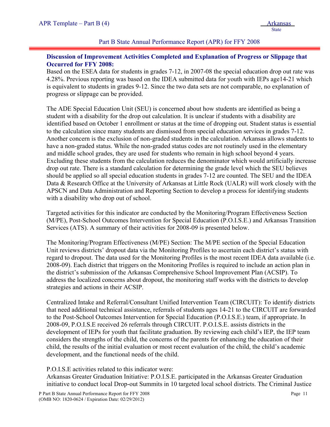Part B State Annual Performance Report (APR) for FFY 2008

#### **Discussion of Improvement Activities Completed and Explanation of Progress or Slippage that Occurred for FFY 2008:**

Based on the ESEA data for students in grades 7-12, in 2007-08 the special education drop out rate was 4.28%. Previous reporting was based on the IDEA submitted data for youth with IEPs age14-21 which is equivalent to students in grades 9-12. Since the two data sets are not comparable, no explanation of progress or slippage can be provided.

The ADE Special Education Unit (SEU) is concerned about how students are identified as being a student with a disability for the drop out calculation. It is unclear if students with a disability are identified based on October 1 enrollment or status at the time of dropping out. Student status is essential to the calculation since many students are dismissed from special education services in grades 7-12. Another concern is the exclusion of non-graded students in the calculation. Arkansas allows students to have a non-graded status. While the non-graded status codes are not routinely used in the elementary and middle school grades, they are used for students who remain in high school beyond 4 years. Excluding these students from the calculation reduces the denominator which would artificially increase drop out rate. There is a standard calculation for determining the grade level which the SEU believes should be applied so all special education students in grades 7-12 are counted. The SEU and the IDEA Data & Research Office at the University of Arkansas at Little Rock (UALR) will work closely with the APSCN and Data Administration and Reporting Section to develop a process for identifying students with a disability who drop out of school.

Targeted activities for this indicator are conducted by the Monitoring/Program Effectiveness Section (M/PE), Post-School Outcomes Intervention for Special Education (P.O.I.S.E.) and Arkansas Transition Services (ATS). A summary of their activities for 2008-09 is presented below.

The Monitoring/Program Effectiveness (M/PE) Section: The M/PE section of the Special Education Unit reviews districts' dropout data via the Monitoring Profiles to ascertain each district's status with regard to dropout. The data used for the Monitoring Profiles is the most recent IDEA data available (i.e. 2008-09). Each district that triggers on the Monitoring Profiles is required to include an action plan in the district's submission of the Arkansas Comprehensive School Improvement Plan (ACSIP). To address the localized concerns about dropout, the monitoring staff works with the districts to develop strategies and actions in their ACSIP.

Centralized Intake and Referral/Consultant Unified Intervention Team (CIRCUIT): To identify districts that need additional technical assistance, referrals of students ages 14-21 to the CIRCUIT are forwarded to the Post-School Outcomes Intervention for Special Education (P.O.I.S.E.) team, if appropriate. In 2008-09, P.O.I.S.E received 26 referrals through CIRCUIT. P.O.I.S.E. assists districts in the development of IEPs for youth that facilitate graduation. By reviewing each child's IEP, the IEP team considers the strengths of the child, the concerns of the parents for enhancing the education of their child, the results of the initial evaluation or most recent evaluation of the child, the child's academic development, and the functional needs of the child.

P.O.I.S.E activities related to this indicator were:

Arkansas Greater Graduation Initiative: P.O.I.S.E. participated in the Arkansas Greater Graduation initiative to conduct local Drop-out Summits in 10 targeted local school districts. The Criminal Justice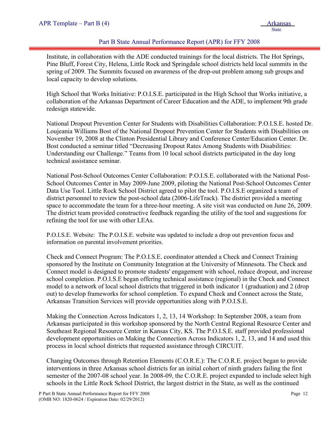#### Part B State Annual Performance Report (APR) for FFY 2008

Institute, in collaboration with the ADE conducted trainings for the local districts. The Hot Springs, Pine Bluff, Forest City, Helena, Little Rock and Springdale school districts held local summits in the spring of 2009. The Summits focused on awareness of the drop-out problem among sub groups and local capacity to develop solutions.

High School that Works Initiative: P.O.I.S.E. participated in the High School that Works initiative, a collaboration of the Arkansas Department of Career Education and the ADE, to implement 9th grade redesign statewide.

National Dropout Prevention Center for Students with Disabilities Collaboration: P.O.I.S.E. hosted Dr. Loujeania Williams Bost of the National Dropout Prevention Center for Students with Disabilities on November 19, 2008 at the Clinton Presidential Library and Conference Center/Education Center. Dr. Bost conducted a seminar titled "Decreasing Dropout Rates Among Students with Disabilities: Understanding our Challenge." Teams from 10 local school districts participated in the day long technical assistance seminar.

National Post-School Outcomes Center Collaboration: P.O.I.S.E. collaborated with the National Post-School Outcomes Center in May 2009-June 2009, piloting the National Post-School Outcomes Center Data Use Tool. Little Rock School District agreed to pilot the tool. P.O.I.S.E organized a team of district personnel to review the post-school data (2006-LifeTrack). The district provided a meeting space to accommodate the team for a three-hour meeting. A site visit was conducted on June 26, 2009. The district team provided constructive feedback regarding the utility of the tool and suggestions for refining the tool for use with other LEAs.

P.O.I.S.E. Website: The P.O.I.S.E. website was updated to include a drop out prevention focus and information on parental involvement priorities.

Check and Connect Program: The P.O.I.S.E. coordinator attended a Check and Connect Training sponsored by the Institute on Community Integration at the University of Minnesota. The Check and Connect model is designed to promote students' engagement with school, reduce dropout, and increase school completion. P.O.I.S.E began offering technical assistance (regional) in the Check and Connect model to a network of local school districts that triggered in both indicator 1 (graduation) and 2 (drop out) to develop frameworks for school completion. To expand Check and Connect across the State, Arkansas Transition Services will provide opportunities along with P.O.I.S.E.

Making the Connection Across Indicators 1, 2, 13, 14 Workshop: In September 2008, a team from Arkansas participated in this workshop sponsored by the North Central Regional Resource Center and Southeast Regional Resource Center in Kansas City, KS. The P.O.I.S.E. staff provided professional development opportunities on Making the Connection Across Indicators 1, 2, 13, and 14 and used this process in local school districts that requested assistance through CIRCUIT.

Changing Outcomes through Retention Elements (C.O.R.E.): The C.O.R.E. project began to provide interventions in three Arkansas school districts for an initial cohort of ninth graders failing the first semester of the 2007-08 school year. In 2008-09, the C.O.R.E. project expanded to include select high schools in the Little Rock School District, the largest district in the State, as well as the continued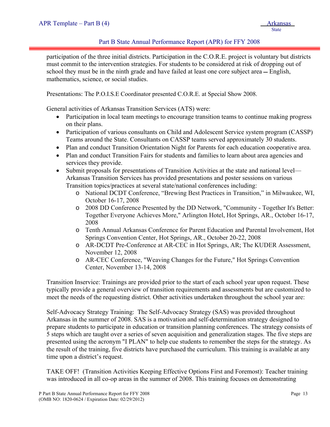#### Part B State Annual Performance Report (APR) for FFY 2008

participation of the three initial districts. Participation in the C.O.R.E. project is voluntary but districts must commit to the intervention strategies. For students to be considered at risk of dropping out of school they must be in the ninth grade and have failed at least one core subject area – English, mathematics, science, or social studies.

Presentations: The P.O.I.S.E Coordinator presented C.O.R.E. at Special Show 2008.

General activities of Arkansas Transition Services (ATS) were:

- Participation in local team meetings to encourage transition teams to continue making progress on their plans.
- Participation of various consultants on Child and Adolescent Service system program (CASSP) Teams around the State. Consultants on CASSP teams served approximately 30 students.
- Plan and conduct Transition Orientation Night for Parents for each education cooperative area.
- Plan and conduct Transition Fairs for students and families to learn about area agencies and services they provide.
- Submit proposals for presentations of Transition Activities at the state and national level— Arkansas Transition Services has provided presentations and poster sessions on various Transition topics/practices at several state/national conferences including:
	- o National DCDT Conference, "Brewing Best Practices in Transition," in Milwaukee, WI, October 16-17, 2008
	- o 2008 DD Conference Presented by the DD Network, "Community Together It's Better: Together Everyone Achieves More," Arlington Hotel, Hot Springs, AR., October 16-17, 2008
	- o Tenth Annual Arkansas Conference for Parent Education and Parental Involvement, Hot Springs Convention Center, Hot Springs, AR., October 20-22, 2008
	- o AR-DCDT Pre-Conference at AR-CEC in Hot Springs, AR; The KUDER Assessment, November 12, 2008
	- o AR-CEC Conference, "Weaving Changes for the Future," Hot Springs Convention Center, November 13-14, 2008

Transition Inservice: Trainings are provided prior to the start of each school year upon request. These typically provide a general overview of transition requirements and assessments but are customized to meet the needs of the requesting district. Other activities undertaken throughout the school year are:

Self-Advocacy Strategy Training: The Self-Advocacy Strategy (SAS) was provided throughout Arkansas in the summer of 2008. SAS is a motivation and self-determination strategy designed to prepare students to participate in education or transition planning conferences. The strategy consists of 5 steps which are taught over a series of seven acquisition and generalization stages. The five steps are presented using the acronym "I PLAN" to help cue students to remember the steps for the strategy. As the result of the training, five districts have purchased the curriculum. This training is available at any time upon a district's request.

TAKE OFF! (Transition Activities Keeping Effective Options First and Foremost): Teacher training was introduced in all co-op areas in the summer of 2008. This training focuses on demonstrating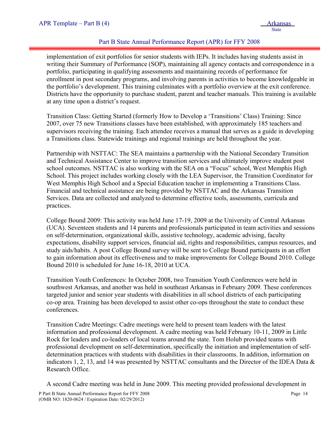#### Part B State Annual Performance Report (APR) for FFY 2008

implementation of exit portfolios for senior students with IEPs. It includes having students assist in writing their Summary of Performance (SOP), maintaining all agency contacts and correspondence in a portfolio, participating in qualifying assessments and maintaining records of performance for enrollment in post secondary programs, and involving parents in activities to become knowledgeable in the portfolio's development. This training culminates with a portfolio overview at the exit conference. Districts have the opportunity to purchase student, parent and teacher manuals. This training is available at any time upon a district's request.

Transition Class: Getting Started (formerly How to Develop a 'Transitions' Class) Training: Since 2007, over 75 new Transitions classes have been established, with approximately 185 teachers and supervisors receiving the training. Each attendee receives a manual that serves as a guide in developing a Transitions class. Statewide trainings and regional trainings are held throughout the year.

Partnership with NSTTAC: The SEA maintains a partnership with the National Secondary Transition and Technical Assistance Center to improve transition services and ultimately improve student post school outcomes. NSTTAC is also working with the SEA on a "Focus" school, West Memphis High School. This project includes working closely with the LEA Supervisor, the Transition Coordinator for West Memphis High School and a Special Education teacher in implementing a Transitions Class. Financial and technical assistance are being provided by NSTTAC and the Arkansas Transition Services. Data are collected and analyzed to determine effective tools, assessments, curricula and practices.

College Bound 2009: This activity was held June 17-19, 2009 at the University of Central Arkansas (UCA). Seventeen students and 14 parents and professionals participated in team activities and sessions on self-determination, organizational skills, assistive technology, academic advising, faculty expectations, disability support services, financial aid, rights and responsibilities, campus resources, and study aids/habits. A post College Bound survey will be sent to College Bound participants in an effort to gain information about its effectiveness and to make improvements for College Bound 2010. College Bound 2010 is scheduled for June 16-18, 2010 at UCA.

Transition Youth Conferences: In October 2008, two Transition Youth Conferences were held in southwest Arkansas, and another was held in southeast Arkansas in February 2009. These conferences targeted junior and senior year students with disabilities in all school districts of each participating co-op area. Training has been developed to assist other co-ops throughout the state to conduct these conferences.

Transition Cadre Meetings: Cadre meetings were held to present team leaders with the latest information and professional development. A cadre meeting was held February 10-11, 2009 in Little Rock for leaders and co-leaders of local teams around the state. Tom Holub provided teams with professional development on self-determination, specifically the initiation and implementation of selfdetermination practices with students with disabilities in their classrooms. In addition, information on indicators 1, 2, 13, and 14 was presented by NSTTAC consultants and the Director of the IDEA Data & Research Office.

A second Cadre meeting was held in June 2009. This meeting provided professional development in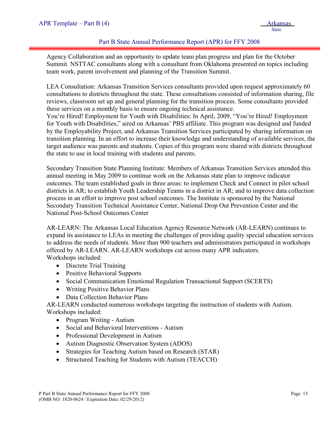#### Part B State Annual Performance Report (APR) for FFY 2008

Agency Collaboration and an opportunity to update team plan progress and plan for the October Summit. NSTTAC consultants along with a consultant from Oklahoma presented on topics including team work, parent involvement and planning of the Transition Summit.

LEA Consultation: Arkansas Transition Services consultants provided upon request approximately 60 consultations to districts throughout the state. These consultations consisted of information sharing, file reviews, classroom set up and general planning for the transition process. Some consultants provided these services on a monthly basis to ensure ongoing technical assistance.

You're Hired! Employment for Youth with Disabilities: In April, 2009, "You're Hired! Employment for Youth with Disabilities," aired on Arkansas' PBS affiliate. This program was designed and funded by the Employability Project, and Arkansas Transition Services participated by sharing information on transition planning. In an effort to increase their knowledge and understanding of available services, the target audience was parents and students. Copies of this program were shared with districts throughout the state to use in local training with students and parents.

Secondary Transition State Planning Institute: Members of Arkansas Transition Services attended this annual meeting in May 2009 to continue work on the Arkansas state plan to improve indicator outcomes. The team established goals in three areas: to implement Check and Connect in pilot school districts in AR; to establish Youth Leadership Teams in a district in AR; and to improve data collection process in an effort to improve post school outcomes. The Institute is sponsored by the National Secondary Transition Technical Assistance Center, National Drop Out Prevention Center and the National Post-School Outcomes Center

AR-LEARN: The Arkansas Local Education Agency Resource Network (AR-LEARN) continues to expand its assistance to LEAs in meeting the challenges of providing quality special education services to address the needs of students. More than 900 teachers and administrators participated in workshops offered by AR-LEARN. AR-LEARN workshops cut across many APR indicators. Workshops included:

- Discrete Trial Training
- Positive Behavioral Supports
- Social Communication Emotional Regulation Transactional Support (SCERTS)
- Writing Positive Behavior Plans
- Data Collection Behavior Plans

AR-LEARN conducted numerous workshops targeting the instruction of students with Autism. Workshops included:

- Program Writing Autism
- Social and Behavioral Interventions Autism
- Professional Development in Autism
- Autism Diagnostic Observation System (ADOS)
- Strategies for Teaching Autism based on Research (STAR)
- Structured Teaching for Students with Autism (TEACCH)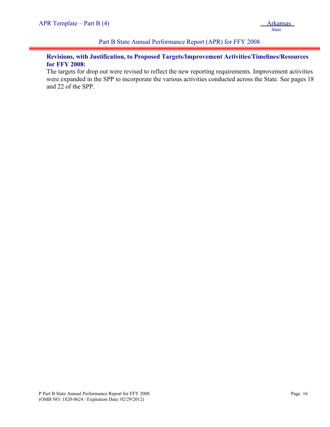#### Part B State Annual Performance Report (APR) for FFY 2008

#### **Revisions, with Justification, to Proposed Targets/Improvement Activities/Timelines/Resources for FFY 2008:**

The targets for drop out were revised to reflect the new reporting requirements. Improvement activities were expanded in the SPP to incorporate the various activities conducted across the State. See pages 18 and 22 of the SPP.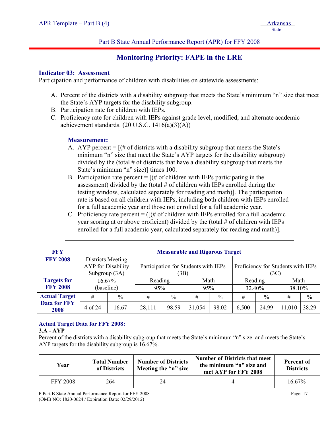#### Part B State Annual Performance Report (APR) for FFY 2008

# **Monitoring Priority: FAPE in the LRE**

#### **Indicator 03: Assessment**

i

Participation and performance of children with disabilities on statewide assessments:

- A. Percent of the districts with a disability subgroup that meets the State's minimum "n" size that meet the State's AYP targets for the disability subgroup.
- B. Participation rate for children with IEPs.
- C. Proficiency rate for children with IEPs against grade level, modified, and alternate academic achievement standards.  $(20 U.S.C. 1416(a)(3)(A))$

#### **Measurement:**

- A. AYP percent  $=$   $[(\# \text{ of districts with a disability subgroup that meets the State's}]$ minimum "n" size that meet the State's AYP targets for the disability subgroup) divided by the (total  $\#$  of districts that have a disability subgroup that meets the State's minimum "n" size)] times 100.
- B. Participation rate percent  $=$   $[(# of children with IEPs participating in the$ assessment) divided by the (total  $#$  of children with IEPs enrolled during the testing window, calculated separately for reading and math)]. The participation rate is based on all children with IEPs, including both children with IEPs enrolled for a full academic year and those not enrolled for a full academic year.
- C. Proficiency rate percent =  $([H \text{ of children with IEPs enrolled for a full academic}]$ year scoring at or above proficient) divided by the (total # of children with IEPs enrolled for a full academic year, calculated separately for reading and math)].

| <b>FFY</b>                  | <b>Measurable and Rigorous Target</b>                           |       |                                      |                                          |        |               |         |               |        |       |
|-----------------------------|-----------------------------------------------------------------|-------|--------------------------------------|------------------------------------------|--------|---------------|---------|---------------|--------|-------|
| <b>FFY 2008</b>             | Districts Meeting<br><b>AYP</b> for Disability<br>Subgroup (3A) |       | Participation for Students with IEPs | Proficiency for Students with IEPs<br>3C |        |               |         |               |        |       |
| <b>Targets for</b>          | 16.67%                                                          |       | Reading                              |                                          | Math   |               | Reading |               | Math   |       |
| <b>FFY 2008</b>             | (baseline)                                                      |       | 95%                                  |                                          | 95%    |               | 32.40%  |               | 38.10% |       |
| <b>Actual Target</b>        | #<br>$\frac{0}{0}$                                              |       | #                                    | $\frac{0}{0}$                            | #      | $\frac{0}{0}$ | #       | $\frac{0}{0}$ | #      | $\%$  |
| <b>Data for FFY</b><br>2008 | 4 of 24                                                         | 16.67 | 28,111                               | 98.59                                    | 31,054 | 98.02         | 6,500   | 24.99         | 11,010 | 38.29 |

#### **Actual Target Data for FFY 2008:**

#### **3.A - AYP**

Percent of the districts with a disability subgroup that meets the State's minimum "n" size and meets the State's AYP targets for the disability subgroup is 16.67%.

| Year            | <b>Total Number</b><br>of Districts | <b>Number of Districts</b><br>Meeting the "n" size | <b>Number of Districts that meet</b><br>the minimum "n" size and<br>met AYP for FFY 2008 | Percent of<br><b>Districts</b> |
|-----------------|-------------------------------------|----------------------------------------------------|------------------------------------------------------------------------------------------|--------------------------------|
| <b>FFY 2008</b> | 264                                 | 24                                                 |                                                                                          | $16.67\%$                      |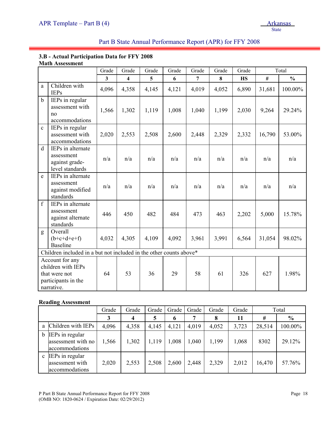#### **3.B - Actual Participation Data for FFY 2008 Math Assessment**

|              |                                                                                             | Grade        | Grade                   | Grade | Grade | Grade          | Grade | Grade     |        | Total         |
|--------------|---------------------------------------------------------------------------------------------|--------------|-------------------------|-------|-------|----------------|-------|-----------|--------|---------------|
|              |                                                                                             | $\mathbf{3}$ | $\overline{\mathbf{4}}$ | 5     | 6     | $\overline{7}$ | 8     | <b>HS</b> | #      | $\frac{0}{0}$ |
| a            | Children with<br><b>IEPs</b>                                                                | 4,096        | 4,358                   | 4,145 | 4,121 | 4,019          | 4,052 | 6,890     | 31,681 | 100.00%       |
| $\mathbf b$  | IEPs in regular<br>assessment with<br>no<br>accommodations                                  | 1,566        | 1,302                   | 1,119 | 1,008 | 1,040          | 1,199 | 2,030     | 9,264  | 29.24%        |
| $\mathbf{c}$ | IEPs in regular<br>assessment with<br>accommodations                                        | 2,020        | 2,553                   | 2,508 | 2,600 | 2,448          | 2,329 | 2,332     | 16,790 | 53.00%        |
| $\mathbf d$  | IEPs in alternate<br>assessment<br>against grade-<br>level standards                        | n/a          | n/a                     | n/a   | n/a   | n/a            | n/a   | n/a       | n/a    | n/a           |
| e            | IEPs in alternate<br>assessment<br>against modified<br>standards                            | n/a          | n/a                     | n/a   | n/a   | n/a            | n/a   | n/a       | n/a    | n/a           |
| $\mathbf f$  | IEPs in alternate<br>assessment<br>against alternate<br>standards                           | 446          | 450                     | 482   | 484   | 473            | 463   | 2,202     | 5,000  | 15.78%        |
| g            | Overall<br>$(b+c+d+e+f)$<br><b>Baseline</b>                                                 | 4,032        | 4,305                   | 4,109 | 4,092 | 3,961          | 3,991 | 6,564     | 31,054 | 98.02%        |
|              | Children included in a but not included in the other counts above*                          |              |                         |       |       |                |       |           |        |               |
|              | Account for any<br>children with IEPs<br>that were not<br>participants in the<br>narrative. | 64           | 53                      | 36    | 29    | 58             | 61    | 326       | 627    | 1.98%         |

#### **Reading Assessment**

|   | $\overline{ }$                                          | Grade | Grade            | Grade | Grade | Grade | Grade | Grade |        | Total         |
|---|---------------------------------------------------------|-------|------------------|-------|-------|-------|-------|-------|--------|---------------|
|   |                                                         |       | $\boldsymbol{4}$ | 5     | 6     |       | 8     | 11    | #      | $\frac{0}{0}$ |
|   | Children with IEPs                                      | 4,096 | 4,358            | 4,145 | 4,121 | 4,019 | 4,052 | 3,723 | 28,514 | 100.00%       |
| b | IEPs in regular<br>assessment with no<br>accommodations | 1,566 | 1,302            | 1,119 | 1,008 | 1,040 | 1,199 | 1,068 | 8302   | 29.12%        |
|   | IEPs in regular<br>assessment with<br>accommodations    | 2,020 | 2,553            | 2,508 | 2,600 | 2,448 | 2,329 | 2,012 | 16,470 | 57.76%        |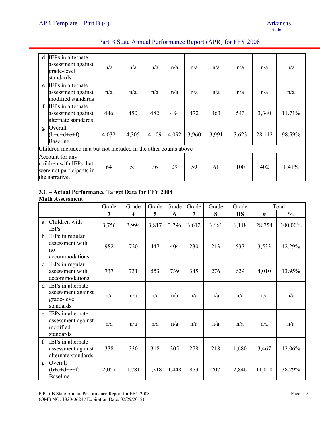| <sub>d</sub> | IEPs in alternate<br>assessment against<br>grade-level<br>standards                      | n/a   | n/a   | n/a   | n/a   | n/a   | n/a   | n/a   | n/a    | n/a    |
|--------------|------------------------------------------------------------------------------------------|-------|-------|-------|-------|-------|-------|-------|--------|--------|
| e            | IEPs in alternate<br>assessment against<br>modified standards                            | n/a   | n/a   | n/a   | n/a   | n/a   | n/a   | n/a   | n/a    | n/a    |
| $\mathbf{f}$ | IEPs in alternate<br>assessment against<br>alternate standards                           | 446   | 450   | 482   | 484   | 472   | 463   | 543   | 3,340  | 11.71% |
| g            | Overall<br>$(b+c+d+e+f)$<br><b>Baseline</b>                                              | 4,032 | 4,305 | 4,109 | 4,092 | 3,960 | 3,991 | 3,623 | 28,112 | 98.59% |
|              | Children included in a but not included in the other counts above                        |       |       |       |       |       |       |       |        |        |
|              | Account for any<br>children with IEPs that<br>were not participants in<br>the narrative. | 64    | 53    | 36    | 29    | 59    | 61    | 100   | 402    | 1.41%  |

## Part B State Annual Performance Report (APR) for FFY 2008

### **3.C – Actual Performance Target Data for FFY 2008**

**Math Assessment** 

|                  |                                                                     | Grade | Grade                   | Grade | Grade | Grade | Grade | Grade     |        | Total         |
|------------------|---------------------------------------------------------------------|-------|-------------------------|-------|-------|-------|-------|-----------|--------|---------------|
|                  |                                                                     | 3     | $\overline{\mathbf{4}}$ | 5     | 6     | 7     | 8     | <b>HS</b> | #      | $\frac{0}{0}$ |
| a                | Children with<br><b>IEPs</b>                                        | 3,756 | 3,994                   | 3,817 | 3,796 | 3,612 | 3,661 | 6,118     | 28,754 | 100.00%       |
| $\mathbf b$      | IEPs in regular<br>assessment with<br>no<br>accommodations          | 982   | 720                     | 447   | 404   | 230   | 213   | 537       | 3,533  | 12.29%        |
| $\mathbf{c}$     | IEPs in regular<br>assessment with<br>accommodations                | 737   | 731                     | 553   | 739   | 345   | 276   | 629       | 4,010  | 13.95%        |
| d                | IEPs in alternate<br>assessment against<br>grade-level<br>standards | n/a   | n/a                     | n/a   | n/a   | n/a   | n/a   | n/a       | n/a    | n/a           |
| e                | IEPs in alternate<br>assessment against<br>modified<br>standards    | n/a   | n/a                     | n/a   | n/a   | n/a   | n/a   | n/a       | n/a    | n/a           |
| $\boldsymbol{f}$ | IEPs in alternate<br>assessment against<br>alternate standards      | 338   | 330                     | 318   | 305   | 278   | 218   | 1,680     | 3,467  | 12.06%        |
| g                | Overall<br>$(b+c+d+e+f)$<br><b>Baseline</b>                         | 2,057 | 1,781                   | 1,318 | 1,448 | 853   | 707   | 2,846     | 11,010 | 38.29%        |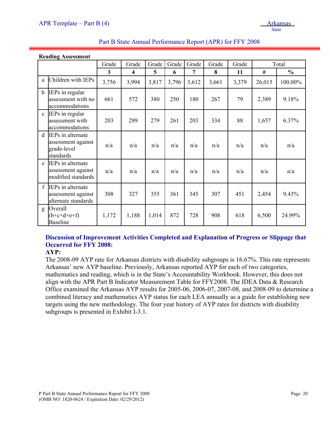|              | <b>Reading Assessment</b>                                           |                         |                         |       |       |       |       |       |        |               |
|--------------|---------------------------------------------------------------------|-------------------------|-------------------------|-------|-------|-------|-------|-------|--------|---------------|
|              |                                                                     | Grade                   | Grade                   | Grade | Grade | Grade | Grade | Grade |        | Total         |
|              |                                                                     | $\overline{\mathbf{3}}$ | $\overline{\mathbf{4}}$ | 5     | 6     | 7     | 8     | 11    | #      | $\frac{0}{0}$ |
| a            | Children with IEPs                                                  | 3,756                   | 3,994                   | 3,817 | 3,796 | 3,612 | 3,661 | 3,379 | 26,015 | 100.00%       |
| $\mathbf b$  | IEPs in regular<br>assessment with no<br>accommodations             | 661                     | 572                     | 380   | 250   | 180   | 267   | 79    | 2,389  | 9.18%         |
| $\mathbf{c}$ | IEPs in regular<br>assessment with<br>accommodations                | 203                     | 289                     | 279   | 261   | 203   | 334   | 88    | 1,657  | 6.37%         |
| d            | IEPs in alternate<br>assessment against<br>grade-level<br>standards | n/a                     | n/a                     | n/a   | n/a   | n/a   | n/a   | n/a   | n/a    | n/a           |
| e            | IEPs in alternate<br>assessment against<br>modified standards       | n/a                     | n/a                     | n/a   | n/a   | n/a   | n/a   | n/a   | n/a    | n/a           |
| f            | IEPs in alternate<br>assessment against<br>alternate standards      | 308                     | 327                     | 355   | 361   | 345   | 307   | 451   | 2,454  | 9.43%         |
| g            | Overall<br>$(b+c+d+e+f)$<br><b>Baseline</b>                         | 1,172                   | 1,188                   | 1,014 | 872   | 728   | 908   | 618   | 6,500  | 24.99%        |

# **Discussion of Improvement Activities Completed and Explanation of Progress or Slippage that Occurred for FFY 2008:**

**AYP:** 

The 2008-09 AYP rate for Arkansas districts with disability subgroups is 16.67%. This rate represents Arkansas' new AYP baseline. Previously, Arkansas reported AYP for each of two categories, mathematics and reading, which is in the State's Accountability Workbook. However, this does not align with the APR Part B Indicator Measurement Table for FFY2008. The IDEA Data & Research Office examined the Arkansas AYP results for 2005-06, 2006-07, 2007-08, and 2008-09 to determine a combined literacy and mathematics AYP status for each LEA annually as a guide for establishing new targets using the new methodology. The four year history of AYP rates for districts with disability subgroups is presented in Exhibit I-3.1.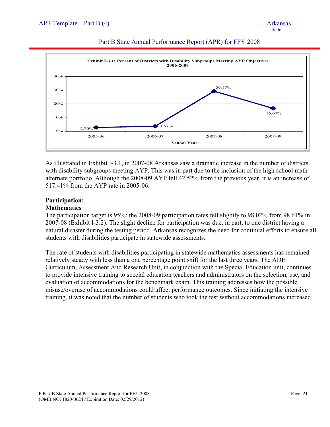

#### Part B State Annual Performance Report (APR) for FFY 2008

As illustrated in Exhibit I-3.1, in 2007-08 Arkansas saw a dramatic increase in the number of districts with disability subgroups meeting AYP. This was in part due to the inclusion of the high school math alternate portfolio. Although the 2008-09 AYP fell 42.52% from the previous year, it is an increase of 517.41% from the AYP rate in 2005-06.

#### **Participation: Mathematics**

The participation target is 95%; the 2008-09 participation rates fell slightly to 98.02% from 98.61% in 2007-08 (Exhibit I-3.2). The slight decline for participation was due, in part, to one district having a natural disaster during the testing period. Arkansas recognizes the need for continual efforts to ensure all students with disabilities participate in statewide assessments.

The rate of students with disabilities participating in statewide mathematics assessments has remained relatively steady with less than a one percentage point shift for the last three years. The ADE Curriculum, Assessment And Research Unit, in conjunction with the Special Education unit, continues to provide intensive training to special education teachers and administrators on the selection, use, and evaluation of accommodations for the benchmark exam. This training addresses how the possible misuse/overuse of accommodations could affect performance outcomes. Since initiating the intensive training, it was noted that the number of students who took the test without accommodations increased.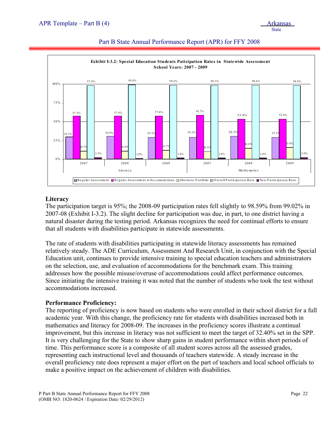

#### Part B State Annual Performance Report (APR) for FFY 2008

#### **Literacy**

The participation target is 95%; the 2008-09 participation rates fell slightly to 98.59% from 99.02% in 2007-08 (Exhibit I-3.2). The slight decline for participation was due, in part, to one district having a natural disaster during the testing period. Arkansas recognizes the need for continual efforts to ensure that all students with disabilities participate in statewide assessments.

The rate of students with disabilities participating in statewide literacy assessments has remained relatively steady. The ADE Curriculum, Assessment And Research Unit, in conjunction with the Special Education unit, continues to provide intensive training to special education teachers and administrators on the selection, use, and evaluation of accommodations for the benchmark exam. This training addresses how the possible misuse/overuse of accommodations could affect performance outcomes. Since initiating the intensive training it was noted that the number of students who took the test without accommodations increased.

#### **Performance Proficiency:**

The reporting of proficiency is now based on students who were enrolled in their school district for a full academic year. With this change, the proficiency rate for students with disabilities increased both in mathematics and literacy for 2008-09. The increases in the proficiency scores illustrate a continual improvement, but this increase in literacy was not sufficient to meet the target of 32.40% set in the SPP. It is very challenging for the State to show sharp gains in student performance within short periods of time. This performance score is a composite of all student scores across all the assessed grades, representing each instructional level and thousands of teachers statewide. A steady increase in the overall proficiency rate does represent a major effort on the part of teachers and local school officials to make a positive impact on the achievement of children with disabilities.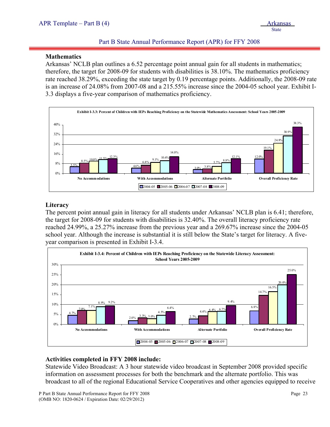#### Part B State Annual Performance Report (APR) for FFY 2008

#### **Mathematics**

i

Arkansas' NCLB plan outlines a 6.52 percentage point annual gain for all students in mathematics; therefore, the target for 2008-09 for students with disabilities is 38.10%. The mathematics proficiency rate reached 38.29%, exceeding the state target by 0.19 percentage points. Additionally, the 2008-09 rate is an increase of 24.08% from 2007-08 and a 215.55% increase since the 2004-05 school year. Exhibit I-3.3 displays a five-year comparison of mathematics proficiency.



#### **Literacy**

The percent point annual gain in literacy for all students under Arkansas' NCLB plan is 6.41; therefore, the target for 2008-09 for students with disabilities is 32.40%. The overall literacy proficiency rate reached 24.99%, a 25.27% increase from the previous year and a 269.67% increase since the 2004-05 school year. Although the increase is substantial it is still below the State's target for literacy. A fiveyear comparison is presented in Exhibit I-3.4.



#### **Activities completed in FFY 2008 include:**

Statewide Video Broadcast: A 3 hour statewide video broadcast in September 2008 provided specific information on assessment processes for both the benchmark and the alternate portfolio. This was broadcast to all of the regional Educational Service Cooperatives and other agencies equipped to receive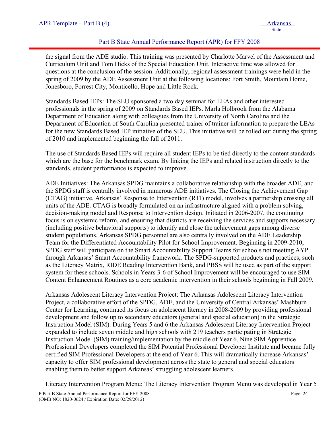#### Part B State Annual Performance Report (APR) for FFY 2008

the signal from the ADE studio. This training was presented by Charlotte Marvel of the Assessment and Curriculum Unit and Tom Hicks of the Special Education Unit. Interactive time was allowed for questions at the conclusion of the session. Additionally, regional assessment trainings were held in the spring of 2009 by the ADE Assessment Unit at the following locations: Fort Smith, Mountain Home, Jonesboro, Forrest City, Monticello, Hope and Little Rock.

Standards Based IEPs: The SEU sponsored a two day seminar for LEAs and other interested professionals in the spring of 2009 on Standards Based IEPs. Marla Holbrook from the Alabama Department of Education along with colleagues from the University of North Carolina and the Department of Education of South Carolina presented trainer of trainer information to prepare the LEAs for the new Standards Based IEP initiative of the SEU. This initiative will be rolled out during the spring of 2010 and implemented beginning the fall of 2011.

The use of Standards Based IEPs will require all student IEPs to be tied directly to the content standards which are the base for the benchmark exam. By linking the IEPs and related instruction directly to the standards, student performance is expected to improve.

ADE Initiatives: The Arkansas SPDG maintains a collaborative relationship with the broader ADE, and the SPDG staff is centrally involved in numerous ADE initiatives. The Closing the Achievement Gap (CTAG) initiative, Arkansas' Response to Intervention (RTI) model, involves a partnership crossing all units of the ADE. CTAG is broadly formulated on an infrastructure aligned with a problem solving, decision-making model and Response to Intervention design. Initiated in 2006-2007, the continuing focus is on systemic reform, and ensuring that districts are receiving the services and supports necessary (including positive behavioral supports) to identify and close the achievement gaps among diverse student populations. Arkansas SPDG personnel are also centrally involved on the ADE Leadership Team for the Differentiated Accountability Pilot for School Improvement. Beginning in 2009-2010, SPDG staff will participate on the Smart Accountability Support Teams for schools not meeting AYP through Arkansas' Smart Accountability framework. The SPDG-supported products and practices, such as the Literacy Matrix, RIDE Reading Intervention Bank, and PBSS will be used as part of the support system for these schools. Schools in Years 3-6 of School Improvement will be encouraged to use SIM Content Enhancement Routines as a core academic intervention in their schools beginning in Fall 2009.

Arkansas Adolescent Literacy Intervention Project: The Arkansas Adolescent Literacy Intervention Project, a collaborative effort of the SPDG, ADE, and the University of Central Arkansas' Mashburn Center for Learning, continued its focus on adolescent literacy in 2008-2009 by providing professional development and follow up to secondary educators (general and special education) in the Strategic Instruction Model (SIM). During Years 5 and 6 the Arkansas Adolescent Literacy Intervention Project expanded to include seven middle and high schools with 219 teachers participating in Strategic Instruction Model (SIM) training/implementation by the middle of Year 6. Nine SIM Apprentice Professional Developers completed the SIM Potential Professional Developer Institute and became fully certified SIM Professional Developers at the end of Year 6. This will dramatically increase Arkansas' capacity to offer SIM professional development across the state to general and special educators enabling them to better support Arkansas' struggling adolescent learners.

Literacy Intervention Program Menu: The Literacy Intervention Program Menu was developed in Year 5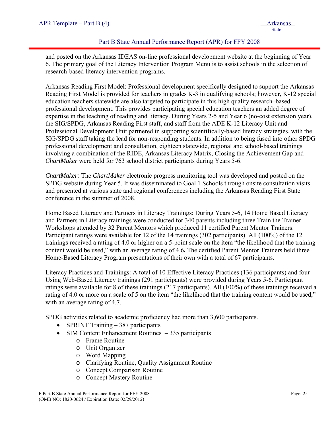#### Part B State Annual Performance Report (APR) for FFY 2008

and posted on the Arkansas IDEAS on-line professional development website at the beginning of Year 6. The primary goal of the Literacy Intervention Program Menu is to assist schools in the selection of research-based literacy intervention programs.

Arkansas Reading First Model: Professional development specifically designed to support the Arkansas Reading First Model is provided for teachers in grades K-3 in qualifying schools; however, K-12 special education teachers statewide are also targeted to participate in this high quality research–based professional development. This provides participating special education teachers an added degree of expertise in the teaching of reading and literacy. During Years 2-5 and Year 6 (no-cost extension year), the SIG/SPDG, Arkansas Reading First staff, and staff from the ADE K-12 Literacy Unit and Professional Development Unit partnered in supporting scientifically-based literacy strategies, with the SIG/SPDG staff taking the lead for non-responding students. In addition to being fused into other SPDG professional development and consultation, eighteen statewide, regional and school-based trainings involving a combination of the RIDE, Arkansas Literacy Matrix, Closing the Achievement Gap and *ChartMaker* were held for 763 school district participants during Years 5-6.

*ChartMaker:* The *ChartMaker* electronic progress monitoring tool was developed and posted on the SPDG website during Year 5. It was disseminated to Goal 1 Schools through onsite consultation visits and presented at various state and regional conferences including the Arkansas Reading First State conference in the summer of 2008.

Home Based Literacy and Partners in Literacy Trainings: During Years 5-6, 14 Home Based Literacy and Partners in Literacy trainings were conducted for 340 parents including three Train the Trainer Workshops attended by 32 Parent Mentors which produced 11 certified Parent Mentor Trainers. Participant ratings were available for 12 of the 14 trainings (302 participants). All (100%) of the 12 trainings received a rating of 4.0 or higher on a 5-point scale on the item "the likelihood that the training content would be used," with an average rating of 4.6**.** The certified Parent Mentor Trainers held three Home-Based Literacy Program presentations of their own with a total of 67 participants.

Literacy Practices and Trainings: A total of 10 Effective Literacy Practices (136 participants) and four Using Web-Based Literacy trainings (291 participants) were provided during Years 5-6. Participant ratings were available for 8 of these trainings (217 participants). All (100%) of these trainings received a rating of 4.0 or more on a scale of 5 on the item "the likelihood that the training content would be used," with an average rating of 4.7.

SPDG activities related to academic proficiency had more than 3,600 participants.

- SPRINT Training 387 participants
- SIM Content Enhancement Routines 335 participants
	- o Frame Routine
	- o Unit Organizer
	- o Word Mapping
	- o Clarifying Routine, Quality Assignment Routine
	- o Concept Comparison Routine
	- o Concept Mastery Routine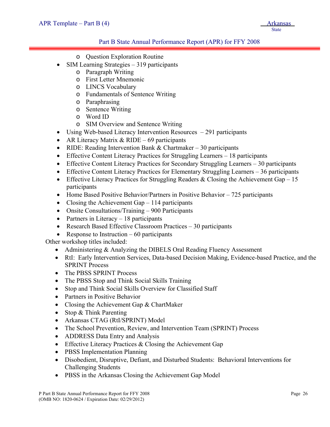#### Part B State Annual Performance Report (APR) for FFY 2008

- o Question Exploration Routine
- SIM Learning Strategies 319 participants
	- o Paragraph Writing
	- o First Letter Mnemonic
	- o LINCS Vocabulary
	- o Fundamentals of Sentence Writing
	- o Paraphrasing
	- o Sentence Writing
	- o Word ID
	- o SIM Overview and Sentence Writing
- Using Web-based Literacy Intervention Resources 291 participants
- AR Literacy Matrix  $&$  RIDE 69 participants
- RIDE: Reading Intervention Bank  $&$  Chartmaker 30 participants
- Effective Content Literacy Practices for Struggling Learners 18 participants
- Effective Content Literacy Practices for Secondary Struggling Learners 30 participants
- Effective Content Literacy Practices for Elementary Struggling Learners 36 participants
- Effective Literacy Practices for Struggling Readers & Closing the Achievement Gap 15 participants
- Home Based Positive Behavior/Partners in Positive Behavior 725 participants
- Closing the Achievement Gap 114 participants
- Onsite Consultations/Training 900 Participants
- Partners in Literacy  $-18$  participants
- Research Based Effective Classroom Practices 30 participants
- Response to Instruction  $-60$  participants

Other workshop titles included:

- Administering & Analyzing the DIBELS Oral Reading Fluency Assessment
- RtI: Early Intervention Services, Data-based Decision Making, Evidence-based Practice, and the SPRINT Process
- The PBSS SPRINT Process
- The PBSS Stop and Think Social Skills Training
- Stop and Think Social Skills Overview for Classified Staff
- Partners in Positive Behavior
- Closing the Achievement Gap & ChartMaker
- Stop & Think Parenting
- Arkansas CTAG (RtI/SPRINT) Model
- The School Prevention, Review, and Intervention Team (SPRINT) Process
- ADDRESS Data Entry and Analysis
- Effective Literacy Practices & Closing the Achievement Gap
- PBSS Implementation Planning
- Disobedient, Disruptive, Defiant, and Disturbed Students: Behavioral Interventions for Challenging Students
- PBSS in the Arkansas Closing the Achievement Gap Model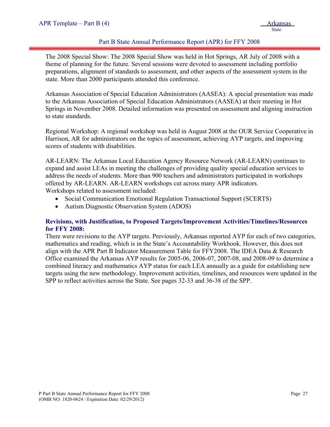#### Part B State Annual Performance Report (APR) for FFY 2008

The 2008 Special Show: The 2008 Special Show was held in Hot Springs, AR July of 2008 with a theme of planning for the future. Several sessions were devoted to assessment including portfolio preparations, alignment of standards to assessment, and other aspects of the assessment system in the state. More than 2000 participants attended this conference.

Arkansas Association of Special Education Administrators (AASEA): A special presentation was made to the Arkansas Association of Special Education Administrators (AASEA) at their meeting in Hot Springs in November 2008. Detailed information was presented on assessment and aligning instruction to state standards.

Regional Workshop: A regional workshop was held in August 2008 at the OUR Service Cooperative in Harrison, AR for administrators on the topics of assessment, achieving AYP targets, and improving scores of students with disabilities.

AR-LEARN: The Arkansas Local Education Agency Resource Network (AR-LEARN) continues to expand and assist LEAs in meeting the challenges of providing quality special education services to address the needs of students. More than 900 teachers and administrators participated in workshops offered by AR-LEARN. AR-LEARN workshops cut across many APR indicators.

Workshops related to assessment included:

- Social Communication Emotional Regulation Transactional Support (SCERTS)
- Autism Diagnostic Observation System (ADOS)

#### **Revisions, with Justification, to Proposed Targets/Improvement Activities/Timelines/Resources for FFY 2008:**

There were revisions to the AYP targets. Previously, Arkansas reported AYP for each of two categories, mathematics and reading, which is in the State's Accountability Workbook. However, this does not align with the APR Part B Indicator Measurement Table for FFY2008. The IDEA Data & Research Office examined the Arkansas AYP results for 2005-06, 2006-07, 2007-08, and 2008-09 to determine a combined literacy and mathematics AYP status for each LEA annually as a guide for establishing new targets using the new methodology. Improvement activities, timelines, and resources were updated in the SPP to reflect activities across the State. See pages 32-33 and 36-38 of the SPP.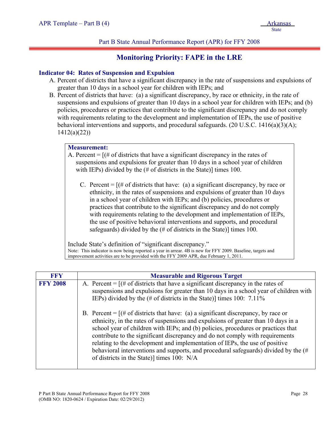#### Part B State Annual Performance Report (APR) for FFY 2008

## **Monitoring Priority: FAPE in the LRE**

#### **Indicator 04: Rates of Suspension and Expulsion**

- A. Percent of districts that have a significant discrepancy in the rate of suspensions and expulsions of greater than 10 days in a school year for children with IEPs; and
- B. Percent of districts that have: (a) a significant discrepancy, by race or ethnicity, in the rate of suspensions and expulsions of greater than 10 days in a school year for children with IEPs; and (b) policies, procedures or practices that contribute to the significant discrepancy and do not comply with requirements relating to the development and implementation of IEPs, the use of positive behavioral interventions and supports, and procedural safeguards. (20 U.S.C. 1416(a)(3)(A); 1412(a)(22))

#### **Measurement:**

- A. Percent  $=$   $[$   $|$   $\#$  of districts that have a significant discrepancy in the rates of suspensions and expulsions for greater than 10 days in a school year of children with IEPs) divided by the (# of districts in the State)] times 100.
	- C. Percent  $=$  [ $#$  of districts that have: (a) a significant discrepancy, by race or ethnicity, in the rates of suspensions and expulsions of greater than 10 days in a school year of children with IEPs; and (b) policies, procedures or practices that contribute to the significant discrepancy and do not comply with requirements relating to the development and implementation of IEPs, the use of positive behavioral interventions and supports, and procedural safeguards) divided by the (# of districts in the State)] times 100.

Include State's definition of "significant discrepancy." Note: This indicator is now being reported a year in arrear. 4B is new for FFY 2009. Baseline, targets and improvement activities are to be provided with the FFY 2009 APR, due February 1, 2011.

| <b>FFY</b>      | <b>Measurable and Rigorous Target</b>                                                                                                                                                                                                                                                                                                                                                                                                                                                                                                                                |
|-----------------|----------------------------------------------------------------------------------------------------------------------------------------------------------------------------------------------------------------------------------------------------------------------------------------------------------------------------------------------------------------------------------------------------------------------------------------------------------------------------------------------------------------------------------------------------------------------|
| <b>FFY 2008</b> | A. Percent = $[(# of \text{ districts that have a significant discrepancy in the rates of})]$<br>suspensions and expulsions for greater than 10 days in a school year of children with<br>IEPs) divided by the $(\# \text{ of districts in the State})$ times 100: 7.11%                                                                                                                                                                                                                                                                                             |
|                 | B. Percent = $[(# of districts that have: (a) a significant discrepancy, by race or$<br>ethnicity, in the rates of suspensions and expulsions of greater than 10 days in a<br>school year of children with IEPs; and (b) policies, procedures or practices that<br>contribute to the significant discrepancy and do not comply with requirements<br>relating to the development and implementation of IEPs, the use of positive<br>behavioral interventions and supports, and procedural safeguards) divided by the $#$<br>of districts in the State) times 100: N/A |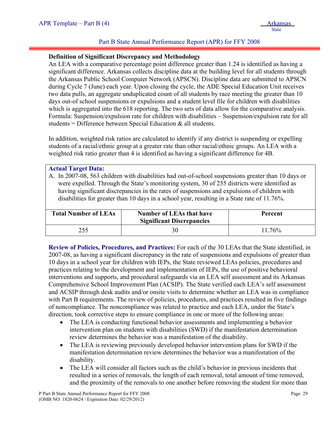#### Part B State Annual Performance Report (APR) for FFY 2008

#### **Definition of Significant Discrepancy and Methodology**

An LEA with a comparative percentage point difference greater than 1.24 is identified as having a significant difference. Arkansas collects discipline data at the building level for all students through the Arkansas Public School Computer Network (APSCN). Discipline data are submitted to APSCN during Cycle 7 (June) each year. Upon closing the cycle, the ADE Special Education Unit receives two data pulls, an aggregate unduplicated count of all students by race meeting the greater than 10 days out-of school suspensions or expulsions and a student level file for children with disabilities which is aggregated into the 618 reporting. The two sets of data allow for the comparative analysis. Formula: Suspension/expulsion rate for children with disabilities – Suspension/expulsion rate for all students = Difference between Special Education  $\&$  all students.

In addition, weighted risk ratios are calculated to identify if any district is suspending or expelling students of a racial/ethnic group at a greater rate than other racial/ethnic groups. An LEA with a weighted risk ratio greater than 4 is identified as having a significant difference for 4B.

#### **Actual Target Data:**

A. In 2007-08, 563 children with disabilities had out-of-school suspensions greater than 10 days or were expelled. Through the State's monitoring system, 30 of 255 districts were identified as having significant discrepancies in the rates of suspensions and expulsions of children with disabilities for greater than 10 days in a school year, resulting in a State rate of 11.76%.

| <b>Total Number of LEAs</b> | <b>Number of LEAs that have</b><br><b>Significant Discrepancies</b> | <b>Percent</b> |  |
|-----------------------------|---------------------------------------------------------------------|----------------|--|
| 255                         |                                                                     | $11.76\%$      |  |

**Review of Policies, Procedures, and Practices:** For each of the 30 LEAs that the State identified, in 2007-08, as having a significant discrepancy in the rate of suspensions and expulsions of greater than 10 days in a school year for children with IEPs, the State reviewed LEAs policies, procedures and practices relating to the development and implementation of IEPs, the use of positive behavioral interventions and supports, and procedural safeguards via an LEA self assessment and its Arkansas Comprehensive School Improvement Plan (ACSIP). The State verified each LEA's self assessment and ACSIP through desk audits and/or onsite visits to determine whether an LEA was in compliance with Part B requirements. The review of policies, procedures, and practices resulted in five findings of noncompliance. The noncompliance was related to practice and each LEA, under the State's direction, took corrective steps to ensure compliance in one or more of the following areas:

- The LEA is conducting functional behavior assessments and implementing a behavior intervention plan on students with disabilities (SWD) if the manifestation determination review determines the behavior was a manifestation of the disability.
- The LEA is reviewing previously developed behavior intervention plans for SWD if the manifestation determination review determines the behavior was a manifestation of the disability.
- The LEA will consider all factors such as the child's behavior in previous incidents that resulted in a series of removals, the length of each removal, total amount of time removed, and the proximity of the removals to one another before removing the student for more than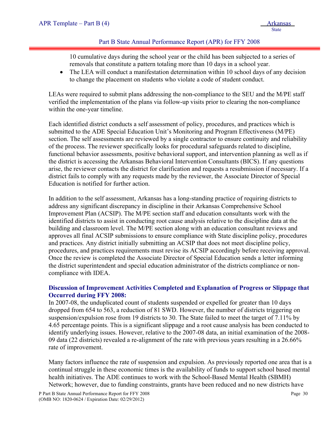#### Part B State Annual Performance Report (APR) for FFY 2008

10 cumulative days during the school year or the child has been subjected to a series of removals that constitute a pattern totaling more than 10 days in a school year.

• The LEA will conduct a manifestation determination within 10 school days of any decision to change the placement on students who violate a code of student conduct.

LEAs were required to submit plans addressing the non-compliance to the SEU and the M/PE staff verified the implementation of the plans via follow-up visits prior to clearing the non-compliance within the one-year timeline.

Each identified district conducts a self assessment of policy, procedures, and practices which is submitted to the ADE Special Education Unit's Monitoring and Program Effectiveness (M/PE) section. The self assessments are reviewed by a single contractor to ensure continuity and reliability of the process. The reviewer specifically looks for procedural safeguards related to discipline, functional behavior assessments, positive behavioral support, and intervention planning as well as if the district is accessing the Arkansas Behavioral Intervention Consultants (BICS). If any questions arise, the reviewer contacts the district for clarification and requests a resubmission if necessary. If a district fails to comply with any requests made by the reviewer, the Associate Director of Special Education is notified for further action.

In addition to the self assessment, Arkansas has a long-standing practice of requiring districts to address any significant discrepancy in discipline in their Arkansas Comprehensive School Improvement Plan (ACSIP). The M/PE section staff and education consultants work with the identified districts to assist in conducting root cause analysis relative to the discipline data at the building and classroom level. The M/PE section along with an education consultant reviews and approves all final ACSIP submissions to ensure compliance with State discipline policy, procedures and practices. Any district initially submitting an ACSIP that does not meet discipline policy, procedures, and practices requirements must revise its ACSIP accordingly before receiving approval. Once the review is completed the Associate Director of Special Education sends a letter informing the district superintendent and special education administrator of the districts compliance or noncompliance with IDEA.

#### **Discussion of Improvement Activities Completed and Explanation of Progress or Slippage that Occurred during FFY 2008:**

In 2007-08, the unduplicated count of students suspended or expelled for greater than 10 days dropped from 654 to 563, a reduction of 81 SWD. However, the number of districts triggering on suspension/expulsion rose from 19 districts to 30. The State failed to meet the target of 7.11% by 4.65 percentage points. This is a significant slippage and a root cause analysis has been conducted to identify underlying issues. However, relative to the 2007-08 data, an initial examination of the 2008- 09 data (22 districts) revealed a re-alignment of the rate with previous years resulting in a 26.66% rate of improvement.

Many factors influence the rate of suspension and expulsion. As previously reported one area that is a continual struggle in these economic times is the availability of funds to support school based mental health initiatives. The ADE continues to work with the School-Based Mental Health (SBMH) Network; however, due to funding constraints, grants have been reduced and no new districts have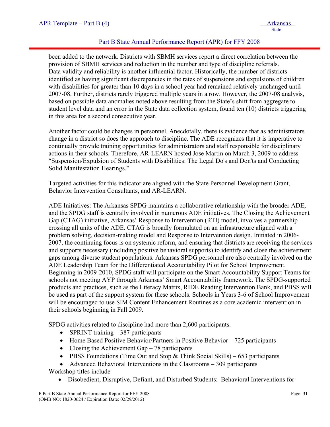#### Part B State Annual Performance Report (APR) for FFY 2008

been added to the network. Districts with SBMH services report a direct correlation between the provision of SBMH services and reduction in the number and type of discipline referrals. Data validity and reliability is another influential factor. Historically, the number of districts identified as having significant discrepancies in the rates of suspensions and expulsions of children with disabilities for greater than 10 days in a school year had remained relatively unchanged until 2007-08. Further, districts rarely triggered multiple years in a row. However, the 2007-08 analysis, based on possible data anomalies noted above resulting from the State's shift from aggregate to student level data and an error in the State data collection system, found ten (10) districts triggering in this area for a second consecutive year.

Another factor could be changes in personnel. Anecdotally, there is evidence that as administrators change in a district so does the approach to discipline. The ADE recognizes that it is imperative to continually provide training opportunities for administrators and staff responsible for disciplinary actions in their schools. Therefore, AR-LEARN hosted Jose Martin on March 3, 2009 to address "Suspension/Expulsion of Students with Disabilities: The Legal Do's and Don'ts and Conducting Solid Manifestation Hearings."

Targeted activities for this indicator are aligned with the State Personnel Development Grant, Behavior Intervention Consultants, and AR-LEARN.

ADE Initiatives: The Arkansas SPDG maintains a collaborative relationship with the broader ADE, and the SPDG staff is centrally involved in numerous ADE initiatives. The Closing the Achievement Gap (CTAG) initiative, Arkansas' Response to Intervention (RTI) model, involves a partnership crossing all units of the ADE. CTAG is broadly formulated on an infrastructure aligned with a problem solving, decision-making model and Response to Intervention design. Initiated in 2006- 2007, the continuing focus is on systemic reform, and ensuring that districts are receiving the services and supports necessary (including positive behavioral supports) to identify and close the achievement gaps among diverse student populations. Arkansas SPDG personnel are also centrally involved on the ADE Leadership Team for the Differentiated Accountability Pilot for School Improvement. Beginning in 2009-2010, SPDG staff will participate on the Smart Accountability Support Teams for schools not meeting AYP through Arkansas' Smart Accountability framework. The SPDG-supported products and practices, such as the Literacy Matrix, RIDE Reading Intervention Bank, and PBSS will be used as part of the support system for these schools. Schools in Years 3-6 of School Improvement will be encouraged to use SIM Content Enhancement Routines as a core academic intervention in their schools beginning in Fall 2009.

SPDG activities related to discipline had more than 2,600 participants.

- SPRINT training 387 participants
- Home Based Positive Behavior/Partners in Positive Behavior 725 participants
- Closing the Achievement Gap  $-78$  participants
- PBSS Foundations (Time Out and Stop  $&$  Think Social Skills) 653 participants

• Advanced Behavioral Interventions in the Classrooms – 309 participants

Workshop titles include

• Disobedient, Disruptive, Defiant, and Disturbed Students: Behavioral Interventions for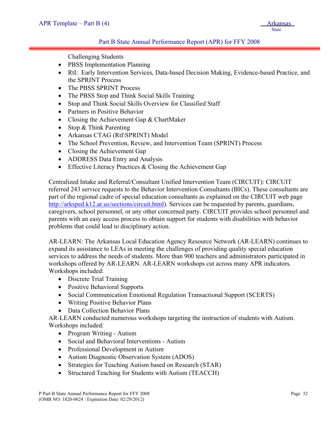#### Part B State Annual Performance Report (APR) for FFY 2008

Challenging Students

- PBSS Implementation Planning
- RtI: Early Intervention Services, Data-based Decision Making, Evidence-based Practice, and the SPRINT Process
- The PBSS SPRINT Process
- The PBSS Stop and Think Social Skills Training
- Stop and Think Social Skills Overview for Classified Staff
- Partners in Positive Behavior
- Closing the Achievement Gap & ChartMaker
- Stop & Think Parenting
- Arkansas CTAG (RtI\SPRINT) Model
- The School Prevention, Review, and Intervention Team (SPRINT) Process
- Closing the Achievement Gap
- ADDRESS Data Entry and Analysis
- Effective Literacy Practices & Closing the Achievement Gap

Centralized Intake and Referral/Consultant Unified Intervention Team (CIRCUIT): CIRCUIT referred 243 service requests to the Behavior Intervention Consultants (BICs). These consultants are part of the regional cadre of special education consultants as explained on the CIRCUIT web page <http://arksped.k12.ar.us/sections/circuit.html>). Services can be requested by parents, guardians, caregivers, school personnel, or any other concerned party. CIRCUIT provides school personnel and parents with an easy access process to obtain support for students with disabilities with behavior problems that could lead to disciplinary action.

AR-LEARN: The Arkansas Local Education Agency Resource Network (AR-LEARN) continues to expand its assistance to LEAs in meeting the challenges of providing quality special education services to address the needs of students. More than 900 teachers and administrators participated in workshops offered by AR-LEARN. AR-LEARN workshops cut across many APR indicators. Workshops included:

- Discrete Trial Training
- Positive Behavioral Supports
- Social Communication Emotional Regulation Transactional Support (SCERTS)
- Writing Positive Behavior Plans
- Data Collection Behavior Plans

AR-LEARN conducted numerous workshops targeting the instruction of students with Autism. Workshops included:

- Program Writing Autism
- Social and Behavioral Interventions Autism
- Professional Development in Autism
- Autism Diagnostic Observation System (ADOS)
- Strategies for Teaching Autism based on Research (STAR)
- Structured Teaching for Students with Autism (TEACCH)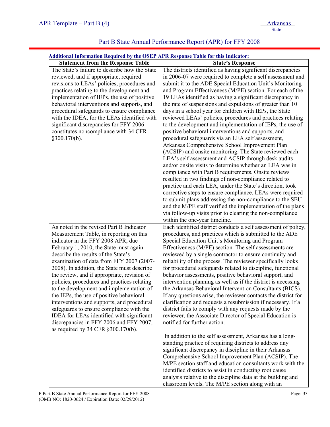| <b>Statement from the Response Table</b><br><b>State's Response</b><br>The districts identified as having significant discrepancies<br>The State's failure to describe how the State<br>reviewed, and if appropriate, required<br>revisions to LEAs' policies, procedures and<br>submit it to the ADE Special Education Unit's Monitoring<br>practices relating to the development and<br>and Program Effectiveness (M/PE) section. For each of the<br>implementation of IEPs, the use of positive<br>19 LEAs identified as having a significant discrepancy in<br>behavioral interventions and supports, and<br>the rate of suspensions and expulsions of greater than 10<br>procedural safeguards to ensure compliance<br>days in a school year for children with IEPs, the State<br>reviewed LEAs' policies, procedures and practices relating<br>with the IDEA, for the LEAs identified with<br>significant discrepancies for FFY 2006<br>to the development and implementation of IEPs, the use of<br>constitutes noncompliance with 34 CFR<br>positive behavioral interventions and supports, and<br>§300.170(b).<br>procedural safeguards via an LEA self assessment,<br>Arkansas Comprehensive School Improvement Plan<br>(ACSIP) and onsite monitoring. The State reviewed each<br>LEA's self assessment and ACSIP through desk audits<br>and/or onsite visits to determine whether an LEA was in<br>compliance with Part B requirements. Onsite reviews<br>resulted in two findings of non-compliance related to<br>practice and each LEA, under the State's direction, took<br>corrective steps to ensure compliance. LEAs were required<br>to submit plans addressing the non-compliance to the SEU<br>and the M/PE staff verified the implementation of the plans<br>via follow-up visits prior to clearing the non-compliance<br>within the one-year timeline.<br>As noted in the revised Part B Indicator<br>Measurement Table, in reporting on this<br>procedures, and practices which is submitted to the ADE<br>indicator in the FFY 2008 APR, due<br>Special Education Unit's Monitoring and Program<br>February 1, 2010, the State must again<br>Effectiveness (M/PE) section. The self assessments are<br>describe the results of the State's<br>reviewed by a single contractor to ensure continuity and<br>examination of data from FFY 2007 (2007-<br>reliability of the process. The reviewer specifically looks<br>2008). In addition, the State must describe<br>for procedural safeguards related to discipline, functional<br>the review, and if appropriate, revision of<br>behavior assessments, positive behavioral support, and<br>intervention planning as well as if the district is accessing<br>policies, procedures and practices relating<br>to the development and implementation of<br>the Arkansas Behavioral Intervention Consultants (BICS).<br>the IEPs, the use of positive behavioral<br>If any questions arise, the reviewer contacts the district for<br>interventions and supports, and procedural<br>clarification and requests a resubmission if necessary. If a<br>district fails to comply with any requests made by the<br>safeguards to ensure compliance with the<br>reviewer, the Associate Director of Special Education is<br>IDEA for LEAs identified with significant<br>discrepancies in FFY 2006 and FFY 2007,<br>notified for further action.<br>as required by 34 CFR §300.170(b).<br>In addition to the self assessment, Arkansas has a long-<br>standing practice of requiring districts to address any<br>significant discrepancy in discipline in their Arkansas<br>Comprehensive School Improvement Plan (ACSIP). The | <b>Additional Information Required by the OSEP APR Response Table for this Indicator:</b> |                                                                                                                              |  |  |  |  |
|----------------------------------------------------------------------------------------------------------------------------------------------------------------------------------------------------------------------------------------------------------------------------------------------------------------------------------------------------------------------------------------------------------------------------------------------------------------------------------------------------------------------------------------------------------------------------------------------------------------------------------------------------------------------------------------------------------------------------------------------------------------------------------------------------------------------------------------------------------------------------------------------------------------------------------------------------------------------------------------------------------------------------------------------------------------------------------------------------------------------------------------------------------------------------------------------------------------------------------------------------------------------------------------------------------------------------------------------------------------------------------------------------------------------------------------------------------------------------------------------------------------------------------------------------------------------------------------------------------------------------------------------------------------------------------------------------------------------------------------------------------------------------------------------------------------------------------------------------------------------------------------------------------------------------------------------------------------------------------------------------------------------------------------------------------------------------------------------------------------------------------------------------------------------------------------------------------------------------------------------------------------------------------------------------------------------------------------------------------------------------------------------------------------------------------------------------------------------------------------------------------------------------------------------------------------------------------------------------------------------------------------------------------------------------------------------------------------------------------------------------------------------------------------------------------------------------------------------------------------------------------------------------------------------------------------------------------------------------------------------------------------------------------------------------------------------------------------------------------------------------------------------------------------------------------------------------------------------------------------------------------------------------------------------------------------------------------------------------------------------------------------------------------------------------------------------------------------------------------------------------------------------------------------------------------------------------------------------------------------------------------------------------------------------------------------------|-------------------------------------------------------------------------------------------|------------------------------------------------------------------------------------------------------------------------------|--|--|--|--|
|                                                                                                                                                                                                                                                                                                                                                                                                                                                                                                                                                                                                                                                                                                                                                                                                                                                                                                                                                                                                                                                                                                                                                                                                                                                                                                                                                                                                                                                                                                                                                                                                                                                                                                                                                                                                                                                                                                                                                                                                                                                                                                                                                                                                                                                                                                                                                                                                                                                                                                                                                                                                                                                                                                                                                                                                                                                                                                                                                                                                                                                                                                                                                                                                                                                                                                                                                                                                                                                                                                                                                                                                                                                                                              |                                                                                           |                                                                                                                              |  |  |  |  |
|                                                                                                                                                                                                                                                                                                                                                                                                                                                                                                                                                                                                                                                                                                                                                                                                                                                                                                                                                                                                                                                                                                                                                                                                                                                                                                                                                                                                                                                                                                                                                                                                                                                                                                                                                                                                                                                                                                                                                                                                                                                                                                                                                                                                                                                                                                                                                                                                                                                                                                                                                                                                                                                                                                                                                                                                                                                                                                                                                                                                                                                                                                                                                                                                                                                                                                                                                                                                                                                                                                                                                                                                                                                                                              |                                                                                           | in 2006-07 were required to complete a self assessment and                                                                   |  |  |  |  |
| identified districts to assist in conducting root cause                                                                                                                                                                                                                                                                                                                                                                                                                                                                                                                                                                                                                                                                                                                                                                                                                                                                                                                                                                                                                                                                                                                                                                                                                                                                                                                                                                                                                                                                                                                                                                                                                                                                                                                                                                                                                                                                                                                                                                                                                                                                                                                                                                                                                                                                                                                                                                                                                                                                                                                                                                                                                                                                                                                                                                                                                                                                                                                                                                                                                                                                                                                                                                                                                                                                                                                                                                                                                                                                                                                                                                                                                                      |                                                                                           | Each identified district conducts a self assessment of policy,<br>M/PE section staff and education consultants work with the |  |  |  |  |

# Part B State Annual Performance Report (APR) for FFY 2008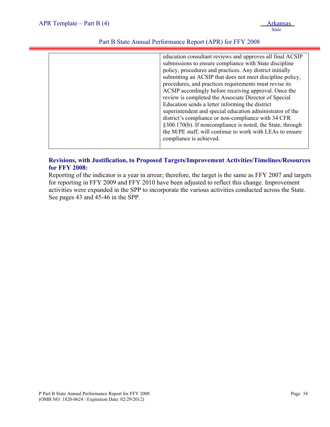| education consultant reviews and approves all final ACSIP<br>submissions to ensure compliance with State discipline<br>policy, procedures and practices. Any district initially<br>submitting an ACSIP that does not meet discipline policy,<br>procedures, and practices requirements must revise its<br>ACSIP accordingly before receiving approval. Once the<br>review is completed the Associate Director of Special<br>Education sends a letter informing the district<br>superintendent and special education administrator of the<br>district's compliance or non-compliance with 34 CFR<br>§300.170(b). If noncompliance is noted, the State, through<br>the M/PE staff, will continue to work with LEAs to ensure<br>compliance is achieved. |
|-------------------------------------------------------------------------------------------------------------------------------------------------------------------------------------------------------------------------------------------------------------------------------------------------------------------------------------------------------------------------------------------------------------------------------------------------------------------------------------------------------------------------------------------------------------------------------------------------------------------------------------------------------------------------------------------------------------------------------------------------------|
|                                                                                                                                                                                                                                                                                                                                                                                                                                                                                                                                                                                                                                                                                                                                                       |

#### **Revisions, with Justification, to Proposed Targets/Improvement Activities/Timelines/Resources for FFY 2008:**

Reporting of the indicator is a year in arrear; therefore, the target is the same as FFY 2007 and targets for reporting in FFY 2009 and FFY 2010 have been adjusted to reflect this change. Improvement activities were expanded in the SPP to incorporate the various activities conducted across the State. See pages 43 and 45-46 in the SPP.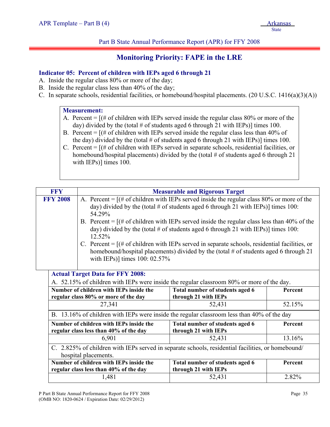Part B State Annual Performance Report (APR) for FFY 2008

# **Monitoring Priority: FAPE in the LRE**

# **Indicator 05: Percent of children with IEPs aged 6 through 21**

- A. Inside the regular class 80% or more of the day;
- B. Inside the regular class less than 40% of the day;
- C. In separate schools, residential facilities, or homebound/hospital placements. (20 U.S.C. 1416(a)(3)(A))

#### **Measurement:**

- A. Percent  $=$   $[(# of children with IEPs served inside the regular class 80% or more of the$ day) divided by the (total  $\#$  of students aged 6 through 21 with IEPs)] times 100.
- B. Percent  $=$   $[(# of children with IEPs served inside the regular class less than 40% of$ the day) divided by the (total  $\#$  of students aged 6 through 21 with IEPs)] times 100.
- C. Percent = [(# of children with IEPs served in separate schools, residential facilities, or homebound/hospital placements) divided by the (total # of students aged 6 through 21 with IEPs)] times 100.

| <b>FFY</b>      |                                                                                                   | <b>Measurable and Rigorous Target</b>                                                        |         |  |  |  |  |  |  |  |  |  |  |
|-----------------|---------------------------------------------------------------------------------------------------|----------------------------------------------------------------------------------------------|---------|--|--|--|--|--|--|--|--|--|--|
| <b>FFY 2008</b> |                                                                                                   | A. Percent = $[(# of children with IEPs served inside the regular class 80% or more of the$  |         |  |  |  |  |  |  |  |  |  |  |
|                 | day) divided by the (total # of students aged 6 through 21 with IEPs)] times 100:                 |                                                                                              |         |  |  |  |  |  |  |  |  |  |  |
|                 | 54.29%                                                                                            |                                                                                              |         |  |  |  |  |  |  |  |  |  |  |
|                 | B. Percent = $[(# of children with IEPs served inside the regular class less than 40% of the$     |                                                                                              |         |  |  |  |  |  |  |  |  |  |  |
|                 | day) divided by the (total # of students aged 6 through 21 with IEPs)] times 100:                 |                                                                                              |         |  |  |  |  |  |  |  |  |  |  |
|                 | 12.52%                                                                                            |                                                                                              |         |  |  |  |  |  |  |  |  |  |  |
|                 |                                                                                                   | C. Percent = $[(# of children with IEPs served in separate schools, residual facilities, or$ |         |  |  |  |  |  |  |  |  |  |  |
|                 |                                                                                                   | homebound/hospital placements) divided by the (total # of students aged 6 through 21         |         |  |  |  |  |  |  |  |  |  |  |
|                 | with IEPs)] times 100: 02.57%                                                                     |                                                                                              |         |  |  |  |  |  |  |  |  |  |  |
|                 |                                                                                                   |                                                                                              |         |  |  |  |  |  |  |  |  |  |  |
|                 | <b>Actual Target Data for FFY 2008:</b>                                                           |                                                                                              |         |  |  |  |  |  |  |  |  |  |  |
|                 |                                                                                                   | A. 52.15% of children with IEPs were inside the regular classroom 80% or more of the day.    |         |  |  |  |  |  |  |  |  |  |  |
|                 | Number of children with IEPs inside the                                                           | Total number of students aged 6                                                              | Percent |  |  |  |  |  |  |  |  |  |  |
|                 | regular class 80% or more of the day                                                              | through 21 with IEPs                                                                         |         |  |  |  |  |  |  |  |  |  |  |
|                 | 27,341                                                                                            | 52,431                                                                                       | 52.15%  |  |  |  |  |  |  |  |  |  |  |
|                 |                                                                                                   | B. 13.16% of children with IEPs were inside the regular classroom less than 40% of the day   |         |  |  |  |  |  |  |  |  |  |  |
|                 | Number of children with IEPs inside the                                                           | Total number of students aged 6                                                              | Percent |  |  |  |  |  |  |  |  |  |  |
|                 | regular class less than 40% of the day                                                            | through 21 with IEPs                                                                         |         |  |  |  |  |  |  |  |  |  |  |
|                 | 6,901                                                                                             | 52,431                                                                                       | 13.16%  |  |  |  |  |  |  |  |  |  |  |
|                 | C. 2.825% of children with IEPs served in separate schools, residential facilities, or homebound/ |                                                                                              |         |  |  |  |  |  |  |  |  |  |  |
|                 | hospital placements.                                                                              |                                                                                              |         |  |  |  |  |  |  |  |  |  |  |
|                 | Number of children with IEPs inside the                                                           | Total number of students aged 6                                                              | Percent |  |  |  |  |  |  |  |  |  |  |
|                 | regular class less than 40% of the day                                                            | through 21 with IEPs                                                                         |         |  |  |  |  |  |  |  |  |  |  |
|                 | 1,481                                                                                             | 52,431                                                                                       | 2.82%   |  |  |  |  |  |  |  |  |  |  |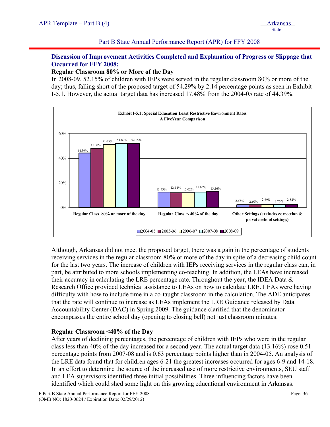#### Part B State Annual Performance Report (APR) for FFY 2008

# **Discussion of Improvement Activities Completed and Explanation of Progress or Slippage that Occurred for FFY 2008:**

#### **Regular Classroom 80% or More of the Day**

In 2008-09, 52.15% of children with IEPs were served in the regular classroom 80% or more of the day; thus, falling short of the proposed target of 54.29% by 2.14 percentage points as seen in Exhibit I-5.1. However, the actual target data has increased 17.48% from the 2004-05 rate of 44.39%.



Although, Arkansas did not meet the proposed target, there was a gain in the percentage of students receiving services in the regular classroom 80% or more of the day in spite of a decreasing child count for the last two years. The increase of children with IEPs receiving services in the regular class can, in part, be attributed to more schools implementing co-teaching. In addition, the LEAs have increased their accuracy in calculating the LRE percentage rate. Throughout the year, the IDEA Data & Research Office provided technical assistance to LEAs on how to calculate LRE. LEAs were having difficulty with how to include time in a co-taught classroom in the calculation. The ADE anticipates that the rate will continue to increase as LEAs implement the LRE Guidance released by Data Accountability Center (DAC) in Spring 2009. The guidance clarified that the denominator encompasses the entire school day (opening to closing bell) not just classroom minutes.

## **Regular Classroom <40% of the Day**

After years of declining percentages, the percentage of children with IEPs who were in the regular class less than 40% of the day increased for a second year. The actual target data (13.16%) rose 0.51 percentage points from 2007-08 and is 0.63 percentage points higher than in 2004-05. An analysis of the LRE data found that for children ages 6-21 the greatest increases occurred for ages 6-9 and 14-18. In an effort to determine the source of the increased use of more restrictive environments, SEU staff and LEA supervisors identified three initial possibilities. Three influencing factors have been identified which could shed some light on this growing educational environment in Arkansas.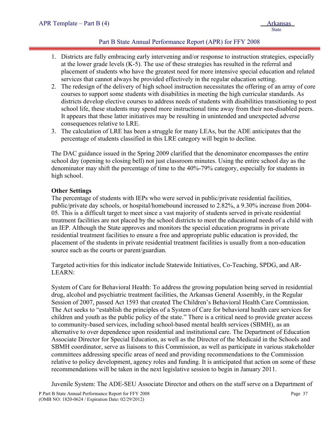# Part B State Annual Performance Report (APR) for FFY 2008

- 1. Districts are fully embracing early intervening and/or response to instruction strategies, especially at the lower grade levels  $(K-5)$ . The use of these strategies has resulted in the referral and placement of students who have the greatest need for more intensive special education and related services that cannot always be provided effectively in the regular education setting.
- 2. The redesign of the delivery of high school instruction necessitates the offering of an array of core courses to support some students with disabilities in meeting the high curricular standards. As districts develop elective courses to address needs of students with disabilities transitioning to post school life, these students may spend more instructional time away from their non-disabled peers. It appears that these latter initiatives may be resulting in unintended and unexpected adverse consequences relative to LRE.
- 3. The calculation of LRE has been a struggle for many LEAs, but the ADE anticipates that the percentage of students classified in this LRE category will begin to decline.

The DAC guidance issued in the Spring 2009 clarified that the denominator encompasses the entire school day (opening to closing bell) not just classroom minutes. Using the entire school day as the denominator may shift the percentage of time to the 40%-79% category, especially for students in high school.

## **Other Settings**

The percentage of students with IEPs who were served in public/private residential facilities, public/private day schools, or hospital/homebound increased to 2.82%, a 9.30% increase from 2004- 05. This is a difficult target to meet since a vast majority of students served in private residential treatment facilities are not placed by the school districts to meet the educational needs of a child with an IEP. Although the State approves and monitors the special education programs in private residential treatment facilities to ensure a free and appropriate public education is provided, the placement of the students in private residential treatment facilities is usually from a non-education source such as the courts or parent/guardian.

Targeted activities for this indicator include Statewide Initiatives, Co-Teaching, SPDG, and AR-LEARN:

System of Care for Behavioral Health: To address the growing population being served in residential drug, alcohol and psychiatric treatment facilities, the Arkansas General Assembly, in the Regular Session of 2007, passed Act 1593 that created The Children's Behavioral Health Care Commission. The Act seeks to "establish the principles of a System of Care for behavioral health care services for children and youth as the public policy of the state." There is a critical need to provide greater access to community-based services, including school-based mental health services (SBMH), as an alternative to over dependence upon residential and institutional care. The Department of Education Associate Director for Special Education, as well as the Director of the Medicaid in the Schools and SBMH coordinator, serve as liaisons to this Commission, as well as participate in various stakeholder committees addressing specific areas of need and providing recommendations to the Commission relative to policy development, agency roles and funding. It is anticipated that action on some of these recommendations will be taken in the next legislative session to begin in January 2011.

Juvenile System: The ADE-SEU Associate Director and others on the staff serve on a Department of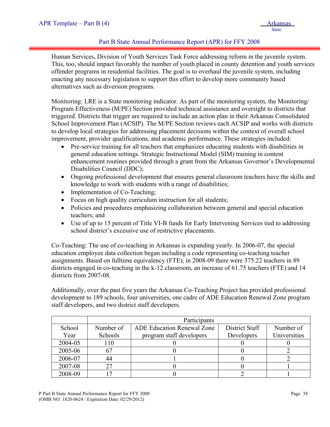## Part B State Annual Performance Report (APR) for FFY 2008

Human Services, Division of Youth Services Task Force addressing reform in the juvenile system. This, too, should impact favorably the number of youth placed in county detention and youth services offender programs in residential facilities. The goal is to overhaul the juvenile system, including enacting any necessary legislation to support this effort to develop more community based alternatives such as diversion programs.

Monitoring: LRE is a State monitoring indicator. As part of the monitoring system, the Monitoring/ Program Effectiveness (M/PE) Section provided technical assistance and oversight to districts that triggered. Districts that trigger are required to include an action plan in their Arkansas Consolidated School Improvement Plan (ACSIP). The M/PE Section reviews each ACSIP and works with districts to develop local strategies for addressing placement decisions within the context of overall school improvement, provider qualifications, and academic performance. These strategies included:

- Pre-service training for all teachers that emphasizes educating students with disabilities in general education settings. Strategic Instructional Model (SIM) training in content enhancement routines provided through a grant from the Arkansas Governor's Developmental Disabilities Council (DDC);
- Ongoing professional development that ensures general classroom teachers have the skills and knowledge to work with students with a range of disabilities;
- Implementation of Co-Teaching;
- Focus on high quality curriculum instruction for all students;
- Policies and procedures emphasizing collaboration between general and special education teachers; and
- Use of up to 15 percent of Title VI-B funds for Early Intervening Services tied to addressing school district's excessive use of restrictive placements.

Co-Teaching: The use of co-teaching in Arkansas is expanding yearly. In 2006-07, the special education employee data collection began including a code representing co-teaching teacher assignments. Based on fulltime equivalency (FTE), in 2008-09 there were 375.22 teachers in 89 districts engaged in co-teaching in the k-12 classroom, an increase of 61.75 teachers (FTE) and 14 districts from 2007-08.

Additionally, over the past five years the Arkansas Co-Teaching Project has provided professional development to 189 schools, four universities, one cadre of ADE Education Renewal Zone program staff developers, and two district staff developers.

|         | Participants |                                   |                |              |  |  |  |  |  |  |  |
|---------|--------------|-----------------------------------|----------------|--------------|--|--|--|--|--|--|--|
| School  | Number of    | <b>ADE Education Renewal Zone</b> | District Staff | Number of    |  |  |  |  |  |  |  |
| Year    | Schools      | program staff developers          | Developers     | Universities |  |  |  |  |  |  |  |
| 2004-05 | 110          |                                   |                |              |  |  |  |  |  |  |  |
| 2005-06 | 67           |                                   |                |              |  |  |  |  |  |  |  |
| 2006-07 | 44           |                                   |                |              |  |  |  |  |  |  |  |
| 2007-08 | 27           |                                   |                |              |  |  |  |  |  |  |  |
| 2008-09 |              |                                   |                |              |  |  |  |  |  |  |  |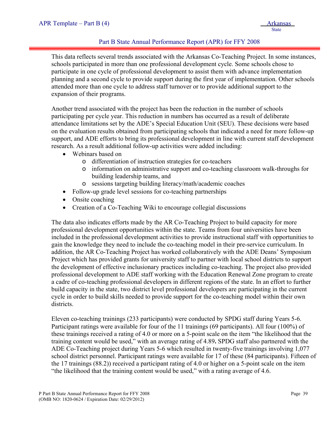## Part B State Annual Performance Report (APR) for FFY 2008

This data reflects several trends associated with the Arkansas Co-Teaching Project. In some instances, schools participated in more than one professional development cycle. Some schools chose to participate in one cycle of professional development to assist them with advance implementation planning and a second cycle to provide support during the first year of implementation. Other schools attended more than one cycle to address staff turnover or to provide additional support to the expansion of their programs.

Another trend associated with the project has been the reduction in the number of schools participating per cycle year. This reduction in numbers has occurred as a result of deliberate attendance limitations set by the ADE's Special Education Unit (SEU). These decisions were based on the evaluation results obtained from participating schools that indicated a need for more follow-up support, and ADE efforts to bring its professional development in line with current staff development research. As a result additional follow-up activities were added including:

- Webinars based on
	- o differentiation of instruction strategies for co-teachers
	- o information on administrative support and co-teaching classroom walk-throughs for building leadership teams, and
	- o sessions targeting building literacy/math/academic coaches
- Follow-up grade level sessions for co-teaching partnerships
- Onsite coaching
- Creation of a Co-Teaching Wiki to encourage collegial discussions

The data also indicates efforts made by the AR Co-Teaching Project to build capacity for more professional development opportunities within the state. Teams from four universities have been included in the professional development activities to provide instructional staff with opportunities to gain the knowledge they need to include the co-teaching model in their pre-service curriculum. In addition, the AR Co-Teaching Project has worked collaboratively with the ADE Deans' Symposium Project which has provided grants for university staff to partner with local school districts to support the development of effective inclusionary practices including co-teaching. The project also provided professional development to ADE staff working with the Education Renewal Zone program to create a cadre of co-teaching professional developers in different regions of the state. In an effort to further build capacity in the state, two district level professional developers are participating in the current cycle in order to build skills needed to provide support for the co-teaching model within their own districts.

Eleven co-teaching trainings (233 participants) were conducted by SPDG staff during Years 5-6. Participant ratings were available for four of the 11 trainings (69 participants). All four (100%) of these trainings received a rating of 4.0 or more on a 5-point scale on the item "the likelihood that the training content would be used," with an average rating of 4.89**.** SPDG staff also partnered with the ADE Co-Teaching project during Years 5-6 which resulted in twenty-five trainings involving 1,077 school district personnel. Participant ratings were available for 17 of these (84 participants). Fifteen of the 17 trainings (88.2)) received a participant rating of 4.0 or higher on a 5-point scale on the item "the likelihood that the training content would be used," with a rating average of 4.6.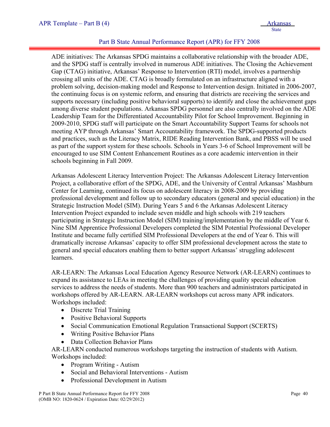## Part B State Annual Performance Report (APR) for FFY 2008

ADE initiatives: The Arkansas SPDG maintains a collaborative relationship with the broader ADE, and the SPDG staff is centrally involved in numerous ADE initiatives. The Closing the Achievement Gap (CTAG) initiative, Arkansas' Response to Intervention (RTI) model, involves a partnership crossing all units of the ADE. CTAG is broadly formulated on an infrastructure aligned with a problem solving, decision-making model and Response to Intervention design. Initiated in 2006-2007, the continuing focus is on systemic reform, and ensuring that districts are receiving the services and supports necessary (including positive behavioral supports) to identify and close the achievement gaps among diverse student populations. Arkansas SPDG personnel are also centrally involved on the ADE Leadership Team for the Differentiated Accountability Pilot for School Improvement. Beginning in 2009-2010, SPDG staff will participate on the Smart Accountability Support Teams for schools not meeting AYP through Arkansas' Smart Accountability framework. The SPDG-supported products and practices, such as the Literacy Matrix, RIDE Reading Intervention Bank, and PBSS will be used as part of the support system for these schools. Schools in Years 3-6 of School Improvement will be encouraged to use SIM Content Enhancement Routines as a core academic intervention in their schools beginning in Fall 2009.

Arkansas Adolescent Literacy Intervention Project: The Arkansas Adolescent Literacy Intervention Project, a collaborative effort of the SPDG, ADE, and the University of Central Arkansas' Mashburn Center for Learning, continued its focus on adolescent literacy in 2008-2009 by providing professional development and follow up to secondary educators (general and special education) in the Strategic Instruction Model (SIM). During Years 5 and 6 the Arkansas Adolescent Literacy Intervention Project expanded to include seven middle and high schools with 219 teachers participating in Strategic Instruction Model (SIM) training/implementation by the middle of Year 6. Nine SIM Apprentice Professional Developers completed the SIM Potential Professional Developer Institute and became fully certified SIM Professional Developers at the end of Year 6. This will dramatically increase Arkansas' capacity to offer SIM professional development across the state to general and special educators enabling them to better support Arkansas' struggling adolescent learners.

AR-LEARN: The Arkansas Local Education Agency Resource Network (AR-LEARN) continues to expand its assistance to LEAs in meeting the challenges of providing quality special education services to address the needs of students. More than 900 teachers and administrators participated in workshops offered by AR-LEARN. AR-LEARN workshops cut across many APR indicators. Workshops included:

- Discrete Trial Training
- Positive Behavioral Supports
- Social Communication Emotional Regulation Transactional Support (SCERTS)
- Writing Positive Behavior Plans
- Data Collection Behavior Plans

AR-LEARN conducted numerous workshops targeting the instruction of students with Autism. Workshops included:

- Program Writing Autism
- Social and Behavioral Interventions Autism
- Professional Development in Autism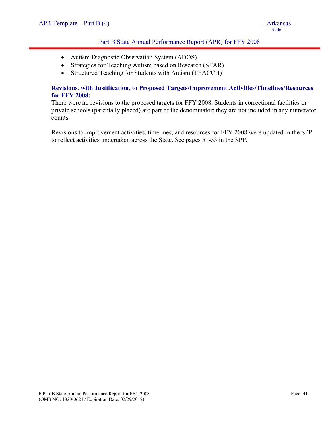# Part B State Annual Performance Report (APR) for FFY 2008

- Autism Diagnostic Observation System (ADOS)
- Strategies for Teaching Autism based on Research (STAR)
- Structured Teaching for Students with Autism (TEACCH)

#### **Revisions, with Justification, to Proposed Targets/Improvement Activities/Timelines/Resources for FFY 2008:**

There were no revisions to the proposed targets for FFY 2008. Students in correctional facilities or private schools (parentally placed) are part of the denominator; they are not included in any numerator counts.

Revisions to improvement activities, timelines, and resources for FFY 2008 were updated in the SPP to reflect activities undertaken across the State. See pages 51-53 in the SPP.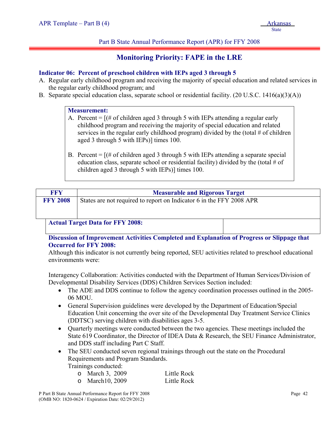Part B State Annual Performance Report (APR) for FFY 2008

# **Monitoring Priority: FAPE in the LRE**

# **Indicator 06: Percent of preschool children with IEPs aged 3 through 5**

- A. Regular early childhood program and receiving the majority of special education and related services in the regular early childhood program; and
- B. Separate special education class, separate school or residential facility. (20 U.S.C. 1416(a)(3)(A))

## **Measurement:**

- A. Percent  $=$  [ $\#$  of children aged 3 through 5 with IEPs attending a regular early childhood program and receiving the majority of special education and related services in the regular early childhood program) divided by the (total # of children aged 3 through 5 with IEPs)] times 100.
- B. Percent  $=$   $[(# of children aged 3 through 5 with IEPs attending a separate special]$ education class, separate school or residential facility) divided by the (total  $\#$  of children aged 3 through 5 with IEPs)] times 100.

| <b>FFY</b>      | <b>Measurable and Rigorous Target</b>                                |  |  |  |  |  |  |  |  |  |
|-----------------|----------------------------------------------------------------------|--|--|--|--|--|--|--|--|--|
| <b>FFY 2008</b> | States are not required to report on Indicator 6 in the FFY 2008 APR |  |  |  |  |  |  |  |  |  |
|                 |                                                                      |  |  |  |  |  |  |  |  |  |
|                 |                                                                      |  |  |  |  |  |  |  |  |  |
|                 | <b>Actual Target Data for FFY 2008:</b>                              |  |  |  |  |  |  |  |  |  |

# **Discussion of Improvement Activities Completed and Explanation of Progress or Slippage that Occurred for FFY 2008:**

Although this indicator is not currently being reported, SEU activities related to preschool educational environments were:

Interagency Collaboration: Activities conducted with the Department of Human Services/Division of Developmental Disability Services (DDS) Children Services Section included:

- The ADE and DDS continue to follow the agency coordination processes outlined in the 2005-06 MOU.
- General Supervision guidelines were developed by the Department of Education/Special Education Unit concerning the over site of the Developmental Day Treatment Service Clinics (DDTSC) serving children with disabilities ages 3-5.
- Ouarterly meetings were conducted between the two agencies. These meetings included the State 619 Coordinator, the Director of IDEA Data & Research, the SEU Finance Administrator, and DDS staff including Part C Staff.
- The SEU conducted seven regional trainings through out the state on the Procedural Requirements and Program Standards.

Trainings conducted:

| o March 3, 2009  | Little Rock |
|------------------|-------------|
| o March 10, 2009 | Little Rock |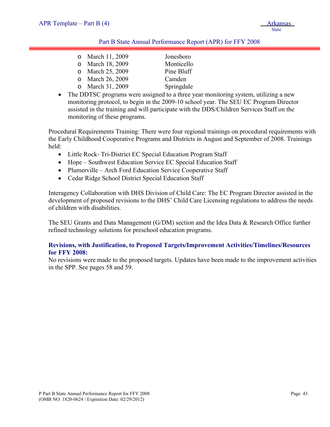#### Part B State Annual Performance Report (APR) for FFY 2008

| o March 11, 2009 | Jonesboro  |
|------------------|------------|
| o March 18, 2009 | Monticello |
| o March 25, 2009 | Pine Bluff |
| o March 26, 2009 | Camden     |
| o March 31, 2009 | Springdale |

• The DDTSC programs were assigned to a three year monitoring system, utilizing a new monitoring protocol, to begin in the 2009-10 school year. The SEU EC Program Director assisted in the training and will participate with the DDS/Children Services Staff on the monitoring of these programs.

Procedural Requirements Training: There were four regional trainings on procedural requirements with the Early Childhood Cooperative Programs and Districts in August and September of 2008. Trainings held:

- Little Rock- Tri-District EC Special Education Program Staff
- Hope Southwest Education Service EC Special Education Staff
- Plumerville Arch Ford Education Service Cooperative Staff
- Cedar Ridge School District Special Education Staff

Interagency Collaboration with DHS Division of Child Care: The EC Program Director assisted in the development of proposed revisions to the DHS' Child Care Licensing regulations to address the needs of children with disabilities.

The SEU Grants and Data Management (G/DM) section and the Idea Data & Research Office further refined technology solutions for preschool education programs.

# **Revisions, with Justification, to Proposed Targets/Improvement Activities/Timelines/Resources for FFY 2008:**

No revisions were made to the proposed targets. Updates have been made to the improvement activities in the SPP. See pages 58 and 59.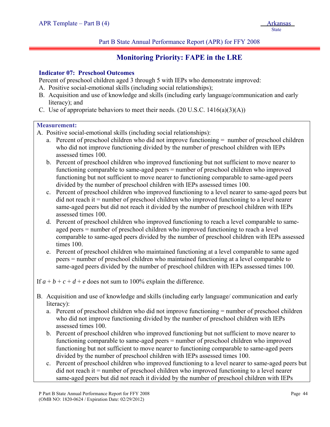Part B State Annual Performance Report (APR) for FFY 2008

# **Monitoring Priority: FAPE in the LRE**

# **Indicator 07: Preschool Outcomes**

Percent of preschool children aged 3 through 5 with IEPs who demonstrate improved:

- A. Positive social-emotional skills (including social relationships);
- B. Acquisition and use of knowledge and skills (including early language/communication and early literacy); and
- C. Use of appropriate behaviors to meet their needs.  $(20 \text{ U.S.C. } 1416(a)(3)(A))$

#### **Measurement:**

i

- A. Positive social-emotional skills (including social relationships):
	- a. Percent of preschool children who did not improve functioning = number of preschool children who did not improve functioning divided by the number of preschool children with IEPs assessed times 100.
	- b. Percent of preschool children who improved functioning but not sufficient to move nearer to functioning comparable to same-aged peers = number of preschool children who improved functioning but not sufficient to move nearer to functioning comparable to same-aged peers divided by the number of preschool children with IEPs assessed times 100.
	- c. Percent of preschool children who improved functioning to a level nearer to same-aged peers but did not reach it = number of preschool children who improved functioning to a level nearer same-aged peers but did not reach it divided by the number of preschool children with IEPs assessed times 100.
	- d. Percent of preschool children who improved functioning to reach a level comparable to sameaged peers = number of preschool children who improved functioning to reach a level comparable to same-aged peers divided by the number of preschool children with IEPs assessed times 100.
	- e. Percent of preschool children who maintained functioning at a level comparable to same aged peers = number of preschool children who maintained functioning at a level comparable to same-aged peers divided by the number of preschool children with IEPs assessed times 100.

If  $a + b + c + d + e$  does not sum to 100% explain the difference.

- B. Acquisition and use of knowledge and skills (including early language/ communication and early literacy):
	- a. Percent of preschool children who did not improve functioning = number of preschool children who did not improve functioning divided by the number of preschool children with IEPs assessed times 100.
	- b. Percent of preschool children who improved functioning but not sufficient to move nearer to functioning comparable to same-aged peers = number of preschool children who improved functioning but not sufficient to move nearer to functioning comparable to same-aged peers divided by the number of preschool children with IEPs assessed times 100.
	- c. Percent of preschool children who improved functioning to a level nearer to same-aged peers but did not reach it = number of preschool children who improved functioning to a level nearer same-aged peers but did not reach it divided by the number of preschool children with IEPs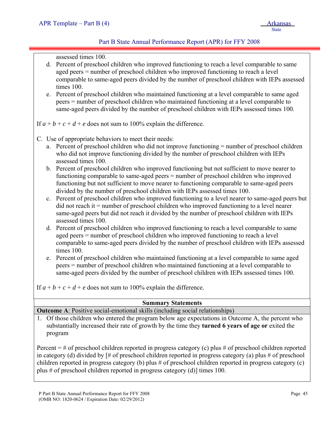# Part B State Annual Performance Report (APR) for FFY 2008

assessed times 100.

- d. Percent of preschool children who improved functioning to reach a level comparable to same aged peers = number of preschool children who improved functioning to reach a level comparable to same-aged peers divided by the number of preschool children with IEPs assessed times 100.
- e. Percent of preschool children who maintained functioning at a level comparable to same aged peers = number of preschool children who maintained functioning at a level comparable to same-aged peers divided by the number of preschool children with IEPs assessed times 100.

If  $a + b + c + d + e$  does not sum to 100% explain the difference.

- C. Use of appropriate behaviors to meet their needs:
	- a. Percent of preschool children who did not improve functioning = number of preschool children who did not improve functioning divided by the number of preschool children with IEPs assessed times 100.
	- b. Percent of preschool children who improved functioning but not sufficient to move nearer to functioning comparable to same-aged peers = number of preschool children who improved functioning but not sufficient to move nearer to functioning comparable to same-aged peers divided by the number of preschool children with IEPs assessed times 100.
	- c. Percent of preschool children who improved functioning to a level nearer to same-aged peers but  $\text{did}$  not reach it  $=$  number of preschool children who improved functioning to a level nearer same-aged peers but did not reach it divided by the number of preschool children with IEPs assessed times 100.
	- d. Percent of preschool children who improved functioning to reach a level comparable to same aged peers = number of preschool children who improved functioning to reach a level comparable to same-aged peers divided by the number of preschool children with IEPs assessed times 100.
	- e. Percent of preschool children who maintained functioning at a level comparable to same aged peers = number of preschool children who maintained functioning at a level comparable to same-aged peers divided by the number of preschool children with IEPs assessed times 100.

If  $a + b + c + d + e$  does not sum to 100% explain the difference.

| <b>Summary Statements</b>                                                                     |  |  |  |  |  |  |  |
|-----------------------------------------------------------------------------------------------|--|--|--|--|--|--|--|
| <b>Outcome A:</b> Positive social-emotional skills (including social relationships)           |  |  |  |  |  |  |  |
| Of those children who entered the program below age expectations in Outcome A the percent who |  |  |  |  |  |  |  |

entered the program below age expectations in Outcome A, the p substantially increased their rate of growth by the time they **turned 6 years of age or** exited the program

Percent  $=$  # of preschool children reported in progress category (c) plus # of preschool children reported in category (d) divided by  $\sharp \sharp$  of preschool children reported in progress category (a) plus  $\sharp$  of preschool children reported in progress category (b) plus # of preschool children reported in progress category (c) plus # of preschool children reported in progress category (d)] times 100.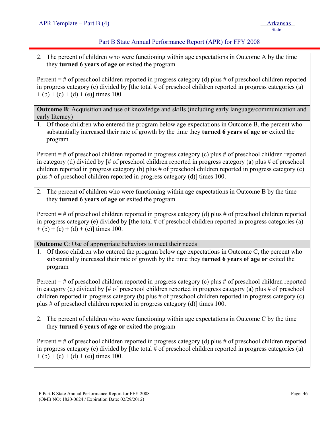# Part B State Annual Performance Report (APR) for FFY 2008

2. The percent of children who were functioning within age expectations in Outcome A by the time they **turned 6 years of age or** exited the program

Percent  $=$  # of preschool children reported in progress category (d) plus # of preschool children reported in progress category (e) divided by [the total  $#$  of preschool children reported in progress categories (a)  $+(b) + (c) + (d) + (e)$ ] times 100.

**Outcome B**: Acquisition and use of knowledge and skills (including early language/communication and early literacy)

1. Of those children who entered the program below age expectations in Outcome B, the percent who substantially increased their rate of growth by the time they **turned 6 years of age or** exited the program

Percent  $=$  # of preschool children reported in progress category (c) plus # of preschool children reported in category (d) divided by  $\sharp \sharp$  of preschool children reported in progress category (a) plus  $\sharp$  of preschool children reported in progress category (b) plus # of preschool children reported in progress category (c) plus # of preschool children reported in progress category (d)] times 100.

2. The percent of children who were functioning within age expectations in Outcome B by the time they **turned 6 years of age or** exited the program

Percent  $=$  # of preschool children reported in progress category (d) plus # of preschool children reported in progress category (e) divided by [the total # of preschool children reported in progress categories (a)  $+(b) + (c) + (d) + (e)$ ] times 100.

**Outcome C**: Use of appropriate behaviors to meet their needs

1. Of those children who entered the program below age expectations in Outcome C, the percent who substantially increased their rate of growth by the time they **turned 6 years of age or** exited the program

Percent  $=$  # of preschool children reported in progress category (c) plus # of preschool children reported in category (d) divided by  $\sharp \sharp$  of preschool children reported in progress category (a) plus  $\sharp$  of preschool children reported in progress category (b) plus # of preschool children reported in progress category (c) plus # of preschool children reported in progress category (d)] times 100.

2. The percent of children who were functioning within age expectations in Outcome C by the time they **turned 6 years of age or** exited the program

Percent  $=$  # of preschool children reported in progress category (d) plus # of preschool children reported in progress category (e) divided by [the total  $#$  of preschool children reported in progress categories (a)  $+(b) + (c) + (d) + (e)$ ] times 100.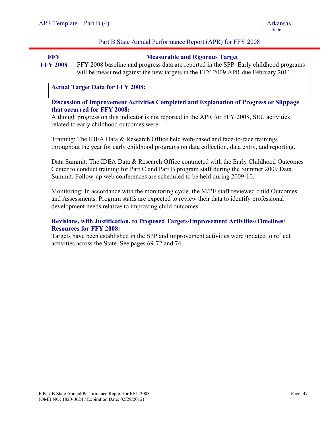# Part B State Annual Performance Report (APR) for FFY 2008

| <b>FFY</b>      | <b>Measurable and Rigorous Target</b>                                                                                                                                    |  |  |  |  |  |  |  |  |  |
|-----------------|--------------------------------------------------------------------------------------------------------------------------------------------------------------------------|--|--|--|--|--|--|--|--|--|
| <b>FFY 2008</b> | FFY 2008 baseline and progress data are reported in the SPP. Early childhood programs<br>will be measured against the new targets in the FFY 2009 APR due February 2011. |  |  |  |  |  |  |  |  |  |
|                 | <b>Actual Target Data for FFY 2008:</b>                                                                                                                                  |  |  |  |  |  |  |  |  |  |

**Discussion of Improvement Activities Completed and Explanation of Progress or Slippage that occurred for FFY 2008:**

Although progress on this indicator is not reported in the APR for FFY 2008, SEU activities related to early childhood outcomes were:

Training: The IDEA Data & Research Office held web-based and face-to-face trainings throughout the year for early childhood programs on data collection, data entry, and reporting.

Data Summit: The IDEA Data & Research Office contracted with the Early Childhood Outcomes Center to conduct training for Part C and Part B program staff during the Summer 2009 Data Summit. Follow-up web conferences are scheduled to be held during 2009-10.

Monitoring: In accordance with the monitoring cycle, the M/PE staff reviewed child Outcomes and Assessments. Program staffs are expected to review their data to identify professional development needs relative to improving child outcomes.

# **Revisions, with Justification, to Proposed Targets/Improvement Activities/Timelines/ Resources for FFY 2008:**

Targets have been established in the SPP and improvement activities were updated to reflect activities across the State. See pages 69-72 and 74.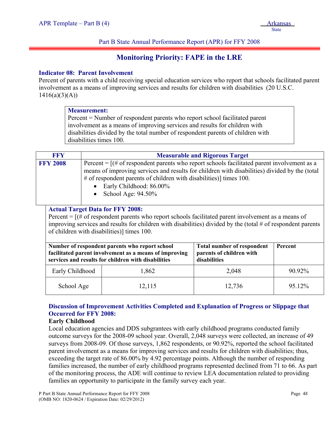#### Part B State Annual Performance Report (APR) for FFY 2008

# **Monitoring Priority: FAPE in the LRE**

#### **Indicator 08: Parent Involvement**

Percent of parents with a child receiving special education services who report that schools facilitated parent involvement as a means of improving services and results for children with disabilities (20 U.S.C.  $1416(a)(3)(A))$ 

#### **Measurement:**

Percent = Number of respondent parents who report school facilitated parent involvement as a means of improving services and results for children with disabilities divided by the total number of respondent parents of children with disabilities times 100.

| <b>FFY</b>      | <b>Measurable and Rigorous Target</b>                                                                                                                                                                                                                                                                                      |                                                                               |                |  |  |  |  |  |  |  |
|-----------------|----------------------------------------------------------------------------------------------------------------------------------------------------------------------------------------------------------------------------------------------------------------------------------------------------------------------------|-------------------------------------------------------------------------------|----------------|--|--|--|--|--|--|--|
| <b>FFY 2008</b> | Percent = $[(# of respondent parents who report schools facilitated parent involvement as a]$<br>means of improving services and results for children with disabilities) divided by the (total<br># of respondent parents of children with disabilities)] times 100.<br>• Early Childhood: 86.00%<br>School Age: $94.50\%$ |                                                                               |                |  |  |  |  |  |  |  |
|                 | <b>Actual Target Data for FFY 2008:</b><br>Percent = $[(# of respondent parents who report schools facilitated parent involvement as a means of$<br>improving services and results for children with disabilities) divided by the (total $#$ of respondent parents<br>of children with disabilities) times 100.            |                                                                               |                |  |  |  |  |  |  |  |
|                 | Number of respondent parents who report school<br>facilitated parent involvement as a means of improving<br>services and results for children with disabilities                                                                                                                                                            | <b>Total number of respondent</b><br>parents of children with<br>disabilities | <b>Percent</b> |  |  |  |  |  |  |  |

| Early Childhood | 1,862  | 2,048  | 90.92% |
|-----------------|--------|--------|--------|
| School Age      | 12,115 | 12,736 | 95.12% |

# **Discussion of Improvement Activities Completed and Explanation of Progress or Slippage that Occurred for FFY 2008:**

#### **Early Childhood**

Local education agencies and DDS subgrantees with early childhood programs conducted family outcome surveys for the 2008-09 school year. Overall, 2,048 surveys were collected, an increase of 49 surveys from 2008-09. Of those surveys, 1,862 respondents, or 90.92%, reported the school facilitated parent involvement as a means for improving services and results for children with disabilities; thus, exceeding the target rate of 86.00% by 4.92 percentage points. Although the number of responding families increased, the number of early childhood programs represented declined from 71 to 66. As part of the monitoring process, the ADE will continue to review LEA documentation related to providing families an opportunity to participate in the family survey each year.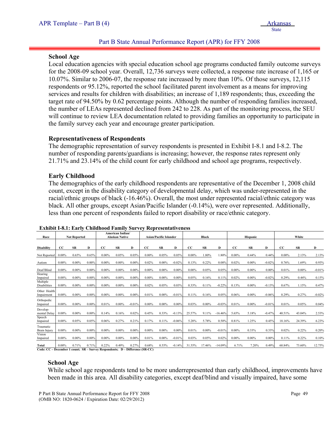## Part B State Annual Performance Report (APR) for FFY 2008

#### **School Age**

i

Local education agencies with special education school age programs conducted family outcome surveys for the 2008-09 school year. Overall, 12,736 surveys were collected, a response rate increase of 1,165 or 10.07%. Similar to 2006-07, the response rate increased by more than 10%. Of those surveys, 12,115 respondents or 95.12%, reported the school facilitated parent involvement as a means for improving services and results for children with disabilities; an increase of 1,189 respondents; thus, exceeding the target rate of 94.50% by 0.62 percentage points. Although the number of responding families increased, the number of LEAs represented declined from 242 to 228. As part of the monitoring process, the SEU will continue to review LEA documentation related to providing families an opportunity to participate in the family survey each year and encourage greater participation.

#### **Representativeness of Respondents**

The demographic representation of survey respondents is presented in Exhibit I-8.1 and I-8.2. The number of responding parents/guardians is increasing; however, the response rates represent only 21.71% and 23.14% of the child count for early childhood and school age programs, respectively.

## **Early Childhood**

The demographics of the early childhood respondents are representative of the December 1, 2008 child count, except in the disability category of developmental delay, which was under-represented in the racial/ethnic groups of black (-16.46%). Overall, the most under represented racial/ethnic category was black. All other groups, except Asian/Pacific Islander (-0.14%), were over represented. Additionally, less than one percent of respondents failed to report disability or race/ethnic category.

| Race                       |             |           | <b>American Indian/</b><br><b>Alaskan Native</b><br><b>Not Reported</b> |          |           | <b>Asian/Pacific Islander</b> |             |           | Black    |          |           | Hispanic  |          |           | White    |           |           |          |
|----------------------------|-------------|-----------|-------------------------------------------------------------------------|----------|-----------|-------------------------------|-------------|-----------|----------|----------|-----------|-----------|----------|-----------|----------|-----------|-----------|----------|
|                            |             |           |                                                                         |          |           |                               |             |           |          |          |           |           |          |           |          |           |           |          |
| <b>Disability</b>          | $_{\rm CC}$ | <b>SR</b> | D                                                                       | CC       | <b>SR</b> | D                             | $_{\rm CC}$ | <b>SR</b> | D        | CC       | <b>SR</b> | D         | CC       | <b>SR</b> | D        | <b>CC</b> | <b>SR</b> | D        |
| Not Reported               | $0.00\%$    | 0.65%     | 0.65%                                                                   | $0.00\%$ | 0.05%     | 0.05%                         | $0.00\%$    | 0.05%     | 0.05%    | $0.00\%$ | 1.80%     | 1.80%     | $0.00\%$ | 0.44%     | 0.44%    | $0.00\%$  | 2.13%     | 2.13%    |
| Autism                     | $0.00\%$    | $0.00\%$  | $0.00\%$                                                                | $0.00\%$ | $0.00\%$  | 0.00%                         | 0.02%       | $0.00\%$  | $-0.02%$ | 0.13%    | 0.22%     | 0.08%     | 0.02%    | $0.00\%$  | $-0.02%$ | 0.76%     | 1.69%     | 0.93%    |
| Deaf/Blind                 | $0.00\%$    | $0.00\%$  | $0.00\%$                                                                | $0.00\%$ | $0.00\%$  | 0.00%                         | $0.00\%$    | $0.00\%$  | $0.00\%$ | $0.00\%$ | 0.05%     | 0.05%     | $0.00\%$ | $0.00\%$  | 0.00%    | 0.01%     | $0.00\%$  | $-0.01%$ |
| Hearing<br>Impaired        | $0.00\%$    | $0.00\%$  | $0.00\%$                                                                | $0.00\%$ | $0.00\%$  | 0.00%                         | $0.00\%$    | $0.00\%$  | $0.00\%$ | 0.05%    | 0.16%     | 0.11%     | 0.02%    | $0.00\%$  | $-0.02%$ | 0.29%     | 0.44%     | 0.15%    |
| Multiple<br>Disabilities   | $0.00\%$    | $0.00\%$  | $0.00\%$                                                                | $0.00\%$ | $0.00\%$  | 0.00%                         | 0.02%       | 0.05%     | 0.03%    | 0.33%    | 0.11%     | $-0.22%$  | 0.13%    | $0.00\%$  | $-0.13%$ | 0.67%     | 1.15%     | 0.47%    |
| Other Health<br>Impairment | $0.00\%$    | $0.00\%$  | $0.00\%$                                                                | $0.00\%$ | $0.00\%$  | 0.00%                         | 0.01%       | $0.00\%$  | $-0.01%$ | 0.11%    | 0.16%     | 0.05%     | 0.06%    | $0.00\%$  | $-0.06%$ | 0.29%     | 0.27%     | $-0.02%$ |
| Orthopedic<br>Impaired     | $0.00\%$    | $0.00\%$  | $0.00\%$                                                                | 0.01%    | $0.00\%$  | $-0.01%$                      | $0.00\%$    | $0.00\%$  | $0.00\%$ | 0.03%    | $0.00\%$  | $-0.03%$  | 0.01%    | $0.00\%$  | $-0.01%$ | 0.01%     | 0.05%     | 0.04%    |
| Develop-<br>mental Delay   | $0.00\%$    | $0.00\%$  | $0.00\%$                                                                | 0.14%    | 0.16%     | 0.02%                         | 0.45%       | 0.33%     | $-0.13%$ | 25.57%   | 9.11%     | $-16.46%$ | 5.65%    | 5.18%     | $-0.47%$ | 40.51%    | 43.04%    | 2.53%    |
| Speech<br>Impaired         | $0.00\%$    | 0.05%     | 0.05%                                                                   | 0.06%    | 0.27%     | 0.21%                         | 0.17%       | 0.11%     | $-0.06%$ | 5.28%    | 5.78%     | 0.50%     | 0.81%    | 1.25%     | 0.45%    | 18.16%    | 24.39%    | 6.23%    |
| Traumatic<br>Brain Injury  | $0.00\%$    | $0.00\%$  | $0.00\%$                                                                | $0.00\%$ | $0.00\%$  | $0.00\%$                      | $0.00\%$    | $0.00\%$  | $0.00\%$ | 0.01%    | $0.00\%$  | $-0.01%$  | $0.00\%$ | 0.33%     | 0.33%    | 0.02%     | 0.22%     | 0.20%    |
| Vision<br>Impaired         | $0.00\%$    | $0.00\%$  | $0.00\%$                                                                | $0.00\%$ | $0.00\%$  | 0.00%                         | 0.01%       | $0.00\%$  | $-0.01%$ | 0.03%    | 0.05%     | 0.02%     | $0.00\%$ | $0.00\%$  | 0.00%    | 0.11%     | 0.22%     | 0.10%    |
| Total                      | $0.00\%$    | 0.71%     | 0.71%                                                                   | 0.22%    | 0.49%     | 0.27%                         | 0.68%       | 0.55%     | $-0.14%$ | 31.55%   | 7.46%     | $-14.09%$ | 6.71%    | 7.20%     | 0.49%    | 60.84%    | 73.60%    | 12.75%   |

**Code: CC – December 1 count; SR – Survey Respondents; D – Difference (SR-CC)** 

#### **School Age**

While school age respondents tend to be more underrepresented than early childhood, improvements have been made in this area. All disability categories, except deaf/blind and visually impaired, have some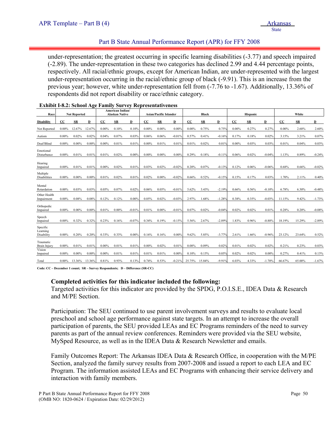## Part B State Annual Performance Report (APR) for FFY 2008

under-representation; the greatest occurring in specific learning disabilities (-3.77) and speech impaired (-2.89). The under-representation in these two categories has declined 2.99 and 4.44 percentage points, respectively. All racial/ethnic groups, except for American Indian, are under-represented with the largest under-representation occurring in the racial/ethnic group of black (-9.91). This is an increase from the previous year; however, white under-representation fell from (-7.76 to -1.67). Additionally, 13.36% of respondents did not report disability or race/ethnic category.

| Race                               | <b>Not Reported</b> |            | <b>American Indian/</b><br><b>Alaskan Native</b> |          | <b>Asian/Pacific Islander</b> |          |          | Black      |          |             | Hispanic   |          |             | White      |          |          |            |          |
|------------------------------------|---------------------|------------|--------------------------------------------------|----------|-------------------------------|----------|----------|------------|----------|-------------|------------|----------|-------------|------------|----------|----------|------------|----------|
| <b>Disability</b>                  | CC                  | ${\bf SR}$ | D                                                | CC       | ${\bf SR}$                    | D        | CC       | ${\bf SR}$ | D        | $_{\rm CC}$ | ${\bf SR}$ | D        | $_{\rm CC}$ | ${\bf SR}$ | D        | CC       | ${\bf SR}$ | D        |
| Not Reported                       | $0.00\%$            | 12.67%     | 12.67%                                           | $0.00\%$ | 0.10%                         | 0.10%    | $0.00\%$ | $0.00\%$   | 0.00%    | $0.00\%$    | 0.75%      | 0.75%    | $0.00\%$    | 0.27%      | 0.27%    | $0.00\%$ | 2.60%      | 2.60%    |
| Autism                             | $0.00\%$            | 0.02%      | 0.02%                                            | 0.04%    | 0.07%                         | 0.03%    | 0.06%    | 0.06%      | $-0.01%$ | 0.57%       | 0.41%      | $-0.169$ | 0.17%       | 0.18%      | 0.02%    | 3.15%    | 3.21%      | 0.07%    |
| Deaf/Blind                         | $0.00\%$            | 0.00%      | $0.00\%$                                         | $0.00\%$ | 0.01%                         | 0.01%    | $0.00\%$ | 0.01%      | 0.01%    | 0.01%       | 0.02%      | 0.01%    | $0.00\%$    | 0.03%      | 0.03%    | 0.01%    | 0.04%      | 0.03%    |
| Emotional<br>Disturbance           | $0.00\%$            | 0.01%      | 0.01%                                            | 0.01%    | 0.02%                         | 0.00%    | $0.00\%$ | $0.00\%$   | $0.00\%$ | 0.29%       | 0.18%      | $-0.119$ | 0.06%       | 0.02%      | $-0.04%$ | 1.13%    | 0.89%      | $-0.24%$ |
| Hearing<br>Impaired                | $0.00\%$            | 0.01%      | 0.01%                                            | $0.00\%$ | 0.02%                         | 0.01%    | 0.03%    | 0.02%      | $-0.02%$ | 0.20%       | 0.07%      | $-0.139$ | 0.12%       | 0.06%      | $-0.06%$ | 0.68%    | 0.66%      | $-0.02%$ |
| Multiple<br>Disabilities           | $0.00\%$            | $0.00\%$   | $0.00\%$                                         | 0.01%    | 0.02%                         | 0.01%    | 0.02%    | 0.00%      | $-0.02%$ | 0.66%       | 0.52%      | $-0.15%$ | 0.15%       | 0.17%      | 0.03%    | 1.70%    | 2.11%      | 0.40%    |
| Mental<br>Retardation              | $0.00\%$            | 0.03%      | 0.03%                                            | 0.05%    | 0.07%                         | 0.02%    | 0.06%    | 0.05%      | $-0.01%$ | 5.62%       | 3.43%      | $-2.19%$ | 0.66%       | 0.56%      | $-0.10%$ | 6.78%    | 6.30%      | $-0.48%$ |
| Other Health<br>Impairment         | $0.00\%$            | 0.08%      | 0.08%                                            | 0.12%    | 0.12%                         | 0.00%    | 0.05%    | 0.02%      | $-0.03%$ | 2.97%       | 1.68%      | $-1.289$ | 0.38%       | 0.35%      | $-0.03%$ | 11.15%   | 9.42%      | $-1.73%$ |
| Orthopedic<br>Impaired             | $0.00\%$            | $0.00\%$   | 0.00%                                            | 0.01%    | $0.00\%$                      | $-0.01%$ | 0.01%    | $0.00\%$   | $-0.01%$ | 0.07%       | 0.02%      | $-0.04%$ | 0.02%       | 0.02%      | 0.01%    | 0.28%    | 0.20%      | $-0.08%$ |
| Speech<br>Impaired                 | $0.00\%$            | 0.32%      | 0.32%                                            | 0.23%    | 0.16%                         | $-0.07%$ | 0.34%    | 0.19%      | $-0.15%$ | 5.56%       | 2.67%      | $-2.89%$ | 1.83%       | 0.96%      | $-0.88%$ | 18.19%   | 15.29%     | $-2.89%$ |
| Specific<br>Learning<br>Disability | $0.00\%$            | 0.20%      | 0.20%                                            | 0.33%    | 0.33%                         | 0.00%    | 0.16%    | 0.16%      | 0.00%    | 9.62%       | 5.85%      | $-3.77%$ | 2.61%       | 1.66%      | $-0.96%$ | 23.12%   | 23.64%     | 0.52%    |
| Traumatic<br>Brain Injury          | $0.00\%$            | 0.01%      | 0.01%                                            | $0.00\%$ | 0.01%                         | 0.01%    | $0.00\%$ | 0.02%      | 0.01%    | 0.08%       | 0.09%      | 0.02%    | 0.01%       | 0.02%      | 0.02%    | 0.21%    | 0.23%      | 0.03%    |
| Vision<br>Impaired                 | $0.00\%$            | $0.00\%$   | $0.00\%$                                         | $0.00\%$ | 0.01%                         | 0.01%    | 0.01%    | 0.01%      | 0.00%    | 0.10%       | 0.15%      | 0.05%    | 0.02%       | 0.02%      | 0.00%    | 0.27%    | 0.41%      | 0.13%    |
| Total                              | $0.00\%$            | 13.36%     | 13.36%                                           | 0.81%    | 0.93%                         | 0.13%    | 0.74%    | 0.53%      | $-0.21%$ | 25.75%      | 15.84%     | $-9.91%$ | 6.03%       | 4.33%      | $-1.70%$ | 66.67%   | 65.00%     | $-1.67%$ |

| <b>Exhibit I-8.2: School Age Family Survey Representativeness</b> |  |  |
|-------------------------------------------------------------------|--|--|
|                                                                   |  |  |

**Code: CC – December 1 count; SR – Survey Respondents; D – Difference (SR-CC)** 

#### **Completed activities for this indicator included the following:**

Targeted activities for this indicator are provided by the SPDG, P.O.I.S.E., IDEA Data & Research and M/PE Section.

Participation: The SEU continued to use parent involvement surveys and results to evaluate local preschool and school age performance against state targets. In an attempt to increase the overall participation of parents, the SEU provided LEAs and EC Programs reminders of the need to survey parents as part of the annual review conferences. Reminders were provided via the SEU website, MySped Resource, as well as in the IDEA Data & Research Newsletter and emails.

Family Outcomes Report: The Arkansas IDEA Data & Research Office, in cooperation with the M/PE Section, analyzed the family survey results from 2007-2008 and issued a report to each LEA and EC Program. The information assisted LEAs and EC Programs with enhancing their service delivery and interaction with family members.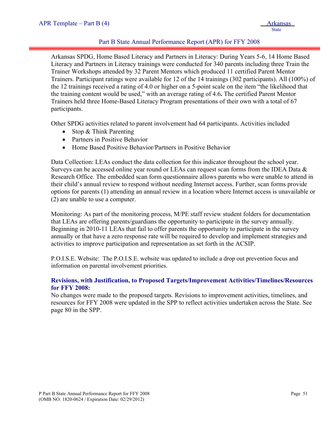# Part B State Annual Performance Report (APR) for FFY 2008

Arkansas SPDG, Home Based Literacy and Partners in Literacy: During Years 5-6, 14 Home Based Literacy and Partners in Literacy trainings were conducted for 340 parents including three Train the Trainer Workshops attended by 32 Parent Mentors which produced 11 certified Parent Mentor Trainers. Participant ratings were available for 12 of the 14 trainings (302 participants). All (100%) of the 12 trainings received a rating of 4.0 or higher on a 5-point scale on the item "the likelihood that the training content would be used," with an average rating of 4.6**.** The certified Parent Mentor Trainers held three Home-Based Literacy Program presentations of their own with a total of 67 participants.

Other SPDG activities related to parent involvement had 64 participants. Activities included

- Stop & Think Parenting
- Partners in Positive Behavior
- Home Based Positive Behavior/Partners in Positive Behavior

Data Collection: LEAs conduct the data collection for this indicator throughout the school year. Surveys can be accessed online year round or LEAs can request scan forms from the IDEA Data  $\&$ Research Office. The embedded scan form questionnaire allows parents who were unable to attend in their child's annual review to respond without needing Internet access. Further, scan forms provide options for parents (1) attending an annual review in a location where Internet access is unavailable or (2) are unable to use a computer.

Monitoring: As part of the monitoring process, M/PE staff review student folders for documentation that LEAs are offering parents/guardians the opportunity to participate in the survey annually. Beginning in 2010-11 LEAs that fail to offer parents the opportunity to participate in the survey annually or that have a zero response rate will be required to develop and implement strategies and activities to improve participation and representation as set forth in the ACSIP.

P.O.I.S.E. Website: The P.O.I.S.E. website was updated to include a drop out prevention focus and information on parental involvement priorities.

## **Revisions, with Justification, to Proposed Targets/Improvement Activities/Timelines/Resources for FFY 2008:**

No changes were made to the proposed targets. Revisions to improvement activities, timelines, and resources for FFY 2008 were updated in the SPP to reflect activities undertaken across the State. See page 80 in the SPP.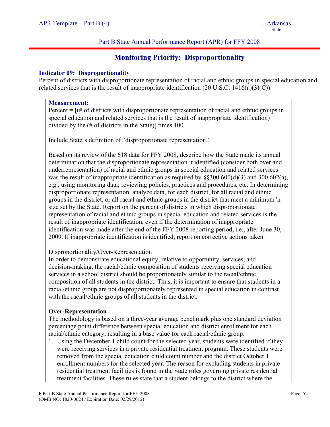#### Part B State Annual Performance Report (APR) for FFY 2008

# **Monitoring Priority: Disproportionality**

## **Indicator 09: Disproportionality**

Percent of districts with disproportionate representation of racial and ethnic groups in special education and related services that is the result of inappropriate identification (20 U.S.C.  $1416(a)(3)(C)$ )

#### **Measurement:**

i

Percent  $=$   $[$  (# of districts with disproportionate representation of racial and ethnic groups in special education and related services that is the result of inappropriate identification) divided by the (# of districts in the State)] times 100.

Include State's definition of "disproportionate representation."

Based on its review of the 618 data for FFY 2008, describe how the State made its annual determination that the disproportionate representation it identified (consider both over and underrepresentation) of racial and ethnic groups in special education and related services was the result of inappropriate identification as required by  $\S$ §300.600(d)(3) and 300.602(a), e.g., using monitoring data; reviewing policies, practices and procedures, etc. In determining disproportionate representation, analyze data, for each district, for all racial and ethnic groups in the district, or all racial and ethnic groups in the district that meet a minimum 'n' size set by the State. Report on the percent of districts in which disproportionate representation of racial and ethnic groups in special education and related services is the result of inappropriate identification, even if the determination of inappropriate identification was made after the end of the FFY 2008 reporting period, i.e., after June 30, 2009. If inappropriate identification is identified, report on corrective actions taken.

## Disproportionality/Over-Representation

In order to demonstrate educational equity, relative to opportunity, services, and decision-making, the racial/ethnic composition of students receiving special education services in a school district should be proportionately similar to the racial/ethnic composition of all students in the district. Thus, it is important to ensure that students in a racial/ethnic group are not disproportionately represented in special education in contrast with the racial/ethnic groups of all students in the district.

## **Over-Representation**

The methodology is based on a three-year average benchmark plus one standard deviation percentage point difference between special education and district enrollment for each racial/ethnic category, resulting in a base value for each racial/ethnic group.

1. Using the December 1 child count for the selected year, students were identified if they were receiving services in a private residential treatment program. These students were removed from the special education child count number and the district October 1 enrollment numbers for the selected year. The reason for excluding students in private residential treatment facilities is found in the State rules governing private residential treatment facilities. These rules state that a student belongs to the district where the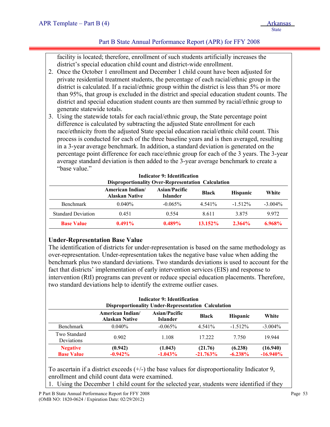# Part B State Annual Performance Report (APR) for FFY 2008

facility is located; therefore, enrollment of such students artificially increases the district's special education child count and district-wide enrollment.

- 2. Once the October 1 enrollment and December 1 child count have been adjusted for private residential treatment students, the percentage of each racial/ethnic group in the district is calculated. If a racial/ethnic group within the district is less than 5% or more than 95%, that group is excluded in the district and special education student counts. The district and special education student counts are then summed by racial/ethnic group to generate statewide totals.
- 3. Using the statewide totals for each racial/ethnic group, the State percentage point difference is calculated by subtracting the adjusted State enrollment for each race/ethnicity from the adjusted State special education racial/ethnic child count. This process is conducted for each of the three baseline years and is then averaged, resulting in a 3-year average benchmark. In addition, a standard deviation is generated on the percentage point difference for each race/ethnic group for each of the 3 years. The 3-year average standard deviation is then added to the 3-year average benchmark to create a "base value."

| <b>Disproportionality Over-Representation Calculation</b> |                                           |                                  |              |                 |            |  |  |  |  |
|-----------------------------------------------------------|-------------------------------------------|----------------------------------|--------------|-----------------|------------|--|--|--|--|
|                                                           | American Indian/<br><b>Alaskan Native</b> | Asian/Pacific<br><b>Islander</b> | <b>Black</b> | <b>Hispanic</b> | White      |  |  |  |  |
| <b>Benchmark</b>                                          | $0.040\%$                                 | $-0.065\%$                       | 4.541%       | $-1.512\%$      | $-3.004\%$ |  |  |  |  |
| <b>Standard Deviation</b>                                 | 0.451                                     | 0.554                            | 8.611        | 3875            | 9.972      |  |  |  |  |
| <b>Base Value</b>                                         | $0.491\%$                                 | $0.489\%$                        | $13.152\%$   | $2.364\%$       | 6.968%     |  |  |  |  |

# **Indicator 9: Identification**

# **Under-Representation Base Value**

The identification of districts for under-representation is based on the same methodology as over-representation. Under-representation takes the negative base value when adding the benchmark plus two standard deviations. Two standards deviations is used to account for the fact that districts' implementation of early intervention services (EIS) and response to intervention (RtI) programs can prevent or reduce special education placements. Therefore, two standard deviations help to identify the extreme outlier cases.

| <b>Indicator 9: Identification</b><br><b>Disproportionality Under-Representation Calculation</b>                                 |                      |                       |                       |                       |                         |  |  |  |  |  |
|----------------------------------------------------------------------------------------------------------------------------------|----------------------|-----------------------|-----------------------|-----------------------|-------------------------|--|--|--|--|--|
| Asian/Pacific<br><b>American Indian/</b><br><b>Hispanic</b><br>White<br><b>Black</b><br><b>Alaskan Native</b><br><b>Islander</b> |                      |                       |                       |                       |                         |  |  |  |  |  |
| Benchmark                                                                                                                        | $0.040\%$            | $-0.065\%$            | 4.541%                | $-1.512\%$            | $-3.004\%$              |  |  |  |  |  |
| Two Standard<br>Deviations                                                                                                       | 0.902                | 1.108                 | 17.222                | 7 7 5 0               | 19.944                  |  |  |  |  |  |
| <b>Negative</b><br><b>Base Value</b>                                                                                             | (0.942)<br>$-0.942%$ | (1.043)<br>$-1.043\%$ | (21.76)<br>$-21.763%$ | (6.238)<br>$-6.238\%$ | (16.940)<br>$-16.940\%$ |  |  |  |  |  |

To ascertain if a district exceeds (+/-) the base values for disproportionality Indicator 9, enrollment and child count data were examined.

1. Using the December 1 child count for the selected year, students were identified if they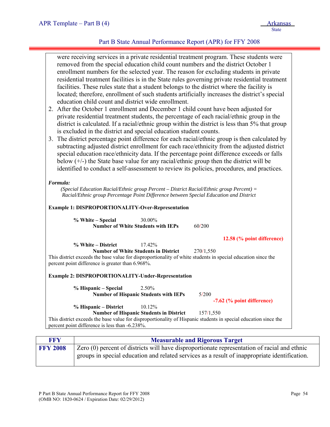# Part B State Annual Performance Report (APR) for FFY 2008

| education child count and district wide enrollment.<br>Formula:        | were receiving services in a private residential treatment program. These students were<br>removed from the special education child count numbers and the district October 1<br>enrollment numbers for the selected year. The reason for excluding students in private<br>residential treatment facilities is in the State rules governing private residential treatment<br>facilities. These rules state that a student belongs to the district where the facility is<br>located; therefore, enrollment of such students artificially increases the district's special<br>2. After the October 1 enrollment and December 1 child count have been adjusted for<br>private residential treatment students, the percentage of each racial/ethnic group in the<br>district is calculated. If a racial/ethnic group within the district is less than 5% that group<br>is excluded in the district and special education student counts.<br>3. The district percentage point difference for each racial/ethnic group is then calculated by<br>subtracting adjusted district enrollment for each race/ethnicity from the adjusted district<br>special education race/ethnicity data. If the percentage point difference exceeds or falls<br>below $(+/-)$ the State base value for any racial/ethnic group then the district will be<br>identified to conduct a self-assessment to review its policies, procedures, and practices.<br>(Special Education Racial/Ethnic group Percent - District Racial/Ethnic group Percent) = |
|------------------------------------------------------------------------|--------------------------------------------------------------------------------------------------------------------------------------------------------------------------------------------------------------------------------------------------------------------------------------------------------------------------------------------------------------------------------------------------------------------------------------------------------------------------------------------------------------------------------------------------------------------------------------------------------------------------------------------------------------------------------------------------------------------------------------------------------------------------------------------------------------------------------------------------------------------------------------------------------------------------------------------------------------------------------------------------------------------------------------------------------------------------------------------------------------------------------------------------------------------------------------------------------------------------------------------------------------------------------------------------------------------------------------------------------------------------------------------------------------------------------------------------------------------------------------------------------------------------|
|                                                                        |                                                                                                                                                                                                                                                                                                                                                                                                                                                                                                                                                                                                                                                                                                                                                                                                                                                                                                                                                                                                                                                                                                                                                                                                                                                                                                                                                                                                                                                                                                                          |
|                                                                        | Racial/Ethnic group Percentage Point Difference between Special Education and District                                                                                                                                                                                                                                                                                                                                                                                                                                                                                                                                                                                                                                                                                                                                                                                                                                                                                                                                                                                                                                                                                                                                                                                                                                                                                                                                                                                                                                   |
| <b>Example 1: DISPROPORTIONALITY-Over-Representation</b>               |                                                                                                                                                                                                                                                                                                                                                                                                                                                                                                                                                                                                                                                                                                                                                                                                                                                                                                                                                                                                                                                                                                                                                                                                                                                                                                                                                                                                                                                                                                                          |
| % White - Special                                                      | 30.00%<br><b>Number of White Students with IEPs</b><br>60/200                                                                                                                                                                                                                                                                                                                                                                                                                                                                                                                                                                                                                                                                                                                                                                                                                                                                                                                                                                                                                                                                                                                                                                                                                                                                                                                                                                                                                                                            |
|                                                                        |                                                                                                                                                                                                                                                                                                                                                                                                                                                                                                                                                                                                                                                                                                                                                                                                                                                                                                                                                                                                                                                                                                                                                                                                                                                                                                                                                                                                                                                                                                                          |
| % White – District<br>percent point difference is greater than 6.968%. | 12.58 (% point difference)<br>17.42%<br><b>Number of White Students in District</b><br>270/1,550<br>This district exceeds the base value for disproportionality of white students in special education since the                                                                                                                                                                                                                                                                                                                                                                                                                                                                                                                                                                                                                                                                                                                                                                                                                                                                                                                                                                                                                                                                                                                                                                                                                                                                                                         |
| <b>Example 2: DISPROPORTIONALITY-Under-Representation</b>              |                                                                                                                                                                                                                                                                                                                                                                                                                                                                                                                                                                                                                                                                                                                                                                                                                                                                                                                                                                                                                                                                                                                                                                                                                                                                                                                                                                                                                                                                                                                          |
| % Hispanic – Special                                                   | 2.50%<br>5/200<br><b>Number of Hispanic Students with IEPs</b>                                                                                                                                                                                                                                                                                                                                                                                                                                                                                                                                                                                                                                                                                                                                                                                                                                                                                                                                                                                                                                                                                                                                                                                                                                                                                                                                                                                                                                                           |
|                                                                        | -7.62 (% point difference)                                                                                                                                                                                                                                                                                                                                                                                                                                                                                                                                                                                                                                                                                                                                                                                                                                                                                                                                                                                                                                                                                                                                                                                                                                                                                                                                                                                                                                                                                               |
| % Hispanic – District                                                  | 10.12%<br><b>Number of Hispanic Students in District</b><br>157/1,550                                                                                                                                                                                                                                                                                                                                                                                                                                                                                                                                                                                                                                                                                                                                                                                                                                                                                                                                                                                                                                                                                                                                                                                                                                                                                                                                                                                                                                                    |

| <b>FFY</b>      | <b>Measurable and Rigorous Target</b>                                                                                                                                                         |
|-----------------|-----------------------------------------------------------------------------------------------------------------------------------------------------------------------------------------------|
| <b>FFY 2008</b> | Zero (0) percent of districts will have disproportionate representation of racial and ethnic<br>groups in special education and related services as a result of inappropriate identification. |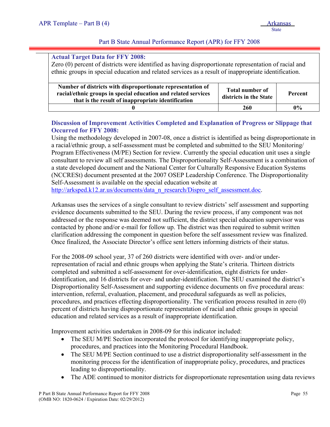## Part B State Annual Performance Report (APR) for FFY 2008

#### **Actual Target Data for FFY 2008:**

Zero (0) percent of districts were identified as having disproportionate representation of racial and ethnic groups in special education and related services as a result of inappropriate identification.

| Number of districts with disproportionate representation of<br>racial/ethnic groups in special education and related services<br>that is the result of inappropriate identification | <b>Total number of</b><br>districts in the State | Percent |
|-------------------------------------------------------------------------------------------------------------------------------------------------------------------------------------|--------------------------------------------------|---------|
|                                                                                                                                                                                     | 260                                              | $0\%$   |

# **Discussion of Improvement Activities Completed and Explanation of Progress or Slippage that Occurred for FFY 2008:**

Using the methodology developed in 2007-08, once a district is identified as being disproportionate in a racial/ethnic group, a self-assessment must be completed and submitted to the SEU Monitoring/ Program Effectiveness (M/PE) Section for review. Currently the special education unit uses a single consultant to review all self assessments. The Disproportionality Self-Assessment is a combination of a state developed document and the National Center for Culturally Responsive Education Systems (NCCRESt) document presented at the 2007 OSEP Leadership Conference. The Disproportionality Self-Assessment is available on the special education website at [http://arksped.k12.ar.us/documents/data\\_n\\_research/Dispro\\_self\\_assessment.doc.](http://arksped.k12.ar.us/documents/data_n_research/Dispro_self_assessment.doc)

Arkansas uses the services of a single consultant to review districts' self assessment and supporting evidence documents submitted to the SEU. During the review process, if any component was not addressed or the response was deemed not sufficient, the district special education supervisor was contacted by phone and/or e-mail for follow up. The district was then required to submit written clarification addressing the component in question before the self assessment review was finalized. Once finalized, the Associate Director's office sent letters informing districts of their status.

For the 2008-09 school year, 37 of 260 districts were identified with over- and/or underrepresentation of racial and ethnic groups when applying the State's criteria. Thirteen districts completed and submitted a self-assessment for over-identification, eight districts for underidentification, and 16 districts for over- and under-identification. The SEU examined the district's Disproportionality Self-Assessment and supporting evidence documents on five procedural areas: intervention, referral, evaluation, placement, and procedural safeguards as well as policies, procedures, and practices effecting disproportionality. The verification process resulted in zero (0) percent of districts having disproportionate representation of racial and ethnic groups in special education and related services as a result of inappropriate identification.

Improvement activities undertaken in 2008-09 for this indicator included:

- The SEU M/PE Section incorporated the protocol for identifying inappropriate policy, procedures, and practices into the Monitoring Procedural Handbook.
- The SEU M/PE Section continued to use a district disproportionality self-assessment in the monitoring process for the identification of inappropriate policy, procedures, and practices leading to disproportionality.
- The ADE continued to monitor districts for disproportionate representation using data reviews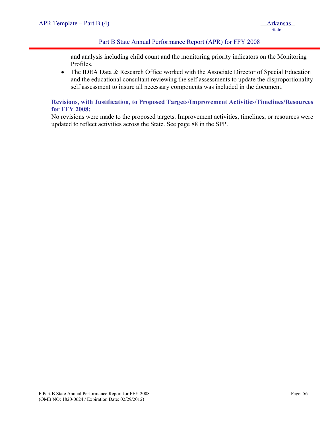## Part B State Annual Performance Report (APR) for FFY 2008

and analysis including child count and the monitoring priority indicators on the Monitoring Profiles.

• The IDEA Data & Research Office worked with the Associate Director of Special Education and the educational consultant reviewing the self assessments to update the disproportionality self assessment to insure all necessary components was included in the document.

# **Revisions, with Justification, to Proposed Targets/Improvement Activities/Timelines/Resources for FFY 2008:**

No revisions were made to the proposed targets. Improvement activities, timelines, or resources were updated to reflect activities across the State. See page 88 in the SPP.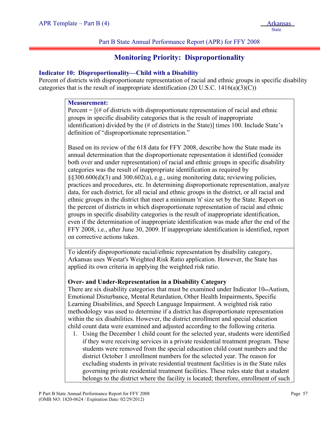## Part B State Annual Performance Report (APR) for FFY 2008

# **Monitoring Priority: Disproportionality**

## **Indicator 10: Disproportionality—Child with a Disability**

Percent of districts with disproportionate representation of racial and ethnic groups in specific disability categories that is the result of inappropriate identification (20 U.S.C.  $1416(a)(3)(C)$ )

#### **Measurement:**

Percent  $=$   $[$   $|$   $\#$  of districts with disproportionate representation of racial and ethnic groups in specific disability categories that is the result of inappropriate identification) divided by the (# of districts in the State)] times 100. Include State's definition of "disproportionate representation."

Based on its review of the 618 data for FFY 2008, describe how the State made its annual determination that the disproportionate representation it identified (consider both over and under representation) of racial and ethnic groups in specific disability categories was the result of inappropriate identification as required by §§300.600(d)(3) and 300.602(a), e.g., using monitoring data; reviewing policies, practices and procedures, etc. In determining disproportionate representation, analyze data, for each district, for all racial and ethnic groups in the district, or all racial and ethnic groups in the district that meet a minimum 'n' size set by the State. Report on the percent of districts in which disproportionate representation of racial and ethnic groups in specific disability categories is the result of inappropriate identification, even if the determination of inappropriate identification was made after the end of the FFY 2008, i.e., after June 30, 2009. If inappropriate identification is identified, report on corrective actions taken.

To identify disproportionate racial/ethnic representation by disability category, Arkansas uses Westat's Weighted Risk Ratio application. However, the State has applied its own criteria in applying the weighted risk ratio.

#### **Over- and Under-Representation in a Disability Category**

There are six disability categories that must be examined under Indicator 10—Autism, Emotional Disturbance, Mental Retardation, Other Health Impairments, Specific Learning Disabilities, and Speech Language Impairment. A weighted risk ratio methodology was used to determine if a district has disproportionate representation within the six disabilities. However, the district enrollment and special education child count data were examined and adjusted according to the following criteria.

1. Using the December 1 child count for the selected year, students were identified if they were receiving services in a private residential treatment program. These students were removed from the special education child count numbers and the district October 1 enrollment numbers for the selected year. The reason for excluding students in private residential treatment facilities is in the State rules governing private residential treatment facilities. These rules state that a student belongs to the district where the facility is located; therefore, enrollment of such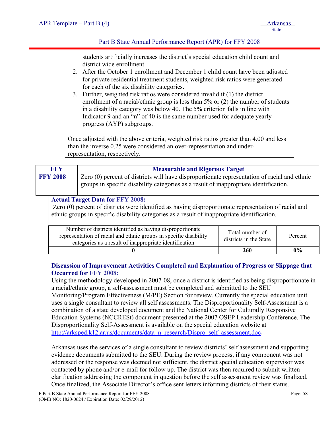#### Part B State Annual Performance Report (APR) for FFY 2008

students artificially increases the district's special education child count and district wide enrollment.

- 2. After the October 1 enrollment and December 1 child count have been adjusted for private residential treatment students, weighted risk ratios were generated for each of the six disability categories.
- 3. Further, weighted risk ratios were considered invalid if (1) the district enrollment of a racial/ethnic group is less than 5% or (2) the number of students in a disability category was below 40. The 5% criterion falls in line with Indicator 9 and an "n" of 40 is the same number used for adequate yearly progress (AYP) subgroups.

Once adjusted with the above criteria, weighted risk ratios greater than 4.00 and less than the inverse 0.25 were considered an over-representation and underrepresentation, respectively.

| <b>FFY</b>                                                                                                                                                                                                                                       | <b>Measurable and Rigorous Target</b>                                                                                          |                 |         |  |  |  |  |  |  |
|--------------------------------------------------------------------------------------------------------------------------------------------------------------------------------------------------------------------------------------------------|--------------------------------------------------------------------------------------------------------------------------------|-----------------|---------|--|--|--|--|--|--|
| Zero (0) percent of districts will have disproportionate representation of racial and ethnic<br><b>FFY 2008</b><br>groups in specific disability categories as a result of inappropriate identification.                                         |                                                                                                                                |                 |         |  |  |  |  |  |  |
| <b>Actual Target Data for FFY 2008:</b><br>Zero (0) percent of districts were identified as having disproportionate representation of racial and<br>ethnic groups in specific disability categories as a result of inappropriate identification. |                                                                                                                                |                 |         |  |  |  |  |  |  |
|                                                                                                                                                                                                                                                  | Number of districts identified as having disproportionate<br>representation of racial and ethnic groups in specific disability | Total number of | Percent |  |  |  |  |  |  |

|                                                                                                                                                                                          | 260                                       | $0\%$   |
|------------------------------------------------------------------------------------------------------------------------------------------------------------------------------------------|-------------------------------------------|---------|
| Number of districts identified as having disproportionate<br>representation of racial and ethnic groups in specific disability<br>categories as a result of inappropriate identification | Total number of<br>districts in the State | Percent |

## **Discussion of Improvement Activities Completed and Explanation of Progress or Slippage that Occurred for FFY 2008:**

Using the methodology developed in 2007-08, once a district is identified as being disproportionate in a racial/ethnic group, a self-assessment must be completed and submitted to the SEU Monitoring/Program Effectiveness (M/PE) Section for review. Currently the special education unit uses a single consultant to review all self assessments. The Disproportionality Self-Assessment is a combination of a state developed document and the National Center for Culturally Responsive Education Systems (NCCRESt) document presented at the 2007 OSEP Leadership Conference. The Disproportionality Self-Assessment is available on the special education website at [http://arksped.k12.ar.us/documents/data\\_n\\_research/Dispro\\_self\\_assessment.doc.](http://arksped.k12.ar.us/documents/data_n_research/Dispro_self_assessment.doc)

Arkansas uses the services of a single consultant to review districts' self assessment and supporting evidence documents submitted to the SEU. During the review process, if any component was not addressed or the response was deemed not sufficient, the district special education supervisor was contacted by phone and/or e-mail for follow up. The district was then required to submit written clarification addressing the component in question before the self assessment review was finalized. Once finalized, the Associate Director's office sent letters informing districts of their status.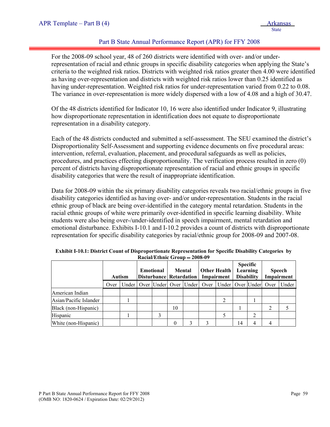# Part B State Annual Performance Report (APR) for FFY 2008

For the 2008-09 school year, 48 of 260 districts were identified with over- and/or underrepresentation of racial and ethnic groups in specific disability categories when applying the State's criteria to the weighted risk ratios. Districts with weighted risk ratios greater then 4.00 were identified as having over-representation and districts with weighted risk ratios lower than 0.25 identified as having under-representation. Weighted risk ratios for under-representation varied from 0.22 to 0.08. The variance in over-representation is more widely dispersed with a low of 4.08 and a high of 30.47.

Of the 48 districts identified for Indicator 10, 16 were also identified under Indicator 9, illustrating how disproportionate representation in identification does not equate to disproportionate representation in a disability category.

Each of the 48 districts conducted and submitted a self-assessment. The SEU examined the district's Disproportionality Self-Assessment and supporting evidence documents on five procedural areas: intervention, referral, evaluation, placement, and procedural safeguards as well as policies, procedures, and practices effecting disproportionality. The verification process resulted in zero (0) percent of districts having disproportionate representation of racial and ethnic groups in specific disability categories that were the result of inappropriate identification.

Data for 2008-09 within the six primary disability categories reveals two racial/ethnic groups in five disability categories identified as having over- and/or under-representation. Students in the racial ethnic group of black are being over-identified in the category mental retardation. Students in the racial ethnic groups of white were primarily over-identified in specific learning disability. White students were also being over-/under-identified in speech impairment, mental retardation and emotional disturbance. Exhibits I-10.1 and I-10.2 provides a count of districts with disproportionate representation for specific disability categories by racial/ethnic group for 2008-09 and 2007-08.

|                        | <b>Autism</b> |       | Other Health<br>Mental<br><b>Emotional</b><br>Disturbance Retardation   Impairment |  | <b>Specific</b><br>Learning<br><b>Disability</b> |                            | <b>Speech</b><br>Impairment |    |   |      |       |
|------------------------|---------------|-------|------------------------------------------------------------------------------------|--|--------------------------------------------------|----------------------------|-----------------------------|----|---|------|-------|
|                        | Over          | Under |                                                                                    |  |                                                  | Over Under Over Under Over | Under   Over   Under        |    |   | Over | Under |
| American Indian        |               |       |                                                                                    |  |                                                  |                            |                             |    |   |      |       |
| Asian/Pacific Islander |               |       |                                                                                    |  |                                                  |                            |                             |    |   |      |       |
| Black (non-Hispanic)   |               |       |                                                                                    |  | 10                                               |                            |                             |    |   |      |       |
| Hispanic               |               |       |                                                                                    |  |                                                  |                            |                             |    |   |      |       |
| White (non-Hispanic)   |               |       |                                                                                    |  |                                                  |                            |                             | 14 | 4 |      |       |

**Exhibit I-10.1: District Count of Disproportionate Representation for Specific Disability Categories by Racial/Ethnic Group 2008-09**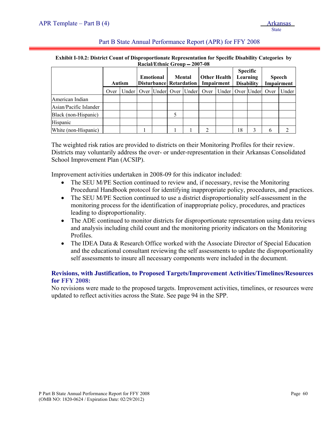#### Part B State Annual Performance Report (APR) for FFY 2008

#### **Exhibit I-10.2: District Count of Disproportionate Representation for Specific Disability Categories by Racial/Ethnic Group 2007-08**

|                        | <b>Autism</b> |  | <b>Emotional</b><br><b>Disturbance Retardation</b> |  | <b>Mental</b> |  | <b>Other Health</b><br>Impairment |                                                                          | <b>Specific</b><br>Learning<br><b>Disability</b> |  | <b>Speech</b><br>Impairment |       |
|------------------------|---------------|--|----------------------------------------------------|--|---------------|--|-----------------------------------|--------------------------------------------------------------------------|--------------------------------------------------|--|-----------------------------|-------|
|                        | Over          |  |                                                    |  |               |  |                                   | Under   Over   Under   Over   Under   Over   Under   Over   Under   Over |                                                  |  |                             | Under |
| American Indian        |               |  |                                                    |  |               |  |                                   |                                                                          |                                                  |  |                             |       |
| Asian/Pacific Islander |               |  |                                                    |  |               |  |                                   |                                                                          |                                                  |  |                             |       |
| Black (non-Hispanic)   |               |  |                                                    |  |               |  |                                   |                                                                          |                                                  |  |                             |       |
| Hispanic               |               |  |                                                    |  |               |  |                                   |                                                                          |                                                  |  |                             |       |
| White (non-Hispanic)   |               |  |                                                    |  |               |  | 2                                 |                                                                          | 18                                               |  |                             |       |

The weighted risk ratios are provided to districts on their Monitoring Profiles for their review. Districts may voluntarily address the over- or under-representation in their Arkansas Consolidated School Improvement Plan (ACSIP).

Improvement activities undertaken in 2008-09 for this indicator included:

- The SEU M/PE Section continued to review and, if necessary, revise the Monitoring Procedural Handbook protocol for identifying inappropriate policy, procedures, and practices.
- The SEU M/PE Section continued to use a district disproportionality self-assessment in the monitoring process for the identification of inappropriate policy, procedures, and practices leading to disproportionality.
- The ADE continued to monitor districts for disproportionate representation using data reviews and analysis including child count and the monitoring priority indicators on the Monitoring Profiles.
- The IDEA Data & Research Office worked with the Associate Director of Special Education and the educational consultant reviewing the self assessments to update the disproportionality self assessments to insure all necessary components were included in the document.

#### **Revisions, with Justification, to Proposed Targets/Improvement Activities/Timelines/Resources for FFY 2008:**

No revisions were made to the proposed targets. Improvement activities, timelines, or resources were updated to reflect activities across the State. See page 94 in the SPP.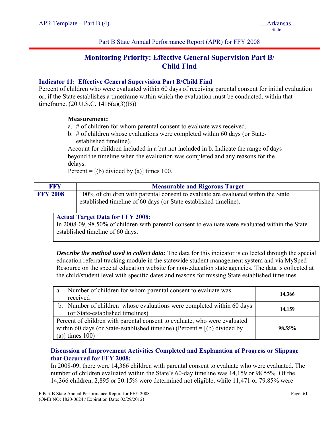# **Monitoring Priority: Effective General Supervision Part B/ Child Find**

#### **Indicator 11: Effective General Supervision Part B/Child Find**

Percent of children who were evaluated within 60 days of receiving parental consent for initial evaluation or, if the State establishes a timeframe within which the evaluation must be conducted, within that timeframe. (20 U.S.C. 1416(a)(3)(B))

# **Measurement:**

- a. # of children for whom parental consent to evaluate was received.
- b. # of children whose evaluations were completed within 60 days (or Stateestablished timeline).

Account for children included in a but not included in b. Indicate the range of days beyond the timeline when the evaluation was completed and any reasons for the delays.

Percent =  $[(b)$  divided by (a)] times 100.

| <b>FFY</b>      | <b>Measurable and Rigorous Target</b>                                                                                                                 |
|-----------------|-------------------------------------------------------------------------------------------------------------------------------------------------------|
| <b>FFY 2008</b> | 100% of children with parental consent to evaluate are evaluated within the State<br>established timeline of 60 days (or State established timeline). |

#### **Actual Target Data for FFY 2008:**

In 2008-09, 98.50% of children with parental consent to evaluate were evaluated within the State established timeline of 60 days.

*Describe the method used to collect data:* The data for this indicator is collected through the special education referral tracking module in the statewide student management system and via MySped Resource on the special education website for non-education state agencies. The data is collected at the child/student level with specific dates and reasons for missing State established timelines.

| Number of children for whom parental consent to evaluate was<br>a.<br>received                                                                                                 | 14,366 |
|--------------------------------------------------------------------------------------------------------------------------------------------------------------------------------|--------|
| b. Number of children whose evaluations were completed within 60 days<br>(or State-established timelines)                                                                      | 14,159 |
| Percent of children with parental consent to evaluate, who were evaluated<br>within 60 days (or State-established timeline) (Percent $=$ [(b) divided by<br>(a)] times $100$ ) | 98.55% |

# **Discussion of Improvement Activities Completed and Explanation of Progress or Slippage that Occurred for FFY 2008:**

In 2008-09, there were 14,366 children with parental consent to evaluate who were evaluated. The number of children evaluated within the State's 60-day timeline was 14,159 or 98.55%. Of the 14,366 children, 2,895 or 20.15% were determined not eligible, while 11,471 or 79.85% were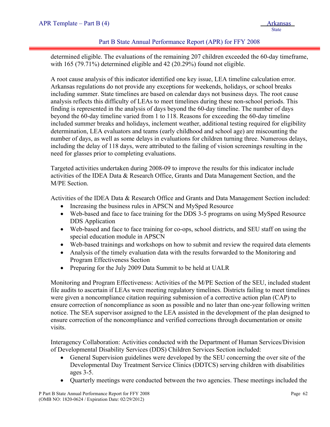#### Part B State Annual Performance Report (APR) for FFY 2008

determined eligible. The evaluations of the remaining 207 children exceeded the 60-day timeframe, with 165 (79.71%) determined eligible and 42 (20.29%) found not eligible.

A root cause analysis of this indicator identified one key issue, LEA timeline calculation error. Arkansas regulations do not provide any exceptions for weekends, holidays, or school breaks including summer. State timelines are based on calendar days not business days. The root cause analysis reflects this difficulty of LEAs to meet timelines during these non-school periods. This finding is represented in the analysis of days beyond the 60-day timeline. The number of days beyond the 60-day timeline varied from 1 to 118. Reasons for exceeding the 60-day timeline included summer breaks and holidays, inclement weather, additional testing required for eligibility determination, LEA evaluators and teams (early childhood and school age) are miscounting the number of days, as well as some delays in evaluations for children turning three. Numerous delays, including the delay of 118 days, were attributed to the failing of vision screenings resulting in the need for glasses prior to completing evaluations.

Targeted activities undertaken during 2008-09 to improve the results for this indicator include activities of the IDEA Data & Research Office, Grants and Data Management Section, and the M/PE Section.

Activities of the IDEA Data & Research Office and Grants and Data Management Section included:

- Increasing the business rules in APSCN and MySped Resource
- Web-based and face to face training for the DDS 3-5 programs on using MySped Resource DDS Application
- Web-based and face to face training for co-ops, school districts, and SEU staff on using the special education module in APSCN
- Web-based trainings and workshops on how to submit and review the required data elements
- Analysis of the timely evaluation data with the results forwarded to the Monitoring and Program Effectiveness Section
- Preparing for the July 2009 Data Summit to be held at UALR

Monitoring and Program Effectiveness: Activities of the M/PE Section of the SEU, included student file audits to ascertain if LEAs were meeting regulatory timelines. Districts failing to meet timelines were given a noncompliance citation requiring submission of a corrective action plan (CAP) to ensure correction of noncompliance as soon as possible and no later than one-year following written notice. The SEA supervisor assigned to the LEA assisted in the development of the plan designed to ensure correction of the noncompliance and verified corrections through documentation or onsite visits.

Interagency Collaboration: Activities conducted with the Department of Human Services/Division of Developmental Disability Services (DDS) Children Services Section included:

- General Supervision guidelines were developed by the SEU concerning the over site of the Developmental Day Treatment Service Clinics (DDTCS) serving children with disabilities ages 3-5.
- Quarterly meetings were conducted between the two agencies. These meetings included the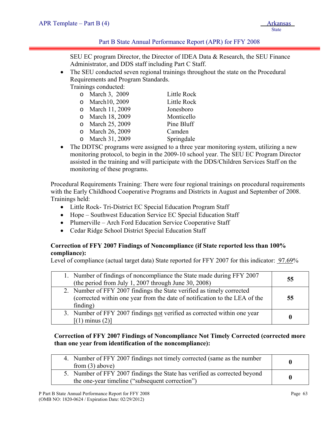## Part B State Annual Performance Report (APR) for FFY 2008

SEU EC program Director, the Director of IDEA Data & Research, the SEU Finance Administrator, and DDS staff including Part C Staff.

• The SEU conducted seven regional trainings throughout the state on the Procedural Requirements and Program Standards.

Trainings conducted:

| o March 3, 2009     | Little Rock                               |
|---------------------|-------------------------------------------|
| o March10, 2009     | Little Rock                               |
| o March 11, 2009    | Jonesboro                                 |
| o March 18, 2009    | Monticello                                |
| o March 25, 2009    | Pine Bluff                                |
| o March 26, 2009    | Camden                                    |
| <b>11 1 01 0000</b> | $\sim$ $\sim$ $\sim$ $\sim$ $\sim$ $\sim$ |

- o March 31, 2009 Springdale
- The DDTSC programs were assigned to a three year monitoring system, utilizing a new monitoring protocol, to begin in the 2009-10 school year. The SEU EC Program Director assisted in the training and will participate with the DDS/Children Services Staff on the monitoring of these programs.

Procedural Requirements Training: There were four regional trainings on procedural requirements with the Early Childhood Cooperative Programs and Districts in August and September of 2008. Trainings held:

- Little Rock- Tri-District EC Special Education Program Staff
- Hope Southwest Education Service EC Special Education Staff
- Plumerville Arch Ford Education Service Cooperative Staff
- Cedar Ridge School District Special Education Staff

# **Correction of FFY 2007 Findings of Noncompliance (if State reported less than 100% compliance):**

Level of compliance (actual target data) State reported for FFY 2007 for this indicator: 97.69%

| 1. Number of findings of noncompliance the State made during FFY 2007<br>(the period from July 1, 2007 through June 30, 2008)                                   | 55       |
|-----------------------------------------------------------------------------------------------------------------------------------------------------------------|----------|
| 2. Number of FFY 2007 findings the State verified as timely corrected<br>(corrected within one year from the date of notification to the LEA of the<br>finding) | 55       |
| 3. Number of FFY 2007 findings not verified as corrected within one year<br>$[(1)$ minus $(2)]$                                                                 | $\bf{0}$ |

# **Correction of FFY 2007 Findings of Noncompliance Not Timely Corrected (corrected more than one year from identification of the noncompliance):**

| 4. Number of FFY 2007 findings not timely corrected (same as the number<br>from $(3)$ above)                                 |  |
|------------------------------------------------------------------------------------------------------------------------------|--|
| 5. Number of FFY 2007 findings the State has verified as corrected beyond<br>the one-year timeline ("subsequent correction") |  |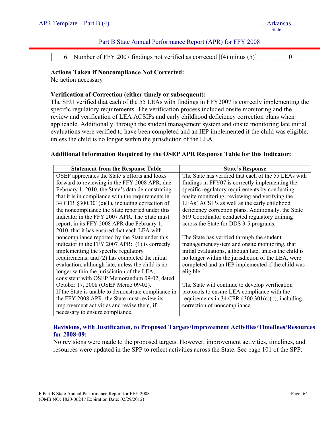#### Part B State Annual Performance Report (APR) for FFY 2008

| 6. Number of FFY 2007 findings not verified as corrected [(4) minus (5)] |
|--------------------------------------------------------------------------|
|--------------------------------------------------------------------------|

#### **Actions Taken if Noncompliance Not Corrected:**

No action necessary

#### **Verification of Correction (either timely or subsequent):**

The SEU verified that each of the 55 LEAs with findings in FFY2007 is correctly implementing the specific regulatory requirements. The verification process included onsite monitoring and the review and verification of LEA ACSIPs and early childhood deficiency correction plans when applicable. Additionally, through the student management system and onsite monitoring late initial evaluations were verified to have been completed and an IEP implemented if the child was eligible, unless the child is no longer within the jurisdiction of the LEA.

## **Additional Information Required by the OSEP APR Response Table for this Indicator:**

| <b>Statement from the Response Table</b>            | <b>State's Response</b>                                 |
|-----------------------------------------------------|---------------------------------------------------------|
| OSEP appreciates the State's efforts and looks      | The State has verified that each of the 55 LEAs with    |
| forward to reviewing in the FFY 2008 APR, due       | findings in FFY07 is correctly implementing the         |
| February 1, 2010, the State's data demonstrating    | specific regulatory requirements by conducting          |
| that it is in compliance with the requirements in   | onsite monitoring, reviewing and verifying the          |
| 34 CFR $\S 300.301(c)(1)$ , including correction of | LEAs' ACSIPs as well as the early childhood             |
| the noncompliance the State reported under this     | deficiency correction plans. Additionally, the State    |
| indicator in the FFY 2007 APR. The State must       | 619 Coordinator conducted regulatory training           |
| report, in its FFY 2008 APR due February 1,         | across the State for DDS 3-5 programs.                  |
| 2010, that it has ensured that each LEA with        |                                                         |
| noncompliance reported by the State under this      | The State has verified through the student              |
| indicator in the FFY 2007 APR: (1) is correctly     | management system and onsite monitoring, that           |
| implementing the specific regulatory                | initial evaluations, although late, unless the child is |
| requirements; and (2) has completed the initial     | no longer within the jurisdiction of the LEA, were      |
| evaluation, although late, unless the child is no   | completed and an IEP implemented if the child was       |
| longer within the jurisdiction of the LEA,          | eligible.                                               |
| consistent with OSEP Memorandum 09-02, dated        |                                                         |
| October 17, 2008 (OSEP Memo 09-02).                 | The State will continue to develop verification         |
| If the State is unable to demonstrate compliance in | protocols to ensure LEA compliance with the             |
| the FFY 2008 APR, the State must review its         | requirements in 34 CFR $\S 300.301(c)(1)$ , including   |
| improvement activities and revise them, if          | correction of noncompliance.                            |
| necessary to ensure compliance.                     |                                                         |

# **Revisions, with Justification, to Proposed Targets/Improvement Activities/Timelines/Resources for 2008-09:**

No revisions were made to the proposed targets. However, improvement activities, timelines, and resources were updated in the SPP to reflect activities across the State. See page 101 of the SPP.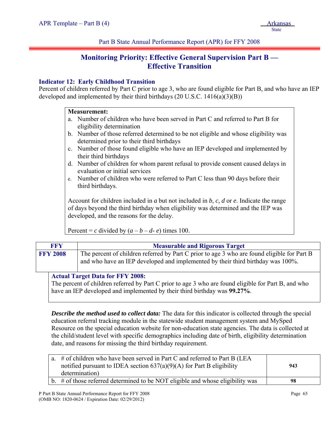# **Monitoring Priority: Effective General Supervision Part B — Effective Transition**

# **Indicator 12: Early Childhood Transition**

Percent of children referred by Part C prior to age 3, who are found eligible for Part B, and who have an IEP developed and implemented by their third birthdays  $(20 \text{ U.S.C. } 1416(a)(3)(B))$ 

#### **Measurement:**

- a. Number of children who have been served in Part C and referred to Part B for eligibility determination
- b. Number of those referred determined to be not eligible and whose eligibility was determined prior to their third birthdays
- c. Number of those found eligible who have an IEP developed and implemented by their third birthdays
- d. Number of children for whom parent refusal to provide consent caused delays in evaluation or initial services
- e. Number of children who were referred to Part C less than 90 days before their third birthdays.

Account for children included in *a* but not included in *b*, *c, d* or *e*. Indicate the range of days beyond the third birthday when eligibility was determined and the IEP was developed, and the reasons for the delay.

Percent = *c* divided by  $(a - b - d - e)$  times 100.

| <b>FFY</b>      | <b>Measurable and Rigorous Target</b>                                                                                                                                          |
|-----------------|--------------------------------------------------------------------------------------------------------------------------------------------------------------------------------|
| <b>FFY 2008</b> | The percent of children referred by Part C prior to age 3 who are found eligible for Part B<br>and who have an IEP developed and implemented by their third birthday was 100%. |
|                 | <b>Actual Target Data for FFY 2008:</b>                                                                                                                                        |

The percent of children referred by Part C prior to age 3 who are found eligible for Part B, and who have an IEP developed and implemented by their third birthday was **99.27%**.

*Describe the method used to collect data:* The data for this indicator is collected through the special education referral tracking module in the statewide student management system and MySped Resource on the special education website for non-education state agencies. The data is collected at the child/student level with specific demographics including date of birth, eligibility determination date, and reasons for missing the third birthday requirement.

| a. # of children who have been served in Part C and referred to Part B (LEA<br>notified pursuant to IDEA section $637(a)(9)(A)$ for Part B eligibility | 943 |
|--------------------------------------------------------------------------------------------------------------------------------------------------------|-----|
| determination)                                                                                                                                         |     |
| b. $\#$ of those referred determined to be NOT eligible and whose eligibility was                                                                      | 98  |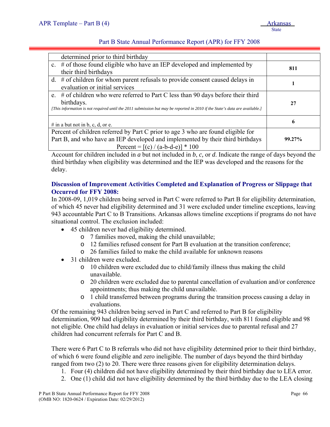# Part B State Annual Performance Report (APR) for FFY 2008

| determined prior to third birthday                                                                                                                                                                                                |        |
|-----------------------------------------------------------------------------------------------------------------------------------------------------------------------------------------------------------------------------------|--------|
| c. $\#$ of those found eligible who have an IEP developed and implemented by<br>their third birthdays                                                                                                                             | 811    |
| d. $#$ of children for whom parent refusals to provide consent caused delays in<br>evaluation or initial services                                                                                                                 |        |
| e. $\#$ of children who were referred to Part C less than 90 days before their third<br>birthdays.<br>[This information is not required until the 2011 submission but may be reported in 2010 if the State's data are available.] | 27     |
| # in a but not in b, c, d, or e.                                                                                                                                                                                                  | 6      |
| Percent of children referred by Part C prior to age 3 who are found eligible for<br>Part B, and who have an IEP developed and implemented by their third birthdays<br>Percent = $[(c) / (a-b-d-e)] * 100$                         | 99.27% |

Account for children included in *a* but not included in *b*, *c,* or *d*. Indicate the range of days beyond the third birthday when eligibility was determined and the IEP was developed and the reasons for the delay.

# **Discussion of Improvement Activities Completed and Explanation of Progress or Slippage that Occurred for FFY 2008:**

In 2008-09, 1,019 children being served in Part C were referred to Part B for eligibility determination, of which 45 never had eligibility determined and 31 were excluded under timeline exceptions, leaving 943 accountable Part C to B Transitions. Arkansas allows timeline exceptions if programs do not have situational control. The exclusion included:

- 45 children never had eligibility determined.
	- o 7 families moved, making the child unavailable;
	- o 12 families refused consent for Part B evaluation at the transition conference;
	- o 26 families failed to make the child available for unknown reasons
- 31 children were excluded.
	- o 10 children were excluded due to child/family illness thus making the child unavailable.
	- o 20 children were excluded due to parental cancellation of evaluation and/or conference appointments; thus making the child unavailable.
	- o 1 child transferred between programs during the transition process causing a delay in evaluations.

Of the remaining 943 children being served in Part C and referred to Part B for eligibility determination, 909 had eligibility determined by their third birthday, with 811 found eligible and 98 not eligible. One child had delays in evaluation or initial services due to parental refusal and 27 children had concurrent referrals for Part C and B.

There were 6 Part C to B referrals who did not have eligibility determined prior to their third birthday, of which 6 were found eligible and zero ineligible. The number of days beyond the third birthday ranged from two (2) to 20. There were three reasons given for eligibility determination delays.

- 1. Four (4) children did not have eligibility determined by their third birthday due to LEA error.
- 2. One (1) child did not have eligibility determined by the third birthday due to the LEA closing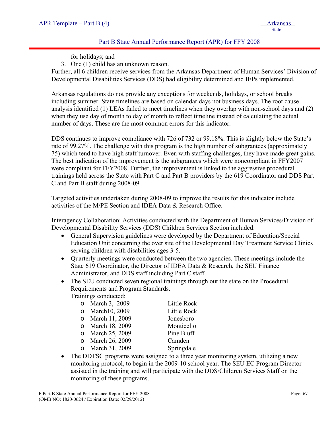## Part B State Annual Performance Report (APR) for FFY 2008

for holidays; and

3. One (1) child has an unknown reason.

Further, all 6 children receive services from the Arkansas Department of Human Services' Division of Developmental Disabilities Services (DDS) had eligibility determined and IEPs implemented.

Arkansas regulations do not provide any exceptions for weekends, holidays, or school breaks including summer. State timelines are based on calendar days not business days. The root cause analysis identified (1) LEAs failed to meet timelines when they overlap with non-school days and (2) when they use day of month to day of month to reflect timeline instead of calculating the actual number of days. These are the most common errors for this indicator.

DDS continues to improve compliance with 726 of 732 or 99.18%. This is slightly below the State's rate of 99.27%. The challenge with this program is the high number of subgrantees (approximately 75) which tend to have high staff turnover. Even with staffing challenges, they have made great gains. The best indication of the improvement is the subgrantees which were noncompliant in FFY2007 were compliant for FFY2008. Further, the improvement is linked to the aggressive procedural trainings held across the State with Part C and Part B providers by the 619 Coordinator and DDS Part C and Part B staff during 2008-09.

Targeted activities undertaken during 2008-09 to improve the results for this indicator include activities of the M/PE Section and IDEA Data & Research Office.

Interagency Collaboration: Activities conducted with the Department of Human Services/Division of Developmental Disability Services (DDS) Children Services Section included:

- General Supervision guidelines were developed by the Department of Education/Special Education Unit concerning the over site of the Developmental Day Treatment Service Clinics serving children with disabilities ages 3-5.
- Quarterly meetings were conducted between the two agencies. These meetings include the State 619 Coordinator, the Director of IDEA Data & Research, the SEU Finance Administrator, and DDS staff including Part C staff.
- The SEU conducted seven regional trainings through out the state on the Procedural Requirements and Program Standards.

Trainings conducted:

| o March 3, 2009  | Little Rock |
|------------------|-------------|
| o March10, 2009  | Little Rock |
| o March 11, 2009 | Jonesboro   |
| o March 18, 2009 | Monticello  |
| o March 25, 2009 | Pine Bluff  |
| o March 26, 2009 | Camden      |
| o March 31, 2009 | Springdale  |

• The DDTSC programs were assigned to a three year monitoring system, utilizing a new monitoring protocol, to begin in the 2009-10 school year. The SEU EC Program Director assisted in the training and will participate with the DDS/Children Services Staff on the monitoring of these programs.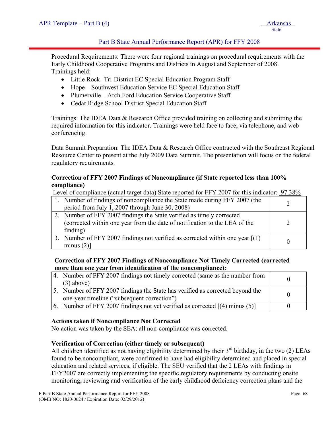# Part B State Annual Performance Report (APR) for FFY 2008

Procedural Requirements: There were four regional trainings on procedural requirements with the Early Childhood Cooperative Programs and Districts in August and September of 2008. Trainings held:

- Little Rock- Tri-District EC Special Education Program Staff
- Hope Southwest Education Service EC Special Education Staff
- Plumerville Arch Ford Education Service Cooperative Staff
- Cedar Ridge School District Special Education Staff

Trainings: The IDEA Data & Research Office provided training on collecting and submitting the required information for this indicator. Trainings were held face to face, via telephone, and web conferencing.

Data Summit Preparation: The IDEA Data & Research Office contracted with the Southeast Regional Resource Center to present at the July 2009 Data Summit. The presentation will focus on the federal regulatory requirements.

# **Correction of FFY 2007 Findings of Noncompliance (if State reported less than 100% compliance)**

Level of compliance (actual target data) State reported for FFY 2007 for this indicator: 97.38%

| 1. Number of findings of noncompliance the State made during FFY 2007 (the<br>period from July 1, 2007 through June 30, 2008)                                   |  |
|-----------------------------------------------------------------------------------------------------------------------------------------------------------------|--|
| 2. Number of FFY 2007 findings the State verified as timely corrected<br>(corrected within one year from the date of notification to the LEA of the<br>finding) |  |
| 3. Number of FFY 2007 findings not verified as corrected within one year $[(1)$<br>minus $(2)$ ]                                                                |  |

## **Correction of FFY 2007 Findings of Noncompliance Not Timely Corrected (corrected more than one year from identification of the noncompliance):**

| 4. Number of FFY 2007 findings not timely corrected (same as the number from<br>$(3)$ above)                                 |  |
|------------------------------------------------------------------------------------------------------------------------------|--|
| 5. Number of FFY 2007 findings the State has verified as corrected beyond the<br>one-year timeline ("subsequent correction") |  |
| 6. Number of FFY 2007 findings not yet verified as corrected $[(4)$ minus (5)                                                |  |

## **Actions taken if Noncompliance Not Corrected**

No action was taken by the SEA; all non-compliance was corrected.

## **Verification of Correction (either timely or subsequent)**

All children identified as not having eligibility determined by their  $3<sup>rd</sup>$  birthday, in the two (2) LEAs found to be noncompliant, were confirmed to have had eligibility determined and placed in special education and related services, if eligible. The SEU verified that the 2 LEAs with findings in FFY2007 are correctly implementing the specific regulatory requirements by conducting onsite monitoring, reviewing and verification of the early childhood deficiency correction plans and the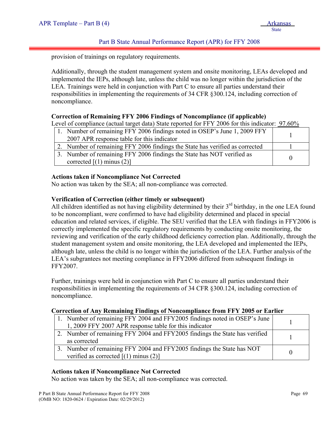#### Part B State Annual Performance Report (APR) for FFY 2008

provision of trainings on regulatory requirements.

Additionally, through the student management system and onsite monitoring, LEAs developed and implemented the IEPs, although late, unless the child was no longer within the jurisdiction of the LEA. Trainings were held in conjunction with Part C to ensure all parties understand their responsibilities in implementing the requirements of 34 CFR §300.124, including correction of noncompliance.

#### **Correction of Remaining FFY 2006 Findings of Noncompliance (if applicable)**

Level of compliance (actual target data) State reported for FFY 2006 for this indicator: 97.60%

| 1. Number of remaining FFY 2006 findings noted in OSEP's June 1, 2009 FFY    |  |
|------------------------------------------------------------------------------|--|
| 2007 APR response table for this indicator                                   |  |
| 2. Number of remaining FFY 2006 findings the State has verified as corrected |  |
| 3. Number of remaining FFY 2006 findings the State has NOT verified as       |  |
| corrected $[(1)$ minus $(2)]$                                                |  |

## **Actions taken if Noncompliance Not Corrected**

No action was taken by the SEA; all non-compliance was corrected.

## **Verification of Correction (either timely or subsequent)**

All children identified as not having eligibility determined by their 3<sup>rd</sup> birthday, in the one LEA found to be noncompliant, were confirmed to have had eligibility determined and placed in special education and related services, if eligible. The SEU verified that the LEA with findings in FFY2006 is correctly implemented the specific regulatory requirements by conducting onsite monitoring, the reviewing and verification of the early childhood deficiency correction plan. Additionally, through the student management system and onsite monitoring, the LEA developed and implemented the IEPs, although late, unless the child is no longer within the jurisdiction of the LEA. Further analysis of the LEA's subgrantees not meeting compliance in FFY2006 differed from subsequent findings in FFY2007.

Further, trainings were held in conjunction with Part C to ensure all parties understand their responsibilities in implementing the requirements of 34 CFR §300.124, including correction of noncompliance.

#### **Correction of Any Remaining Findings of Noncompliance from FFY 2005 or Earlier**

| 1. Number of remaining FFY 2004 and FFY 2005 findings noted in OSEP's June<br>1, 2009 FFY 2007 APR response table for this indicator |          |
|--------------------------------------------------------------------------------------------------------------------------------------|----------|
| 2. Number of remaining FFY 2004 and FFY 2005 findings the State has verified<br>as corrected                                         |          |
| 3. Number of remaining FFY 2004 and FFY 2005 findings the State has NOT<br>verified as corrected $[(1)$ minus $(2)]$                 | $\Omega$ |

## **Actions taken if Noncompliance Not Corrected**

No action was taken by the SEA; all non-compliance was corrected.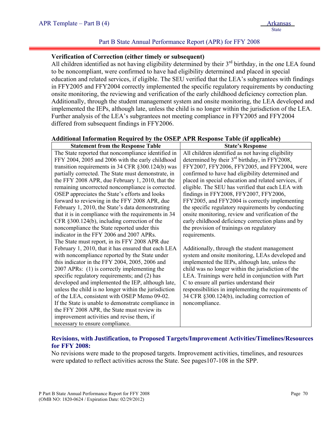## Part B State Annual Performance Report (APR) for FFY 2008

#### **Verification of Correction (either timely or subsequent)**

All children identified as not having eligibility determined by their 3<sup>rd</sup> birthday, in the one LEA found to be noncompliant, were confirmed to have had eligibility determined and placed in special education and related services, if eligible. The SEU verified that the LEA's subgrantees with findings in FFY2005 and FFY2004 correctly implemented the specific regulatory requirements by conducting onsite monitoring, the reviewing and verification of the early childhood deficiency correction plan. Additionally, through the student management system and onsite monitoring, the LEA developed and implemented the IEPs, although late, unless the child is no longer within the jurisdiction of the LEA. Further analysis of the LEA's subgrantees not meeting compliance in FFY2005 and FFY2004 differed from subsequent findings in FFY2006.

#### **Additional Information Required by the OSEP APR Response Table (if applicable)**

| <b>Statement from the Response Table</b>              | <b>State's Response</b>                              |  |
|-------------------------------------------------------|------------------------------------------------------|--|
| The State reported that noncompliance identified in   | All children identified as not having eligibility    |  |
| FFY 2004, 2005 and 2006 with the early childhood      | determined by their $3rd$ birthday, in FFY2008,      |  |
| transition requirements in 34 CFR §300.124(b) was     | FFY2007, FFY2006, FFY2005, and FFY2004, were         |  |
| partially corrected. The State must demonstrate, in   | confirmed to have had eligibility determined and     |  |
| the FFY 2008 APR, due February 1, 2010, that the      | placed in special education and related services, if |  |
| remaining uncorrected noncompliance is corrected.     | eligible. The SEU has verified that each LEA with    |  |
| OSEP appreciates the State's efforts and looks        | findings in FFY2008, FFY2007, FFY2006,               |  |
| forward to reviewing in the FFY 2008 APR, due         | FFY2005, and FFY2004 is correctly implementing       |  |
| February 1, 2010, the State's data demonstrating      | the specific regulatory requirements by conducting   |  |
| that it is in compliance with the requirements in 34  | onsite monitoring, review and verification of the    |  |
| CFR §300.124(b), including correction of the          | early childhood deficiency correction plans and by   |  |
| noncompliance the State reported under this           | the provision of trainings on regulatory             |  |
| indicator in the FFY 2006 and 2007 APRs.              | requirements.                                        |  |
| The State must report, in its FFY 2008 APR due        |                                                      |  |
| February 1, 2010, that it has ensured that each LEA   | Additionally, through the student management         |  |
| with noncompliance reported by the State under        | system and onsite monitoring, LEAs developed and     |  |
| this indicator in the FFY 2004, 2005, 2006 and        | implemented the IEPs, although late, unless the      |  |
| 2007 APRs: (1) is correctly implementing the          | child was no longer within the jurisdiction of the   |  |
| specific regulatory requirements; and (2) has         | LEA. Trainings were held in conjunction with Part    |  |
| developed and implemented the IEP, although late,     | C to ensure all parties understand their             |  |
| unless the child is no longer within the jurisdiction | responsibilities in implementing the requirements of |  |
| of the LEA, consistent with OSEP Memo 09-02.          | 34 CFR §300.124(b), including correction of          |  |
| If the State is unable to demonstrate compliance in   | noncompliance.                                       |  |
| the FFY 2008 APR, the State must review its           |                                                      |  |
| improvement activities and revise them, if            |                                                      |  |
| necessary to ensure compliance.                       |                                                      |  |

# **Revisions, with Justification, to Proposed Targets/Improvement Activities/Timelines/Resources for FFY 2008:**

No revisions were made to the proposed targets. Improvement activities, timelines, and resources were updated to reflect activities across the State. See pages107-108 in the SPP.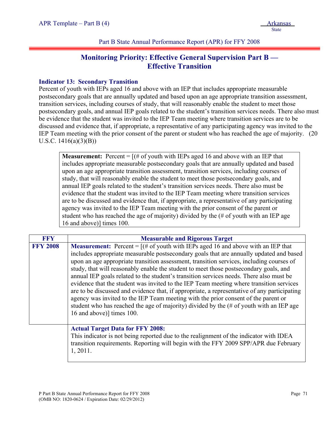# **Monitoring Priority: Effective General Supervision Part B — Effective Transition**

## **Indicator 13: Secondary Transition**

Percent of youth with IEPs aged 16 and above with an IEP that includes appropriate measurable postsecondary goals that are annually updated and based upon an age appropriate transition assessment, transition services, including courses of study, that will reasonably enable the student to meet those postsecondary goals, and annual IEP goals related to the student's transition services needs. There also must be evidence that the student was invited to the IEP Team meeting where transition services are to be discussed and evidence that, if appropriate, a representative of any participating agency was invited to the IEP Team meeting with the prior consent of the parent or student who has reached the age of majority. (20 U.S.C.  $1416(a)(3)(B)$ 

**Measurement:** Percent  $=$   $[(\text{# of youth with IEPs aged 16 and above with an IEP that$ includes appropriate measurable postsecondary goals that are annually updated and based upon an age appropriate transition assessment, transition services, including courses of study, that will reasonably enable the student to meet those postsecondary goals, and annual IEP goals related to the student's transition services needs. There also must be evidence that the student was invited to the IEP Team meeting where transition services are to be discussed and evidence that, if appropriate, a representative of any participating agency was invited to the IEP Team meeting with the prior consent of the parent or student who has reached the age of majority) divided by the (# of youth with an IEP age 16 and above)] times 100.

| FFY             | <b>Measurable and Rigorous Target</b>                                                                                                                                                                                                                                                                                                                                                                                                                                                                                                                                                                                                                                                                                                                                                                                                                                         |
|-----------------|-------------------------------------------------------------------------------------------------------------------------------------------------------------------------------------------------------------------------------------------------------------------------------------------------------------------------------------------------------------------------------------------------------------------------------------------------------------------------------------------------------------------------------------------------------------------------------------------------------------------------------------------------------------------------------------------------------------------------------------------------------------------------------------------------------------------------------------------------------------------------------|
| <b>FFY 2008</b> | <b>Measurement:</b> Percent = $[(# of youth with IEPs aged 16 and above with an IEP that$<br>includes appropriate measurable postsecondary goals that are annually updated and based<br>upon an age appropriate transition assessment, transition services, including courses of<br>study, that will reasonably enable the student to meet those postsecondary goals, and<br>annual IEP goals related to the student's transition services needs. There also must be<br>evidence that the student was invited to the IEP Team meeting where transition services<br>are to be discussed and evidence that, if appropriate, a representative of any participating<br>agency was invited to the IEP Team meeting with the prior consent of the parent or<br>student who has reached the age of majority) divided by the (# of youth with an IEP age<br>16 and above)] times 100. |
|                 | <b>Actual Target Data for FFY 2008:</b><br>This indicator is not being reported due to the realignment of the indicator with IDEA<br>transition requirements. Reporting will begin with the FFY 2009 SPP/APR due February<br>1, 2011.                                                                                                                                                                                                                                                                                                                                                                                                                                                                                                                                                                                                                                         |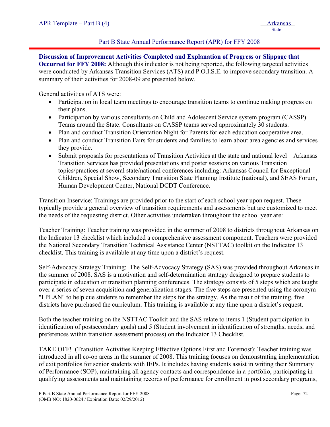## Part B State Annual Performance Report (APR) for FFY 2008

**Discussion of Improvement Activities Completed and Explanation of Progress or Slippage that Occurred for FFY 2008:** Although this indicator is not being reported, the following targeted activities were conducted by Arkansas Transition Services (ATS) and P.O.I.S.E. to improve secondary transition. A summary of their activities for 2008-09 are presented below.

General activities of ATS were:

- Participation in local team meetings to encourage transition teams to continue making progress on their plans.
- Participation by various consultants on Child and Adolescent Service system program (CASSP) Teams around the State. Consultants on CASSP teams served approximately 30 students.
- Plan and conduct Transition Orientation Night for Parents for each education cooperative area.
- Plan and conduct Transition Fairs for students and families to learn about area agencies and services they provide.
- Submit proposals for presentations of Transition Activities at the state and national level—Arkansas Transition Services has provided presentations and poster sessions on various Transition topics/practices at several state/national conferences including: Arkansas Council for Exceptional Children, Special Show, Secondary Transition State Planning Institute (national), and SEAS Forum, Human Development Center, National DCDT Conference.

Transition Inservice: Trainings are provided prior to the start of each school year upon request. These typically provide a general overview of transition requirements and assessments but are customized to meet the needs of the requesting district. Other activities undertaken throughout the school year are:

Teacher Training: Teacher training was provided in the summer of 2008 to districts throughout Arkansas on the Indicator 13 checklist which included a comprehensive assessment component. Teachers were provided the National Secondary Transition Technical Assistance Center (NSTTAC) toolkit on the Indicator 13 checklist. This training is available at any time upon a district's request.

Self-Advocacy Strategy Training: The Self-Advocacy Strategy (SAS) was provided throughout Arkansas in the summer of 2008. SAS is a motivation and self-determination strategy designed to prepare students to participate in education or transition planning conferences. The strategy consists of 5 steps which are taught over a series of seven acquisition and generalization stages. The five steps are presented using the acronym "I PLAN" to help cue students to remember the steps for the strategy. As the result of the training, five districts have purchased the curriculum. This training is available at any time upon a district's request.

Both the teacher training on the NSTTAC Toolkit and the SAS relate to items 1 (Student participation in identification of postsecondary goals) and 5 (Student involvement in identification of strengths, needs, and preferences within transition assessment process) on the Indicator 13 Checklist.

TAKE OFF! (Transition Activities Keeping Effective Options First and Foremost): Teacher training was introduced in all co-op areas in the summer of 2008. This training focuses on demonstrating implementation of exit portfolios for senior students with IEPs. It includes having students assist in writing their Summary of Performance (SOP), maintaining all agency contacts and correspondence in a portfolio, participating in qualifying assessments and maintaining records of performance for enrollment in post secondary programs,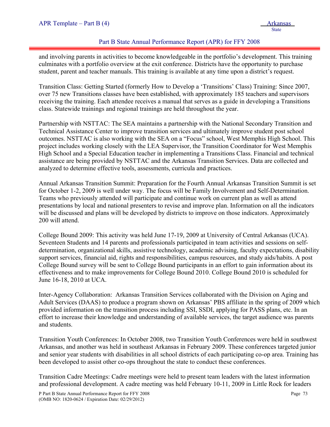## Part B State Annual Performance Report (APR) for FFY 2008

and involving parents in activities to become knowledgeable in the portfolio's development. This training culminates with a portfolio overview at the exit conference. Districts have the opportunity to purchase student, parent and teacher manuals. This training is available at any time upon a district's request.

Transition Class: Getting Started (formerly How to Develop a 'Transitions' Class) Training: Since 2007, over 75 new Transitions classes have been established, with approximately 185 teachers and supervisors receiving the training. Each attendee receives a manual that serves as a guide in developing a Transitions class. Statewide trainings and regional trainings are held throughout the year.

Partnership with NSTTAC: The SEA maintains a partnership with the National Secondary Transition and Technical Assistance Center to improve transition services and ultimately improve student post school outcomes. NSTTAC is also working with the SEA on a "Focus" school, West Memphis High School. This project includes working closely with the LEA Supervisor, the Transition Coordinator for West Memphis High School and a Special Education teacher in implementing a Transitions Class. Financial and technical assistance are being provided by NSTTAC and the Arkansas Transition Services. Data are collected and analyzed to determine effective tools, assessments, curricula and practices.

Annual Arkansas Transition Summit: Preparation for the Fourth Annual Arkansas Transition Summit is set for October 1-2, 2009 is well under way. The focus will be Family Involvement and Self-Determination. Teams who previously attended will participate and continue work on current plan as well as attend presentations by local and national presenters to revise and improve plan. Information on all the indicators will be discussed and plans will be developed by districts to improve on those indicators. Approximately 200 will attend.

College Bound 2009: This activity was held June 17-19, 2009 at University of Central Arkansas (UCA). Seventeen Students and 14 parents and professionals participated in team activities and sessions on selfdetermination, organizational skills, assistive technology, academic advising, faculty expectations, disability support services, financial aid, rights and responsibilities, campus resources, and study aids/habits. A post College Bound survey will be sent to College Bound participants in an effort to gain information about its effectiveness and to make improvements for College Bound 2010. College Bound 2010 is scheduled for June 16-18, 2010 at UCA.

Inter-Agency Collaboration: Arkansas Transition Services collaborated with the Division on Aging and Adult Services (DAAS) to produce a program shown on Arkansas' PBS affiliate in the spring of 2009 which provided information on the transition process including SSI, SSDI, applying for PASS plans, etc. In an effort to increase their knowledge and understanding of available services, the target audience was parents and students.

Transition Youth Conferences: In October 2008, two Transition Youth Conferences were held in southwest Arkansas, and another was held in southeast Arkansas in February 2009. These conferences targeted junior and senior year students with disabilities in all school districts of each participating co-op area. Training has been developed to assist other co-ops throughout the state to conduct these conferences.

Transition Cadre Meetings: Cadre meetings were held to present team leaders with the latest information and professional development. A cadre meeting was held February 10-11, 2009 in Little Rock for leaders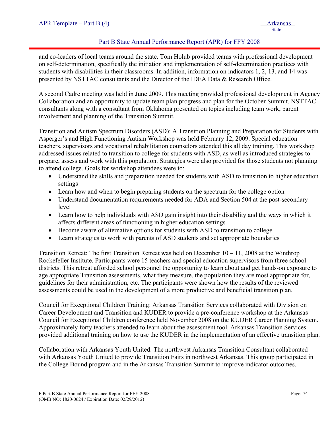## Part B State Annual Performance Report (APR) for FFY 2008

and co-leaders of local teams around the state. Tom Holub provided teams with professional development on self-determination, specifically the initiation and implementation of self-determination practices with students with disabilities in their classrooms. In addition, information on indicators 1, 2, 13, and 14 was presented by NSTTAC consultants and the Director of the IDEA Data & Research Office.

A second Cadre meeting was held in June 2009. This meeting provided professional development in Agency Collaboration and an opportunity to update team plan progress and plan for the October Summit. NSTTAC consultants along with a consultant from Oklahoma presented on topics including team work, parent involvement and planning of the Transition Summit.

Transition and Autism Spectrum Disorders (ASD): A Transition Planning and Preparation for Students with Asperger's and High Functioning Autism Workshop was held February 12, 2009. Special education teachers, supervisors and vocational rehabilitation counselors attended this all day training. This workshop addressed issues related to transition to college for students with ASD, as well as introduced strategies to prepare, assess and work with this population. Strategies were also provided for those students not planning to attend college. Goals for workshop attendees were to:

- Understand the skills and preparation needed for students with ASD to transition to higher education settings
- Learn how and when to begin preparing students on the spectrum for the college option
- Understand documentation requirements needed for ADA and Section 504 at the post-secondary level
- Learn how to help individuals with ASD gain insight into their disability and the ways in which it affects different areas of functioning in higher education settings
- Become aware of alternative options for students with ASD to transition to college
- Learn strategies to work with parents of ASD students and set appropriate boundaries

Transition Retreat: The first Transition Retreat was held on December  $10 - 11$ , 2008 at the Winthrop Rockefeller Institute. Participants were 15 teachers and special education supervisors from three school districts. This retreat afforded school personnel the opportunity to learn about and get hands-on exposure to age appropriate Transition assessments, what they measure, the population they are most appropriate for, guidelines for their administration, etc. The participants were shown how the results of the reviewed assessments could be used in the development of a more productive and beneficial transition plan.

Council for Exceptional Children Training: Arkansas Transition Services collaborated with Division on Career Development and Transition and KUDER to provide a pre-conference workshop at the Arkansas Council for Exceptional Children conference held November 2008 on the KUDER Career Planning System. Approximately forty teachers attended to learn about the assessment tool. Arkansas Transition Services provided additional training on how to use the KUDER in the implementation of an effective transition plan.

Collaboration with Arkansas Youth United: The northwest Arkansas Transition Consultant collaborated with Arkansas Youth United to provide Transition Fairs in northwest Arkansas. This group participated in the College Bound program and in the Arkansas Transition Summit to improve indicator outcomes.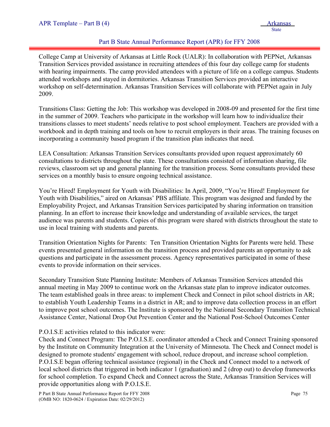## Part B State Annual Performance Report (APR) for FFY 2008

College Camp at University of Arkansas at Little Rock (UALR): In collaboration with PEPNet, Arkansas Transition Services provided assistance in recruiting attendees of this four day college camp for students with hearing impairments. The camp provided attendees with a picture of life on a college campus. Students attended workshops and stayed in dormitories. Arkansas Transition Services provided an interactive workshop on self-determination. Arkansas Transition Services will collaborate with PEPNet again in July 2009.

Transitions Class: Getting the Job: This workshop was developed in 2008-09 and presented for the first time in the summer of 2009. Teachers who participate in the workshop will learn how to individualize their transitions classes to meet students' needs relative to post school employment. Teachers are provided with a workbook and in depth training and tools on how to recruit employers in their areas. The training focuses on incorporating a community based program if the transition plan indicates that need.

LEA Consultation: Arkansas Transition Services consultants provided upon request approximately 60 consultations to districts throughout the state. These consultations consisted of information sharing, file reviews, classroom set up and general planning for the transition process. Some consultants provided these services on a monthly basis to ensure ongoing technical assistance.

You're Hired! Employment for Youth with Disabilities: In April, 2009, "You're Hired! Employment for Youth with Disabilities," aired on Arkansas' PBS affiliate. This program was designed and funded by the Employability Project, and Arkansas Transition Services participated by sharing information on transition planning. In an effort to increase their knowledge and understanding of available services, the target audience was parents and students. Copies of this program were shared with districts throughout the state to use in local training with students and parents.

Transition Orientation Nights for Parents: Ten Transition Orientation Nights for Parents were held. These events presented general information on the transition process and provided parents an opportunity to ask questions and participate in the assessment process. Agency representatives participated in some of these events to provide information on their services.

Secondary Transition State Planning Institute: Members of Arkansas Transition Services attended this annual meeting in May 2009 to continue work on the Arkansas state plan to improve indicator outcomes. The team established goals in three areas: to implement Check and Connect in pilot school districts in AR; to establish Youth Leadership Teams in a district in AR; and to improve data collection process in an effort to improve post school outcomes. The Institute is sponsored by the National Secondary Transition Technical Assistance Center, National Drop Out Prevention Center and the National Post-School Outcomes Center

## P.O.I.S.E activities related to this indicator were:

Check and Connect Program: The P.O.I.S.E. coordinator attended a Check and Connect Training sponsored by the Institute on Community Integration at the University of Minnesota. The Check and Connect model is designed to promote students' engagement with school, reduce dropout, and increase school completion. P.O.I.S.E began offering technical assistance (regional) in the Check and Connect model to a network of local school districts that triggered in both indicator 1 (graduation) and 2 (drop out) to develop frameworks for school completion. To expand Check and Connect across the State, Arkansas Transition Services will provide opportunities along with P.O.I.S.E.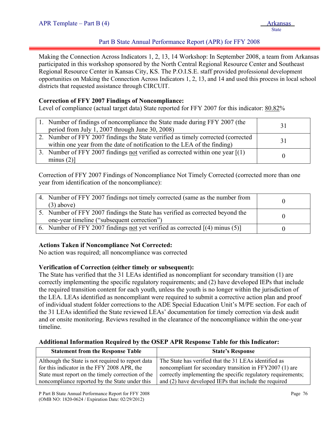## Part B State Annual Performance Report (APR) for FFY 2008

Making the Connection Across Indicators 1, 2, 13, 14 Workshop: In September 2008, a team from Arkansas participated in this workshop sponsored by the North Central Regional Resource Center and Southeast Regional Resource Center in Kansas City, KS. The P.O.I.S.E. staff provided professional development opportunities on Making the Connection Across Indicators 1, 2, 13, and 14 and used this process in local school districts that requested assistance through CIRCUIT.

## **Correction of FFY 2007 Findings of Noncompliance:**

Level of compliance (actual target data) State reported for FFY 2007 for this indicator: 80.82%

| 1. Number of findings of noncompliance the State made during FFY 2007 (the<br>period from July 1, 2007 through June 30, 2008)                                 |    |
|---------------------------------------------------------------------------------------------------------------------------------------------------------------|----|
| 2. Number of FFY 2007 findings the State verified as timely corrected (corrected)<br>within one year from the date of notification to the LEA of the finding) | 31 |
| 3. Number of FFY 2007 findings not verified as corrected within one year $[(1)$<br>minus $(2)$ ]                                                              |    |

Correction of FFY 2007 Findings of Noncompliance Not Timely Corrected (corrected more than one year from identification of the noncompliance):

| 4. Number of FFY 2007 findings not timely corrected (same as the number from<br>$(3)$ above)                                 |  |
|------------------------------------------------------------------------------------------------------------------------------|--|
| 5. Number of FFY 2007 findings the State has verified as corrected beyond the<br>one-year timeline ("subsequent correction") |  |
| 6. Number of FFY 2007 findings not yet verified as corrected $[(4)$ minus (5)]                                               |  |

#### **Actions Taken if Noncompliance Not Corrected:**

No action was required; all noncompliance was corrected

#### **Verification of Correction (either timely or subsequent):**

The State has verified that the 31 LEAs identified as noncompliant for secondary transition (1) are correctly implementing the specific regulatory requirements; and (2) have developed IEPs that include the required transition content for each youth, unless the youth is no longer within the jurisdiction of the LEA. LEAs identified as noncompliant were required to submit a corrective action plan and proof of individual student folder corrections to the ADE Special Education Unit's M/PE section. For each of the 31 LEAs identified the State reviewed LEAs' documentation for timely correction via desk audit and or onsite monitoring. Reviews resulted in the clearance of the noncompliance within the one-year timeline.

#### **Additional Information Required by the OSEP APR Response Table for this Indicator:**

| <b>Statement from the Response Table</b>          | <b>State's Response</b>                                      |
|---------------------------------------------------|--------------------------------------------------------------|
| Although the State is not required to report data | The State has verified that the 31 LEAs identified as        |
| for this indicator in the FFY 2008 APR, the       | noncompliant for secondary transition in FFY2007 (1) are     |
| State must report on the timely correction of the | correctly implementing the specific regulatory requirements; |
| noncompliance reported by the State under this    | and (2) have developed IEPs that include the required        |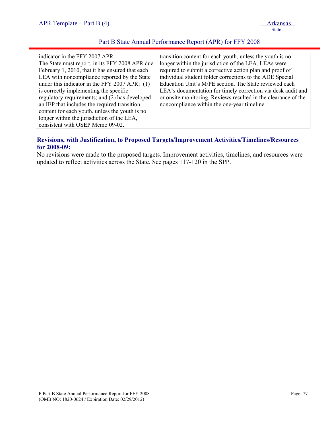## Part B State Annual Performance Report (APR) for FFY 2008

| indicator in the FFY 2007 APR.                  | transition content for each youth, unless the youth is no      |
|-------------------------------------------------|----------------------------------------------------------------|
| The State must report, in its FFY 2008 APR due  | longer within the jurisdiction of the LEA. LEAs were           |
| February 1, 2010, that it has ensured that each | required to submit a corrective action plan and proof of       |
| LEA with noncompliance reported by the State    | individual student folder corrections to the ADE Special       |
| under this indicator in the FFY 2007 APR: (1)   | Education Unit's M/PE section. The State reviewed each         |
| is correctly implementing the specific          | LEA's documentation for timely correction via desk audit and   |
| regulatory requirements; and (2) has developed  | or onsite monitoring. Reviews resulted in the clearance of the |
| an IEP that includes the required transition    | noncompliance within the one-year timeline.                    |
| content for each youth, unless the youth is no  |                                                                |
| longer within the jurisdiction of the LEA,      |                                                                |
| consistent with OSEP Memo 09-02.                |                                                                |

## **Revisions, with Justification, to Proposed Targets/Improvement Activities/Timelines/Resources for 2008-09:**

No revisions were made to the proposed targets. Improvement activities, timelines, and resources were updated to reflect activities across the State. See pages 117-120 in the SPP.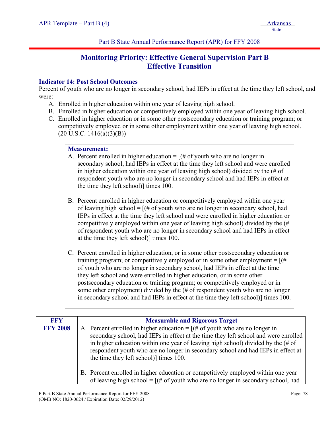# **Monitoring Priority: Effective General Supervision Part B — Effective Transition**

## **Indicator 14: Post School Outcomes**

Percent of youth who are no longer in secondary school, had IEPs in effect at the time they left school, and were:

- A. Enrolled in higher education within one year of leaving high school.
- B. Enrolled in higher education or competitively employed within one year of leaving high school.
- C. Enrolled in higher education or in some other postsecondary education or training program; or competitively employed or in some other employment within one year of leaving high school.  $(20 \text{ U.S.C. } 1416(a)(3)(B))$

## **Measurement:**

- A. Percent enrolled in higher education  $=$  [(# of youth who are no longer in secondary school, had IEPs in effect at the time they left school and were enrolled in higher education within one year of leaving high school) divided by the (# of respondent youth who are no longer in secondary school and had IEPs in effect at the time they left school)] times 100.
- B. Percent enrolled in higher education or competitively employed within one year of leaving high school =  $[(# of youth who are no longer in secondary school, had$ IEPs in effect at the time they left school and were enrolled in higher education or competitively employed within one year of leaving high school) divided by the (# of respondent youth who are no longer in secondary school and had IEPs in effect at the time they left school)] times 100.
- C. Percent enrolled in higher education, or in some other postsecondary education or training program; or competitively employed or in some other employment  $=$   $[(#$ of youth who are no longer in secondary school, had IEPs in effect at the time they left school and were enrolled in higher education, or in some other postsecondary education or training program; or competitively employed or in some other employment) divided by the (# of respondent youth who are no longer in secondary school and had IEPs in effect at the time they left school)] times 100.

| <b>FFY</b>      | <b>Measurable and Rigorous Target</b>                                                                                                                                                                                                                                                                                                                                                              |
|-----------------|----------------------------------------------------------------------------------------------------------------------------------------------------------------------------------------------------------------------------------------------------------------------------------------------------------------------------------------------------------------------------------------------------|
| <b>FFY 2008</b> | A. Percent enrolled in higher education = $[(# of youth who are no longer in$<br>secondary school, had IEPs in effect at the time they left school and were enrolled<br>in higher education within one year of leaving high school) divided by the $(\# \text{ of }$<br>respondent youth who are no longer in secondary school and had IEPs in effect at<br>the time they left school)] times 100. |
|                 | B. Percent enrolled in higher education or competitively employed within one year<br>of leaving high school = $[(# of youth who are no longer in secondary school, had$                                                                                                                                                                                                                            |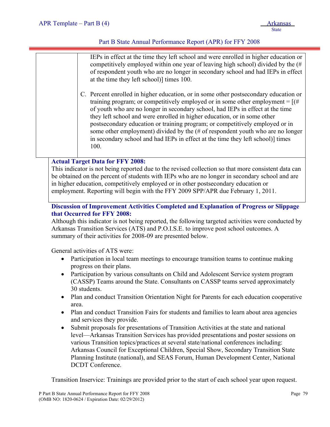## Part B State Annual Performance Report (APR) for FFY 2008

|  | IEPs in effect at the time they left school and were enrolled in higher education or<br>competitively employed within one year of leaving high school) divided by the $#$<br>of respondent youth who are no longer in secondary school and had IEPs in effect<br>at the time they left school)] times 100.<br>C. Percent enrolled in higher education, or in some other postsecondary education or<br>training program; or competitively employed or in some other employment = $[(#$<br>of youth who are no longer in secondary school, had IEPs in effect at the time<br>they left school and were enrolled in higher education, or in some other<br>postsecondary education or training program; or competitively employed or in<br>some other employment) divided by the $#$ of respondent youth who are no longer<br>in secondary school and had IEPs in effect at the time they left school) times<br>100. |
|--|------------------------------------------------------------------------------------------------------------------------------------------------------------------------------------------------------------------------------------------------------------------------------------------------------------------------------------------------------------------------------------------------------------------------------------------------------------------------------------------------------------------------------------------------------------------------------------------------------------------------------------------------------------------------------------------------------------------------------------------------------------------------------------------------------------------------------------------------------------------------------------------------------------------|
|  | <b>Actual Target Data for FFY 2008:</b>                                                                                                                                                                                                                                                                                                                                                                                                                                                                                                                                                                                                                                                                                                                                                                                                                                                                          |
|  | This indicator is not being reported due to the revised collection so that more consistent data can<br>be obtained on the percent of students with IEPs who are no longer in secondary school and are                                                                                                                                                                                                                                                                                                                                                                                                                                                                                                                                                                                                                                                                                                            |
|  | in higher education, competitively employed or in other postsecondary education or                                                                                                                                                                                                                                                                                                                                                                                                                                                                                                                                                                                                                                                                                                                                                                                                                               |

employment. Reporting will begin with the FFY 2009 SPP/APR due February 1, 2011.

## **Discussion of Improvement Activities Completed and Explanation of Progress or Slippage that Occurred for FFY 2008:**

Although this indicator is not being reported, the following targeted activities were conducted by Arkansas Transition Services (ATS) and P.O.I.S.E. to improve post school outcomes. A summary of their activities for 2008-09 are presented below.

General activities of ATS were:

- Participation in local team meetings to encourage transition teams to continue making progress on their plans.
- Participation by various consultants on Child and Adolescent Service system program (CASSP) Teams around the State. Consultants on CASSP teams served approximately 30 students.
- Plan and conduct Transition Orientation Night for Parents for each education cooperative area.
- Plan and conduct Transition Fairs for students and families to learn about area agencies and services they provide.
- Submit proposals for presentations of Transition Activities at the state and national level—Arkansas Transition Services has provided presentations and poster sessions on various Transition topics/practices at several state/national conferences including: Arkansas Council for Exceptional Children, Special Show, Secondary Transition State Planning Institute (national), and SEAS Forum, Human Development Center, National DCDT Conference.

Transition Inservice: Trainings are provided prior to the start of each school year upon request.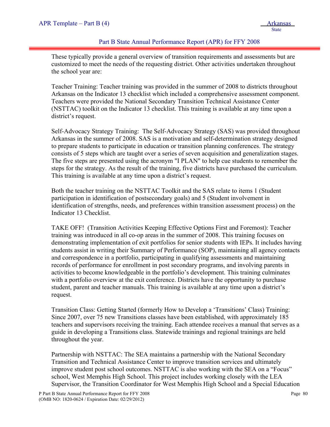## Part B State Annual Performance Report (APR) for FFY 2008

These typically provide a general overview of transition requirements and assessments but are customized to meet the needs of the requesting district. Other activities undertaken throughout the school year are:

Teacher Training: Teacher training was provided in the summer of 2008 to districts throughout Arkansas on the Indicator 13 checklist which included a comprehensive assessment component. Teachers were provided the National Secondary Transition Technical Assistance Center (NSTTAC) toolkit on the Indicator 13 checklist. This training is available at any time upon a district's request.

Self-Advocacy Strategy Training: The Self-Advocacy Strategy (SAS) was provided throughout Arkansas in the summer of 2008. SAS is a motivation and self-determination strategy designed to prepare students to participate in education or transition planning conferences. The strategy consists of 5 steps which are taught over a series of seven acquisition and generalization stages. The five steps are presented using the acronym "I PLAN" to help cue students to remember the steps for the strategy. As the result of the training, five districts have purchased the curriculum. This training is available at any time upon a district's request.

Both the teacher training on the NSTTAC Toolkit and the SAS relate to items 1 (Student participation in identification of postsecondary goals) and 5 (Student involvement in identification of strengths, needs, and preferences within transition assessment process) on the Indicator 13 Checklist.

TAKE OFF! (Transition Activities Keeping Effective Options First and Foremost): Teacher training was introduced in all co-op areas in the summer of 2008. This training focuses on demonstrating implementation of exit portfolios for senior students with IEPs. It includes having students assist in writing their Summary of Performance (SOP), maintaining all agency contacts and correspondence in a portfolio, participating in qualifying assessments and maintaining records of performance for enrollment in post secondary programs, and involving parents in activities to become knowledgeable in the portfolio's development. This training culminates with a portfolio overview at the exit conference. Districts have the opportunity to purchase student, parent and teacher manuals. This training is available at any time upon a district's request.

Transition Class: Getting Started (formerly How to Develop a 'Transitions' Class) Training: Since 2007, over 75 new Transitions classes have been established, with approximately 185 teachers and supervisors receiving the training. Each attendee receives a manual that serves as a guide in developing a Transitions class. Statewide trainings and regional trainings are held throughout the year.

Partnership with NSTTAC: The SEA maintains a partnership with the National Secondary Transition and Technical Assistance Center to improve transition services and ultimately improve student post school outcomes. NSTTAC is also working with the SEA on a "Focus" school, West Memphis High School. This project includes working closely with the LEA Supervisor, the Transition Coordinator for West Memphis High School and a Special Education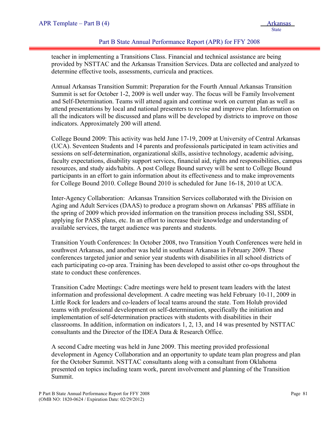## Part B State Annual Performance Report (APR) for FFY 2008

teacher in implementing a Transitions Class. Financial and technical assistance are being provided by NSTTAC and the Arkansas Transition Services. Data are collected and analyzed to determine effective tools, assessments, curricula and practices.

Annual Arkansas Transition Summit: Preparation for the Fourth Annual Arkansas Transition Summit is set for October 1-2, 2009 is well under way. The focus will be Family Involvement and Self-Determination. Teams will attend again and continue work on current plan as well as attend presentations by local and national presenters to revise and improve plan. Information on all the indicators will be discussed and plans will be developed by districts to improve on those indicators. Approximately 200 will attend.

College Bound 2009: This activity was held June 17-19, 2009 at University of Central Arkansas (UCA). Seventeen Students and 14 parents and professionals participated in team activities and sessions on self-determination, organizational skills, assistive technology, academic advising, faculty expectations, disability support services, financial aid, rights and responsibilities, campus resources, and study aids/habits. A post College Bound survey will be sent to College Bound participants in an effort to gain information about its effectiveness and to make improvements for College Bound 2010. College Bound 2010 is scheduled for June 16-18, 2010 at UCA.

Inter-Agency Collaboration: Arkansas Transition Services collaborated with the Division on Aging and Adult Services (DAAS) to produce a program shown on Arkansas' PBS affiliate in the spring of 2009 which provided information on the transition process including SSI, SSDI, applying for PASS plans, etc. In an effort to increase their knowledge and understanding of available services, the target audience was parents and students.

Transition Youth Conferences: In October 2008, two Transition Youth Conferences were held in southwest Arkansas, and another was held in southeast Arkansas in February 2009. These conferences targeted junior and senior year students with disabilities in all school districts of each participating co-op area. Training has been developed to assist other co-ops throughout the state to conduct these conferences.

Transition Cadre Meetings: Cadre meetings were held to present team leaders with the latest information and professional development. A cadre meeting was held February 10-11, 2009 in Little Rock for leaders and co-leaders of local teams around the state. Tom Holub provided teams with professional development on self-determination, specifically the initiation and implementation of self-determination practices with students with disabilities in their classrooms. In addition, information on indicators 1, 2, 13, and 14 was presented by NSTTAC consultants and the Director of the IDEA Data & Research Office.

A second Cadre meeting was held in June 2009. This meeting provided professional development in Agency Collaboration and an opportunity to update team plan progress and plan for the October Summit. NSTTAC consultants along with a consultant from Oklahoma presented on topics including team work, parent involvement and planning of the Transition Summit.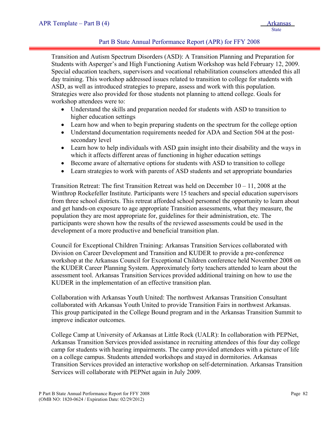## Part B State Annual Performance Report (APR) for FFY 2008

Transition and Autism Spectrum Disorders (ASD): A Transition Planning and Preparation for Students with Asperger's and High Functioning Autism Workshop was held February 12, 2009. Special education teachers, supervisors and vocational rehabilitation counselors attended this all day training. This workshop addressed issues related to transition to college for students with ASD, as well as introduced strategies to prepare, assess and work with this population. Strategies were also provided for those students not planning to attend college. Goals for workshop attendees were to:

- Understand the skills and preparation needed for students with ASD to transition to higher education settings
- Learn how and when to begin preparing students on the spectrum for the college option
- Understand documentation requirements needed for ADA and Section 504 at the postsecondary level
- Learn how to help individuals with ASD gain insight into their disability and the ways in which it affects different areas of functioning in higher education settings
- Become aware of alternative options for students with ASD to transition to college
- Learn strategies to work with parents of ASD students and set appropriate boundaries

Transition Retreat: The first Transition Retreat was held on December  $10 - 11$ , 2008 at the Winthrop Rockefeller Institute. Participants were 15 teachers and special education supervisors from three school districts. This retreat afforded school personnel the opportunity to learn about and get hands-on exposure to age appropriate Transition assessments, what they measure, the population they are most appropriate for, guidelines for their administration, etc. The participants were shown how the results of the reviewed assessments could be used in the development of a more productive and beneficial transition plan.

Council for Exceptional Children Training: Arkansas Transition Services collaborated with Division on Career Development and Transition and KUDER to provide a pre-conference workshop at the Arkansas Council for Exceptional Children conference held November 2008 on the KUDER Career Planning System. Approximately forty teachers attended to learn about the assessment tool. Arkansas Transition Services provided additional training on how to use the KUDER in the implementation of an effective transition plan.

Collaboration with Arkansas Youth United: The northwest Arkansas Transition Consultant collaborated with Arkansas Youth United to provide Transition Fairs in northwest Arkansas. This group participated in the College Bound program and in the Arkansas Transition Summit to improve indicator outcomes.

College Camp at University of Arkansas at Little Rock (UALR): In collaboration with PEPNet, Arkansas Transition Services provided assistance in recruiting attendees of this four day college camp for students with hearing impairments. The camp provided attendees with a picture of life on a college campus. Students attended workshops and stayed in dormitories. Arkansas Transition Services provided an interactive workshop on self-determination. Arkansas Transition Services will collaborate with PEPNet again in July 2009.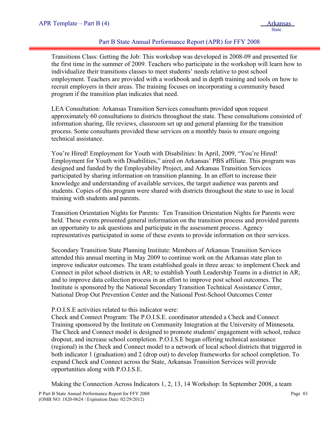## Part B State Annual Performance Report (APR) for FFY 2008

Transitions Class: Getting the Job: This workshop was developed in 2008-09 and presented for the first time in the summer of 2009. Teachers who participate in the workshop will learn how to individualize their transitions classes to meet students' needs relative to post school employment. Teachers are provided with a workbook and in depth training and tools on how to recruit employers in their areas. The training focuses on incorporating a community based program if the transition plan indicates that need.

LEA Consultation: Arkansas Transition Services consultants provided upon request approximately 60 consultations to districts throughout the state. These consultations consisted of information sharing, file reviews, classroom set up and general planning for the transition process. Some consultants provided these services on a monthly basis to ensure ongoing technical assistance.

You're Hired! Employment for Youth with Disabilities: In April, 2009, "You're Hired! Employment for Youth with Disabilities," aired on Arkansas' PBS affiliate. This program was designed and funded by the Employability Project, and Arkansas Transition Services participated by sharing information on transition planning. In an effort to increase their knowledge and understanding of available services, the target audience was parents and students. Copies of this program were shared with districts throughout the state to use in local training with students and parents.

Transition Orientation Nights for Parents: Ten Transition Orientation Nights for Parents were held. These events presented general information on the transition process and provided parents an opportunity to ask questions and participate in the assessment process. Agency representatives participated in some of these events to provide information on their services.

Secondary Transition State Planning Institute: Members of Arkansas Transition Services attended this annual meeting in May 2009 to continue work on the Arkansas state plan to improve indicator outcomes. The team established goals in three areas: to implement Check and Connect in pilot school districts in AR; to establish Youth Leadership Teams in a district in AR; and to improve data collection process in an effort to improve post school outcomes. The Institute is sponsored by the National Secondary Transition Technical Assistance Center, National Drop Out Prevention Center and the National Post-School Outcomes Center

#### P.O.I.S.E activities related to this indicator were:

Check and Connect Program: The P.O.I.S.E. coordinator attended a Check and Connect Training sponsored by the Institute on Community Integration at the University of Minnesota. The Check and Connect model is designed to promote students' engagement with school, reduce dropout, and increase school completion. P.O.I.S.E began offering technical assistance (regional) in the Check and Connect model to a network of local school districts that triggered in both indicator 1 (graduation) and 2 (drop out) to develop frameworks for school completion. To expand Check and Connect across the State, Arkansas Transition Services will provide opportunities along with P.O.I.S.E.

Making the Connection Across Indicators 1, 2, 13, 14 Workshop: In September 2008, a team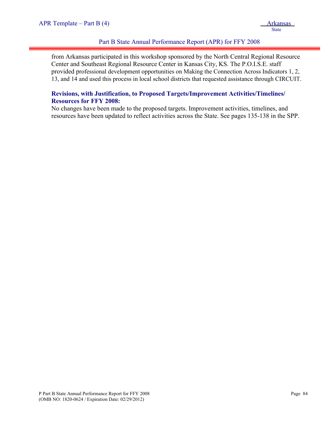## Part B State Annual Performance Report (APR) for FFY 2008

from Arkansas participated in this workshop sponsored by the North Central Regional Resource Center and Southeast Regional Resource Center in Kansas City, KS. The P.O.I.S.E. staff provided professional development opportunities on Making the Connection Across Indicators 1, 2, 13, and 14 and used this process in local school districts that requested assistance through CIRCUIT.

## **Revisions, with Justification, to Proposed Targets/Improvement Activities/Timelines/ Resources for FFY 2008:**

No changes have been made to the proposed targets. Improvement activities, timelines, and resources have been updated to reflect activities across the State. See pages 135-138 in the SPP.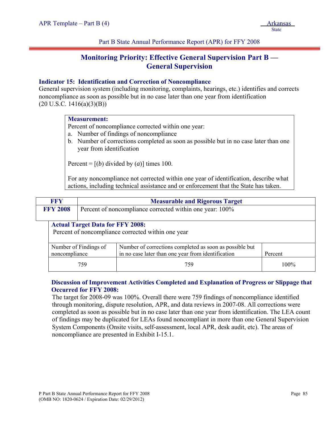# **Monitoring Priority: Effective General Supervision Part B — General Supervision**

## **Indicator 15: Identification and Correction of Noncompliance**

General supervision system (including monitoring, complaints, hearings, etc.) identifies and corrects noncompliance as soon as possible but in no case later than one year from identification  $(20 \text{ U.S.C. } 1416(a)(3)(B))$ 

## **Measurement:**

Percent of noncompliance corrected within one year:

- a. Number of findings of noncompliance
- b. Number of corrections completed as soon as possible but in no case later than one year from identification

Percent =  $[(b)$  divided by  $(a)$ ] times 100.

For any noncompliance not corrected within one year of identification, describe what actions, including technical assistance and or enforcement that the State has taken.

|                                                                             | <b>FFY</b>                                                                                                                                                         | <b>Measurable and Rigorous Target</b>   |                                                    |         |  |  |  |
|-----------------------------------------------------------------------------|--------------------------------------------------------------------------------------------------------------------------------------------------------------------|-----------------------------------------|----------------------------------------------------|---------|--|--|--|
| <b>FFY 2008</b><br>Percent of noncompliance corrected within one year: 100% |                                                                                                                                                                    |                                         |                                                    |         |  |  |  |
|                                                                             |                                                                                                                                                                    | <b>Actual Target Data for FFY 2008:</b> | Percent of noncompliance corrected within one year |         |  |  |  |
|                                                                             | Number of corrections completed as soon as possible but<br>Number of Findings of<br>in no case later than one year from identification<br>noncompliance<br>Percent |                                         |                                                    |         |  |  |  |
|                                                                             |                                                                                                                                                                    | 759                                     | 759                                                | $100\%$ |  |  |  |

## **Discussion of Improvement Activities Completed and Explanation of Progress or Slippage that Occurred for FFY 2008:**

The target for 2008-09 was 100%. Overall there were 759 findings of noncompliance identified through monitoring, dispute resolution, APR, and data reviews in 2007-08. All corrections were completed as soon as possible but in no case later than one year from identification. The LEA count of findings may be duplicated for LEAs found noncompliant in more than one General Supervision System Components (Onsite visits, self-assessment, local APR, desk audit, etc). The areas of noncompliance are presented in Exhibit I-15.1.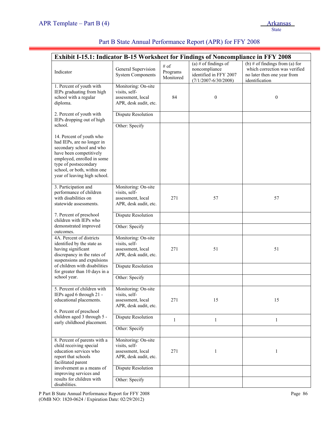|                                                                                                                                                                                                                                                | Exhibit I-15.1: Indicator B-15 Worksheet for Findings of Noncompliance in FFY 2008 |                               |                                                                                             |                                                                                                                  |
|------------------------------------------------------------------------------------------------------------------------------------------------------------------------------------------------------------------------------------------------|------------------------------------------------------------------------------------|-------------------------------|---------------------------------------------------------------------------------------------|------------------------------------------------------------------------------------------------------------------|
| Indicator                                                                                                                                                                                                                                      | General Supervision<br><b>System Components</b>                                    | # of<br>Programs<br>Monitored | (a) # of findings of<br>noncompliance<br>identified in FFY 2007<br>$(7/1/2007 - 6/30/2008)$ | (b) # of findings from (a) for<br>which correction was verified<br>no later then one year from<br>identification |
| 1. Percent of youth with<br>IEPs graduating from high<br>school with a regular<br>diploma.                                                                                                                                                     | Monitoring: On-site<br>visits, self-<br>assessment, local<br>APR, desk audit, etc. | 84                            | $\boldsymbol{0}$                                                                            | $\boldsymbol{0}$                                                                                                 |
| 2. Percent of youth with<br>IEPs dropping out of high                                                                                                                                                                                          | Dispute Resolution                                                                 |                               |                                                                                             |                                                                                                                  |
| school.<br>14. Percent of youth who<br>had IEPs, are no longer in<br>secondary school and who<br>have been competitively<br>employed, enrolled in some<br>type of postsecondary<br>school, or both, within one<br>year of leaving high school. | Other: Specify                                                                     |                               |                                                                                             |                                                                                                                  |
| 3. Participation and<br>performance of children<br>with disabilities on<br>statewide assessments.                                                                                                                                              | Monitoring: On-site<br>visits, self-<br>assessment, local<br>APR, desk audit, etc. | 271                           | 57                                                                                          | 57                                                                                                               |
| 7. Percent of preschool<br>children with IEPs who<br>demonstrated improved                                                                                                                                                                     | Dispute Resolution                                                                 |                               |                                                                                             |                                                                                                                  |
| outcomes.                                                                                                                                                                                                                                      | Other: Specify                                                                     |                               |                                                                                             |                                                                                                                  |
| 4A. Percent of districts<br>identified by the state as<br>having significant<br>discrepancy in the rates of<br>suspensions and expulsions                                                                                                      | Monitoring: On-site<br>visits, self-<br>assessment, local<br>APR, desk audit, etc. | 271                           | 51                                                                                          | 51                                                                                                               |
| of children with disabilities<br>for greater than 10 days in a                                                                                                                                                                                 | Dispute Resolution                                                                 |                               |                                                                                             |                                                                                                                  |
| school year.                                                                                                                                                                                                                                   | Other: Specify                                                                     |                               |                                                                                             |                                                                                                                  |
| 5. Percent of children with<br>IEPs aged 6 through 21 -<br>educational placements.<br>6. Percent of preschool                                                                                                                                  | Monitoring: On-site<br>visits, self-<br>assessment, local<br>APR, desk audit, etc. | 271                           | 15                                                                                          | 15                                                                                                               |
| children aged 3 through 5 -<br>early childhood placement.                                                                                                                                                                                      | <b>Dispute Resolution</b>                                                          | $\mathbf{1}$                  | $\mathbf{1}$                                                                                | $\mathbf{1}$                                                                                                     |
|                                                                                                                                                                                                                                                | Other: Specify                                                                     |                               |                                                                                             |                                                                                                                  |
| 8. Percent of parents with a<br>child receiving special<br>education services who<br>report that schools<br>facilitated parent                                                                                                                 | Monitoring: On-site<br>visits, self-<br>assessment, local<br>APR, desk audit, etc. | 271                           | 1                                                                                           | 1                                                                                                                |
| involvement as a means of<br>improving services and                                                                                                                                                                                            | <b>Dispute Resolution</b>                                                          |                               |                                                                                             |                                                                                                                  |
| results for children with<br>disabilities.                                                                                                                                                                                                     | Other: Specify                                                                     |                               |                                                                                             |                                                                                                                  |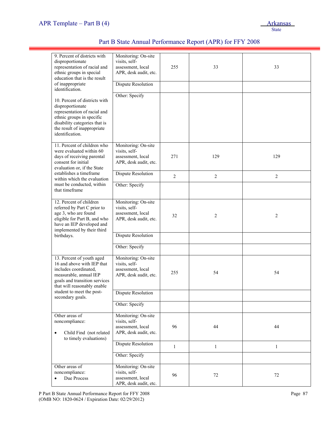Ξ

| 9. Percent of districts with<br>disproportionate<br>representation of racial and<br>ethnic groups in special<br>education that is the result<br>of inappropriate<br>identification.<br>10. Percent of districts with<br>disproportionate<br>representation of racial and<br>ethnic groups in specific<br>disability categories that is<br>the result of inappropriate<br>identification. | Monitoring: On-site<br>visits, self-<br>assessment, local<br>APR, desk audit, etc.<br><b>Dispute Resolution</b><br>Other: Specify | 255            | 33             | 33             |
|------------------------------------------------------------------------------------------------------------------------------------------------------------------------------------------------------------------------------------------------------------------------------------------------------------------------------------------------------------------------------------------|-----------------------------------------------------------------------------------------------------------------------------------|----------------|----------------|----------------|
| 11. Percent of children who<br>were evaluated within 60<br>days of receiving parental<br>consent for initial<br>evaluation or, if the State                                                                                                                                                                                                                                              | Monitoring: On-site<br>visits, self-<br>assessment, local<br>APR, desk audit, etc.                                                | 271            | 129            | 129            |
| establishes a timeframe<br>within which the evaluation                                                                                                                                                                                                                                                                                                                                   | <b>Dispute Resolution</b>                                                                                                         | $\overline{c}$ | $\overline{c}$ | $\overline{c}$ |
| must be conducted, within<br>that timeframe                                                                                                                                                                                                                                                                                                                                              | Other: Specify                                                                                                                    |                |                |                |
| 12. Percent of children<br>referred by Part C prior to<br>age 3, who are found<br>eligible for Part B, and who<br>have an IEP developed and<br>implemented by their third                                                                                                                                                                                                                | Monitoring: On-site<br>visits, self-<br>assessment, local<br>APR, desk audit, etc.                                                | 32             | $\overline{c}$ | 2              |
| birthdays.                                                                                                                                                                                                                                                                                                                                                                               | Dispute Resolution<br>Other: Specify                                                                                              |                |                |                |
| 13. Percent of youth aged<br>16 and above with IEP that<br>includes coordinated,<br>measurable, annual IEP<br>goals and transition services<br>that will reasonably enable                                                                                                                                                                                                               | Monitoring: On-site<br>visits, self-<br>assessment, local<br>APR, desk audit, etc.                                                | 255            | 54             | 54             |
| student to meet the post-<br>secondary goals.                                                                                                                                                                                                                                                                                                                                            | <b>Dispute Resolution</b>                                                                                                         |                |                |                |
|                                                                                                                                                                                                                                                                                                                                                                                          | Other: Specify                                                                                                                    |                |                |                |
| Other areas of<br>noncompliance:<br>Child Find (not related<br>$\bullet$<br>to timely evaluations)                                                                                                                                                                                                                                                                                       | Monitoring: On-site<br>visits, self-<br>assessment, local<br>APR, desk audit, etc.                                                | 96             | 44             | 44             |
|                                                                                                                                                                                                                                                                                                                                                                                          | <b>Dispute Resolution</b>                                                                                                         | $\mathbf{1}$   | $\mathbf{1}$   | $\mathbf{1}$   |
|                                                                                                                                                                                                                                                                                                                                                                                          | Other: Specify                                                                                                                    |                |                |                |
| Other areas of<br>noncompliance:<br>Due Process<br>$\bullet$                                                                                                                                                                                                                                                                                                                             | Monitoring: On-site<br>visits, self-<br>assessment, local<br>APR, desk audit, etc.                                                | 96             | 72             | 72             |

# Part B State Annual Performance Report (APR) for FFY 2008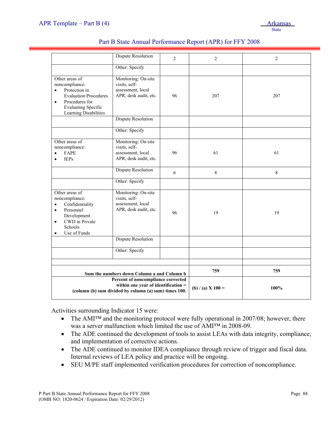|                                                                                                                                                                                      | <b>Dispute Resolution</b>                                                                                                          | $\overline{c}$ | $\overline{2}$    | $\overline{2}$ |
|--------------------------------------------------------------------------------------------------------------------------------------------------------------------------------------|------------------------------------------------------------------------------------------------------------------------------------|----------------|-------------------|----------------|
|                                                                                                                                                                                      | Other: Specify                                                                                                                     |                |                   |                |
| Other areas of<br>noncompliance:<br>Protection in<br>$\bullet$<br><b>Evaluation Procedures</b><br>Procedures for<br>$\bullet$<br><b>Evaluating Specific</b><br>Learning Disabilities | Monitoring: On-site<br>visits, self-<br>assessment, local<br>APR, desk audit, etc.                                                 | 96             | 207               | 207            |
|                                                                                                                                                                                      | <b>Dispute Resolution</b>                                                                                                          |                |                   |                |
|                                                                                                                                                                                      | Other: Specify                                                                                                                     |                |                   |                |
| Other areas of<br>noncompliance:<br>FAPE<br>$\bullet$<br><b>IEPs</b><br>$\bullet$                                                                                                    | Monitoring: On-site<br>visits, self-<br>assessment, local<br>APR, desk audit, etc.                                                 | 96             | 61                | 61             |
|                                                                                                                                                                                      | <b>Dispute Resolution</b>                                                                                                          | 6              | $\,$ 8 $\,$       | 8              |
|                                                                                                                                                                                      | Other: Specify                                                                                                                     |                |                   |                |
| Other areas of<br>noncompliance:<br>Confidentiality<br>$\bullet$<br>Personnel<br>$\bullet$<br>Development<br>CWD in Private<br>$\bullet$<br>Schools<br>Use of Funds<br>$\bullet$     | Monitoring: On-site<br>visits, self-<br>assessment, local<br>APR, desk audit, etc.                                                 | 96             | 19                | 19             |
|                                                                                                                                                                                      | <b>Dispute Resolution</b>                                                                                                          |                |                   |                |
|                                                                                                                                                                                      | Other: Specify                                                                                                                     |                |                   |                |
|                                                                                                                                                                                      | Sum the numbers down Column a and Column b                                                                                         |                | 759               | 759            |
|                                                                                                                                                                                      | Percent of noncompliance corrected<br>within one year of identification =<br>(column (b) sum divided by column (a) sum) times 100. |                | (b) / (a) X 100 = | 100%           |

| Part B State Annual Performance Report (APR) for FFY 2008 |  |
|-----------------------------------------------------------|--|
|-----------------------------------------------------------|--|

Activities surrounding Indicator 15 were:

- The AMI<sup>TM</sup> and the monitoring protocol were fully operational in 2007/08; however, there was a server malfunction which limited the use of AMI™ in 2008-09.
- The ADE continued the development of tools to assist LEAs with data integrity, compliance, and implementation of corrective actions.
- The ADE continued to monitor IDEA compliance through review of trigger and fiscal data. Internal reviews of LEA policy and practice will be ongoing.
- SEU M/PE staff implemented verification procedures for correction of noncompliance.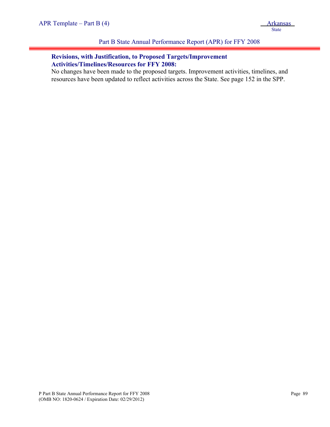## Part B State Annual Performance Report (APR) for FFY 2008

## **Revisions, with Justification, to Proposed Targets/Improvement Activities/Timelines/Resources for FFY 2008:**

No changes have been made to the proposed targets. Improvement activities, timelines, and resources have been updated to reflect activities across the State. See page 152 in the SPP.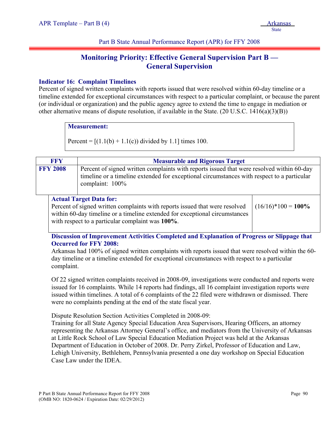# **Monitoring Priority: Effective General Supervision Part B — General Supervision**

## **Indicator 16: Complaint Timelines**

Percent of signed written complaints with reports issued that were resolved within 60-day timeline or a timeline extended for exceptional circumstances with respect to a particular complaint, or because the parent (or individual or organization) and the public agency agree to extend the time to engage in mediation or other alternative means of dispute resolution, if available in the State.  $(20 \text{ U.S.C. } 1416(a)(3)(B))$ 

#### **Measurement:**

Percent =  $[(1.1(b) + 1.1(c))$  divided by 1.1] times 100.

| <b>FFY</b>      | <b>Measurable and Rigorous Target</b>                                                                                                                                                                      |  |  |  |
|-----------------|------------------------------------------------------------------------------------------------------------------------------------------------------------------------------------------------------------|--|--|--|
| <b>FFY 2008</b> | Percent of signed written complaints with reports issued that were resolved within 60-day<br>timeline or a timeline extended for exceptional circumstances with respect to a particular<br>complaint: 100% |  |  |  |

#### **Actual Target Data for:**

Percent of signed written complaints with reports issued that were resolved within 60-day timeline or a timeline extended for exceptional circumstances with respect to a particular complaint was **100%**.

 $(16/16)*100 = 100\%$ 

**Discussion of Improvement Activities Completed and Explanation of Progress or Slippage that Occurred for FFY 2008:** 

Arkansas had 100% of signed written complaints with reports issued that were resolved within the 60 day timeline or a timeline extended for exceptional circumstances with respect to a particular complaint.

Of 22 signed written complaints received in 2008-09, investigations were conducted and reports were issued for 16 complaints. While 14 reports had findings, all 16 complaint investigation reports were issued within timelines. A total of 6 complaints of the 22 filed were withdrawn or dismissed. There were no complaints pending at the end of the state fiscal year.

Dispute Resolution Section Activities Completed in 2008-09:

Training for all State Agency Special Education Area Supervisors, Hearing Officers, an attorney representing the Arkansas Attorney General's office, and mediators from the University of Arkansas at Little Rock School of Law Special Education Mediation Project was held at the Arkansas Department of Education in October of 2008. Dr. Perry Zirkel, Professor of Education and Law, Lehigh University, Bethlehem, Pennsylvania presented a one day workshop on Special Education Case Law under the IDEA.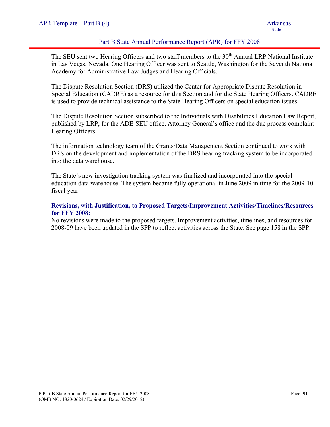## Part B State Annual Performance Report (APR) for FFY 2008

The SEU sent two Hearing Officers and two staff members to the  $30<sup>th</sup>$  Annual LRP National Institute in Las Vegas, Nevada. One Hearing Officer was sent to Seattle, Washington for the Seventh National Academy for Administrative Law Judges and Hearing Officials.

The Dispute Resolution Section (DRS) utilized the Center for Appropriate Dispute Resolution in Special Education (CADRE) as a resource for this Section and for the State Hearing Officers. CADRE is used to provide technical assistance to the State Hearing Officers on special education issues.

The Dispute Resolution Section subscribed to the Individuals with Disabilities Education Law Report, published by LRP, for the ADE-SEU office, Attorney General's office and the due process complaint Hearing Officers.

The information technology team of the Grants/Data Management Section continued to work with DRS on the development and implementation of the DRS hearing tracking system to be incorporated into the data warehouse.

The State's new investigation tracking system was finalized and incorporated into the special education data warehouse. The system became fully operational in June 2009 in time for the 2009-10 fiscal year.

## **Revisions, with Justification, to Proposed Targets/Improvement Activities/Timelines/Resources for FFY 2008:**

No revisions were made to the proposed targets. Improvement activities, timelines, and resources for 2008-09 have been updated in the SPP to reflect activities across the State. See page 158 in the SPP.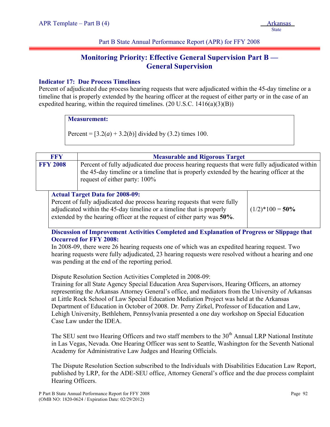# **Monitoring Priority: Effective General Supervision Part B — General Supervision**

## **Indicator 17: Due Process Timelines**

Percent of adjudicated due process hearing requests that were adjudicated within the 45-day timeline or a timeline that is properly extended by the hearing officer at the request of either party or in the case of an expedited hearing, within the required timelines.  $(20 \text{ U.S.C. } 1416(a)(3)(B))$ 

## **Measurement:**

Percent =  $[3.2(a) + 3.2(b)]$  divided by (3.2) times 100.

| <b>FFY</b>                                                                                                          | <b>Measurable and Rigorous Target</b>                                                                                                                                                                                      |  |  |  |
|---------------------------------------------------------------------------------------------------------------------|----------------------------------------------------------------------------------------------------------------------------------------------------------------------------------------------------------------------------|--|--|--|
| <b>FFY 2008</b>                                                                                                     | Percent of fully adjudicated due process hearing requests that were fully adjudicated within<br>the 45-day timeline or a timeline that is properly extended by the hearing officer at the<br>request of either party: 100% |  |  |  |
| <b>Actual Target Data for 2008-09:</b><br>Percent of fully adjudicated due process hearing requests that were fully |                                                                                                                                                                                                                            |  |  |  |

adjudicated within the 45-day timeline or a timeline that is properly extended by the hearing officer at the request of either party was **50%**.  $(1/2)*100 = 50\%$ 

**Discussion of Improvement Activities Completed and Explanation of Progress or Slippage that Occurred for FFY 2008:** 

In 2008-09, there were 26 hearing requests one of which was an expedited hearing request. Two hearing requests were fully adjudicated, 23 hearing requests were resolved without a hearing and one was pending at the end of the reporting period.

Dispute Resolution Section Activities Completed in 2008-09:

Training for all State Agency Special Education Area Supervisors, Hearing Officers, an attorney representing the Arkansas Attorney General's office, and mediators from the University of Arkansas at Little Rock School of Law Special Education Mediation Project was held at the Arkansas Department of Education in October of 2008. Dr. Perry Zirkel, Professor of Education and Law, Lehigh University, Bethlehem, Pennsylvania presented a one day workshop on Special Education Case Law under the IDEA.

The SEU sent two Hearing Officers and two staff members to the 30<sup>th</sup> Annual LRP National Institute in Las Vegas, Nevada. One Hearing Officer was sent to Seattle, Washington for the Seventh National Academy for Administrative Law Judges and Hearing Officials.

The Dispute Resolution Section subscribed to the Individuals with Disabilities Education Law Report, published by LRP, for the ADE-SEU office, Attorney General's office and the due process complaint Hearing Officers.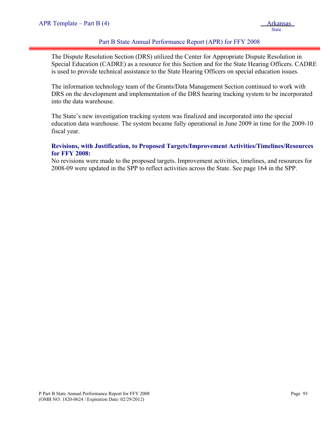## Part B State Annual Performance Report (APR) for FFY 2008

The Dispute Resolution Section (DRS) utilized the Center for Appropriate Dispute Resolution in Special Education (CADRE) as a resource for this Section and for the State Hearing Officers. CADRE is used to provide technical assistance to the State Hearing Officers on special education issues.

The information technology team of the Grants/Data Management Section continued to work with DRS on the development and implementation of the DRS hearing tracking system to be incorporated into the data warehouse.

The State's new investigation tracking system was finalized and incorporated into the special education data warehouse. The system became fully operational in June 2009 in time for the 2009-10 fiscal year.

## **Revisions, with Justification, to Proposed Targets/Improvement Activities/Timelines/Resources for FFY 2008:**

No revisions were made to the proposed targets. Improvement activities, timelines, and resources for 2008-09 were updated in the SPP to reflect activities across the State. See page 164 in the SPP.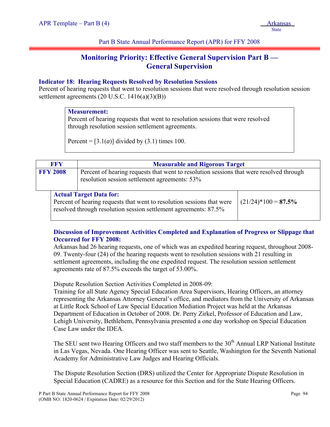# **Monitoring Priority: Effective General Supervision Part B — General Supervision**

## **Indicator 18: Hearing Requests Resolved by Resolution Sessions**

Percent of hearing requests that went to resolution sessions that were resolved through resolution session settlement agreements (20 U.S.C. 1416(a)(3)(B))

## **Measurement:**

Percent of hearing requests that went to resolution sessions that were resolved through resolution session settlement agreements.

Percent =  $[3.1(a)]$  divided by  $(3.1)$  times 100.

| <b>FFY</b>      |  | <b>Measurable and Rigorous Target</b>                                                                                                                                        |                        |  |
|-----------------|--|------------------------------------------------------------------------------------------------------------------------------------------------------------------------------|------------------------|--|
| <b>FFY 2008</b> |  | Percent of hearing requests that went to resolution sessions that were resolved through<br>resolution session settlement agreements: 53%                                     |                        |  |
|                 |  | <b>Actual Target Data for:</b><br>Percent of hearing requests that went to resolution sessions that were<br>resolved through resolution session settlement agreements: 87.5% | $(21/24)*100 = 87.5\%$ |  |

## **Discussion of Improvement Activities Completed and Explanation of Progress or Slippage that Occurred for FFY 2008:**

Arkansas had 26 hearing requests, one of which was an expedited hearing request, throughout 2008- 09. Twenty-four (24) of the hearing requests went to resolution sessions with 21 resulting in settlement agreements, including the one expedited request. The resolution session settlement agreements rate of 87.5% exceeds the target of 53.00%.

Dispute Resolution Section Activities Completed in 2008-09:

Training for all State Agency Special Education Area Supervisors, Hearing Officers, an attorney representing the Arkansas Attorney General's office, and mediators from the University of Arkansas at Little Rock School of Law Special Education Mediation Project was held at the Arkansas Department of Education in October of 2008. Dr. Perry Zirkel, Professor of Education and Law, Lehigh University, Bethlehem, Pennsylvania presented a one day workshop on Special Education Case Law under the IDEA.

The SEU sent two Hearing Officers and two staff members to the  $30<sup>th</sup>$  Annual LRP National Institute in Las Vegas, Nevada. One Hearing Officer was sent to Seattle, Washington for the Seventh National Academy for Administrative Law Judges and Hearing Officials.

The Dispute Resolution Section (DRS) utilized the Center for Appropriate Dispute Resolution in Special Education (CADRE) as a resource for this Section and for the State Hearing Officers.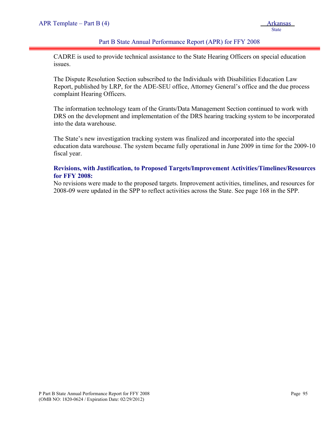## Part B State Annual Performance Report (APR) for FFY 2008

CADRE is used to provide technical assistance to the State Hearing Officers on special education issues.

The Dispute Resolution Section subscribed to the Individuals with Disabilities Education Law Report, published by LRP, for the ADE-SEU office, Attorney General's office and the due process complaint Hearing Officers.

The information technology team of the Grants/Data Management Section continued to work with DRS on the development and implementation of the DRS hearing tracking system to be incorporated into the data warehouse.

The State's new investigation tracking system was finalized and incorporated into the special education data warehouse. The system became fully operational in June 2009 in time for the 2009-10 fiscal year.

## **Revisions, with Justification, to Proposed Targets/Improvement Activities/Timelines/Resources for FFY 2008:**

No revisions were made to the proposed targets. Improvement activities, timelines, and resources for 2008-09 were updated in the SPP to reflect activities across the State. See page 168 in the SPP.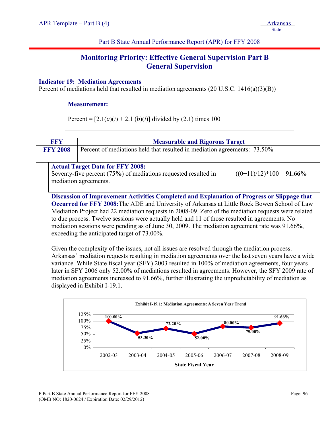# **Monitoring Priority: Effective General Supervision Part B — General Supervision**

## **Indicator 19: Mediation Agreements**

Percent of mediations held that resulted in mediation agreements (20 U.S.C. 1416(a)(3)(B))

## **Measurement:**

Percent =  $[2.1(a)(i) + 2.1(b)(i)]$  divided by (2.1) times 100

| <b>FFY</b>                                                                                                                         |  | <b>Measurable and Rigorous Target</b>                                    |                             |
|------------------------------------------------------------------------------------------------------------------------------------|--|--------------------------------------------------------------------------|-----------------------------|
| <b>FFY 2008</b>                                                                                                                    |  | Percent of mediations held that resulted in mediation agreements: 73.50% |                             |
| <b>Actual Target Data for FFY 2008:</b><br>Seventy-five percent (75%) of mediations requested resulted in<br>mediation agreements. |  |                                                                          | $((0+11)/12)*100 = 91.66\%$ |

**Discussion of Improvement Activities Completed and Explanation of Progress or Slippage that Occurred for FFY 2008:**The ADE and University of Arkansas at Little Rock Bowen School of Law Mediation Project had 22 mediation requests in 2008-09. Zero of the mediation requests were related to due process. Twelve sessions were actually held and 11 of those resulted in agreements. No mediation sessions were pending as of June 30, 2009. The mediation agreement rate was 91.66%, exceeding the anticipated target of 73.00%.

Given the complexity of the issues, not all issues are resolved through the mediation process. Arkansas' mediation requests resulting in mediation agreements over the last seven years have a wide variance. While State fiscal year (SFY) 2003 resulted in 100% of mediation agreements, four years later in SFY 2006 only 52.00% of mediations resulted in agreements. However, the SFY 2009 rate of mediation agreements increased to 91.66%, further illustrating the unpredictability of mediation as displayed in Exhibit I-19.1.

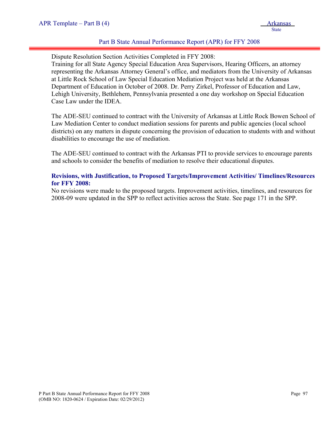## Part B State Annual Performance Report (APR) for FFY 2008

Dispute Resolution Section Activities Completed in FFY 2008:

Training for all State Agency Special Education Area Supervisors, Hearing Officers, an attorney representing the Arkansas Attorney General's office, and mediators from the University of Arkansas at Little Rock School of Law Special Education Mediation Project was held at the Arkansas Department of Education in October of 2008. Dr. Perry Zirkel, Professor of Education and Law, Lehigh University, Bethlehem, Pennsylvania presented a one day workshop on Special Education Case Law under the IDEA.

The ADE-SEU continued to contract with the University of Arkansas at Little Rock Bowen School of Law Mediation Center to conduct mediation sessions for parents and public agencies (local school districts) on any matters in dispute concerning the provision of education to students with and without disabilities to encourage the use of mediation.

The ADE-SEU continued to contract with the Arkansas PTI to provide services to encourage parents and schools to consider the benefits of mediation to resolve their educational disputes.

## **Revisions, with Justification, to Proposed Targets/Improvement Activities/ Timelines/Resources for FFY 2008:**

No revisions were made to the proposed targets. Improvement activities, timelines, and resources for 2008-09 were updated in the SPP to reflect activities across the State. See page 171 in the SPP.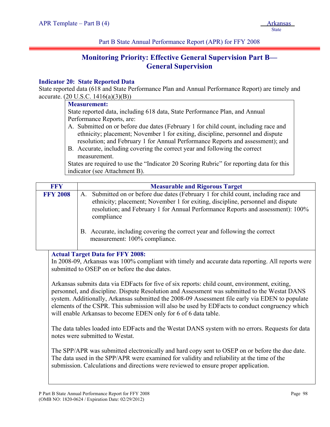# **Monitoring Priority: Effective General Supervision Part B— General Supervision**

## **Indicator 20: State Reported Data**

State reported data (618 and State Performance Plan and Annual Performance Report) are timely and accurate.  $(20 \text{ U.S.C. } 1416(a)(3)(B))$ 

#### **Measurement:**

State reported data, including 618 data, State Performance Plan, and Annual Performance Reports, are:

- A. Submitted on or before due dates (February 1 for child count, including race and ethnicity; placement; November 1 for exiting, discipline, personnel and dispute resolution; and February 1 for Annual Performance Reports and assessment); and
- B. Accurate, including covering the correct year and following the correct measurement.

States are required to use the "Indicator 20 Scoring Rubric" for reporting data for this indicator (see Attachment B).

| <b>FFY</b>      | <b>Measurable and Rigorous Target</b>                                                                                                                                                                                                                                      |  |  |  |
|-----------------|----------------------------------------------------------------------------------------------------------------------------------------------------------------------------------------------------------------------------------------------------------------------------|--|--|--|
| <b>FFY 2008</b> | Submitted on or before due dates (February 1 for child count, including race and<br>A.<br>ethnicity; placement; November 1 for exiting, discipline, personnel and dispute<br>resolution; and February 1 for Annual Performance Reports and assessment): 100%<br>compliance |  |  |  |
|                 | B. Accurate, including covering the correct year and following the correct<br>measurement: 100% compliance.                                                                                                                                                                |  |  |  |

## **Actual Target Data for FFY 2008:**

In 2008-09, Arkansas was 100% compliant with timely and accurate data reporting. All reports were submitted to OSEP on or before the due dates.

Arkansas submits data via EDFacts for five of six reports: child count, environment, exiting, personnel, and discipline. Dispute Resolution and Assessment was submitted to the Westat DANS system. Additionally, Arkansas submitted the 2008-09 Assessment file early via EDEN to populate elements of the CSPR. This submission will also be used by EDFacts to conduct congruency which will enable Arkansas to become EDEN only for 6 of 6 data table.

The data tables loaded into EDFacts and the Westat DANS system with no errors. Requests for data notes were submitted to Westat.

The SPP/APR was submitted electronically and hard copy sent to OSEP on or before the due date. The data used in the SPP/APR were examined for validity and reliability at the time of the submission. Calculations and directions were reviewed to ensure proper application.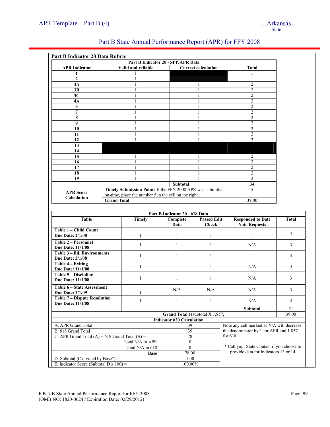| Part B Indicator 20 Data Rubric                                |                                            |                                                            |                                                                                                    |                                                                                                  |                                  |              |
|----------------------------------------------------------------|--------------------------------------------|------------------------------------------------------------|----------------------------------------------------------------------------------------------------|--------------------------------------------------------------------------------------------------|----------------------------------|--------------|
|                                                                |                                            |                                                            | Part B Indicator 20 - SPP/APR Data                                                                 |                                                                                                  |                                  |              |
|                                                                | <b>APR</b> Indicator<br>Valid and reliable |                                                            |                                                                                                    | <b>Correct calculation</b>                                                                       | Total                            |              |
| 1                                                              |                                            |                                                            |                                                                                                    |                                                                                                  |                                  |              |
| $\overline{2}$<br>3A                                           |                                            | 1<br>1                                                     |                                                                                                    |                                                                                                  | 1<br>$\overline{c}$              |              |
| 3B                                                             |                                            | 1                                                          |                                                                                                    | 1<br>1                                                                                           | $\overline{c}$                   |              |
| 3C                                                             |                                            | 1                                                          |                                                                                                    | 1                                                                                                | $\overline{c}$                   |              |
| 4A                                                             |                                            | 1                                                          |                                                                                                    | 1                                                                                                | $\overline{2}$                   |              |
| 5                                                              |                                            |                                                            |                                                                                                    |                                                                                                  | $\overline{2}$                   |              |
| $\overline{7}$                                                 |                                            |                                                            |                                                                                                    |                                                                                                  | $\overline{2}$                   |              |
| 8                                                              |                                            | 1                                                          |                                                                                                    | 1                                                                                                | $\overline{2}$                   |              |
| 9                                                              |                                            | 1                                                          |                                                                                                    |                                                                                                  | $\overline{c}$                   |              |
| 10                                                             |                                            |                                                            |                                                                                                    |                                                                                                  | $\overline{2}$                   |              |
| 11                                                             |                                            |                                                            |                                                                                                    |                                                                                                  | $\overline{c}$                   |              |
| 12                                                             |                                            |                                                            |                                                                                                    |                                                                                                  | $\overline{c}$                   |              |
| 13                                                             |                                            |                                                            |                                                                                                    |                                                                                                  |                                  |              |
| 14                                                             |                                            |                                                            |                                                                                                    |                                                                                                  |                                  |              |
| 15                                                             |                                            | 1                                                          |                                                                                                    | 1                                                                                                | $\overline{2}$                   |              |
| 16                                                             |                                            | 1                                                          |                                                                                                    | 1                                                                                                | $\overline{c}$                   |              |
| 17                                                             |                                            |                                                            |                                                                                                    |                                                                                                  | $\overline{2}$<br>$\overline{2}$ |              |
| 18<br>19                                                       |                                            | 1                                                          |                                                                                                    |                                                                                                  | $\overline{2}$                   |              |
|                                                                |                                            |                                                            | Subtotal                                                                                           |                                                                                                  | 34                               |              |
|                                                                |                                            | Timely Submission Points If the FFY 2008 APR was submitted |                                                                                                    |                                                                                                  | 5                                |              |
| <b>APR Score</b>                                               |                                            | on-time, place the number 5 in the cell on the right.      |                                                                                                    |                                                                                                  |                                  |              |
| Calculation                                                    | <b>Grand Total</b>                         |                                                            |                                                                                                    | 39.00                                                                                            |                                  |              |
|                                                                |                                            |                                                            |                                                                                                    |                                                                                                  |                                  |              |
|                                                                |                                            |                                                            | Part B Indicator 20 - 618 Data                                                                     |                                                                                                  |                                  |              |
| <b>Table</b>                                                   |                                            | <b>Timely</b>                                              | Complete<br><b>Passed Edit</b>                                                                     |                                                                                                  | <b>Responded to Date</b>         | <b>Total</b> |
|                                                                |                                            |                                                            | Data                                                                                               | <b>Check</b>                                                                                     | <b>Note Requests</b>             |              |
| Table 1 - Child Count<br><b>Due Date: 2/1/08</b>               |                                            | $\mathbf{1}$                                               | 1                                                                                                  | 1                                                                                                | 1                                | 4            |
| Table 2 – Personnel                                            |                                            |                                                            |                                                                                                    |                                                                                                  |                                  |              |
| <b>Due Date: 11/1/08</b>                                       |                                            | $\mathbf{1}$                                               | $\mathbf{1}$                                                                                       | $\mathbf{1}$                                                                                     | N/A                              | 3            |
| Table 3 - Ed. Environments<br>Due Date: 2/1/08                 |                                            | $\mathbf{1}$                                               | $\mathbf{1}$                                                                                       | $\mathbf{1}$                                                                                     | $\mathbf{1}$                     | 4            |
| Table 4 – Exiting<br>Due Date: 11/1/08                         |                                            | $\mathbf{1}$                                               | $\mathbf{1}$                                                                                       | $\mathbf{1}$                                                                                     | N/A                              | 3            |
| Table 5 - Discipline<br><b>Due Date: 11/1/08</b>               |                                            | $\mathbf{1}$                                               | 1                                                                                                  | $\mathbf{1}$                                                                                     | N/A                              | 3            |
| Table 6 - State Assessment                                     |                                            | $1\,$                                                      | N/A                                                                                                | N/A                                                                                              | N/A                              | 3            |
| <b>Due Date: 2/1/09</b><br><b>Table 7 - Dispute Resolution</b> |                                            |                                                            |                                                                                                    |                                                                                                  |                                  |              |
| Due Date: 11/1/08                                              |                                            | $\mathbf{1}$                                               | $\mathbf{1}$                                                                                       | $\mathbf{1}$                                                                                     | N/A                              | 3            |
|                                                                |                                            |                                                            |                                                                                                    |                                                                                                  | Subtotal                         | 21           |
|                                                                |                                            |                                                            | Grand Total I (subtotal X 1.857;                                                                   |                                                                                                  |                                  | 39.00        |
| <b>Indicator #20 Calculation</b>                               |                                            |                                                            |                                                                                                    |                                                                                                  |                                  |              |
| A. APR Grand Total                                             |                                            | 39                                                         |                                                                                                    | Note any cell marked as N/A will decrease<br>the denominator by 1 for APR and 1.857<br>for $618$ |                                  |              |
| B. 618 Grand Total                                             |                                            | 39                                                         |                                                                                                    |                                                                                                  |                                  |              |
| C. APR Grand Total $(A)$ + 618 Grand Total $(B)$ =             |                                            | 78                                                         |                                                                                                    |                                                                                                  |                                  |              |
| Total N/A in APR                                               |                                            | $\boldsymbol{0}$                                           |                                                                                                    |                                                                                                  |                                  |              |
| Total N/A in 618                                               |                                            |                                                            | * Call your State Contact if you choose to<br>$\mathbf{0}$<br>provide data for Indicators 13 or 14 |                                                                                                  |                                  |              |
| <b>Base</b>                                                    |                                            | 78.00                                                      |                                                                                                    |                                                                                                  |                                  |              |
| D. Subtotal (C divided by Base*) =                             |                                            | 1.00<br>100.00%                                            |                                                                                                    |                                                                                                  |                                  |              |
| E. Indicator Score (Subtotal D x $100$ ) =                     |                                            |                                                            |                                                                                                    |                                                                                                  |                                  |              |

## Part B State Annual Performance Report (APR) for FFY 2008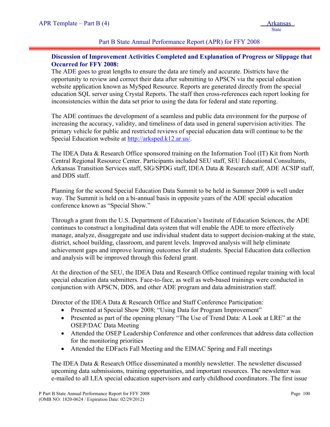## Part B State Annual Performance Report (APR) for FFY 2008

## **Discussion of Improvement Activities Completed and Explanation of Progress or Slippage that Occurred for FFY 2008:**

The ADE goes to great lengths to ensure the data are timely and accurate. Districts have the opportunity to review and correct their data after submitting to APSCN via the special education website application known as MySped Resource. Reports are generated directly from the special education SQL server using Crystal Reports. The staff then cross-references each report looking for inconsistencies within the data set prior to using the data for federal and state reporting.

The ADE continues the development of a seamless and public data environment for the purpose of increasing the accuracy, validity, and timeliness of data used in general supervision activities. The primary vehicle for public and restricted reviews of special education data will continue to be the Special Education website at [http://arksped.k12.ar.us/.](http://arksped.k12.ar.us/)

The IDEA Data & Research Office sponsored training on the Information Tool (IT) Kit from North Central Regional Resource Center. Participants included SEU staff, SEU Educational Consultants, Arkansas Transition Services staff, SIG/SPDG staff, IDEA Data & Research staff, ADE ACSIP staff, and DDS staff.

Planning for the second Special Education Data Summit to be held in Summer 2009 is well under way. The Summit is held on a bi-annual basis in opposite years of the ADE special education conference known as "Special Show."

Through a grant from the U.S. Department of Education's Institute of Education Sciences, the ADE continues to construct a longitudinal data system that will enable the ADE to more effectively manage, analyze, disaggregate and use individual student data to support decision-making at the state, district, school building, classroom, and parent levels. Improved analysis will help eliminate achievement gaps and improve learning outcomes for all students. Special Education data collection and analysis will be improved through this federal grant.

At the direction of the SEU, the IDEA Data and Research Office continued regular training with local special education data submitters. Face-to-face, as well as web-based trainings were conducted in conjunction with APSCN, DDS, and other ADE program and data administration staff.

Director of the IDEA Data & Research Office and Staff Conference Participation:

- Presented at Special Show 2008; "Using Data for Program Improvement"
- Presented as part of the opening plenary "The Use of Trend Data: A Look at LRE" at the OSEP/DAC Data Meeting
- Attended the OSEP Leadership Conference and other conferences that address data collection for the monitoring priorities
- Attended the EDFacts Fall Meeting and the EIMAC Spring and Fall meetings

The IDEA Data & Research Office disseminated a monthly newsletter. The newsletter discussed upcoming data submissions, training opportunities, and important resources. The newsletter was e-mailed to all LEA special education supervisors and early childhood coordinators. The first issue